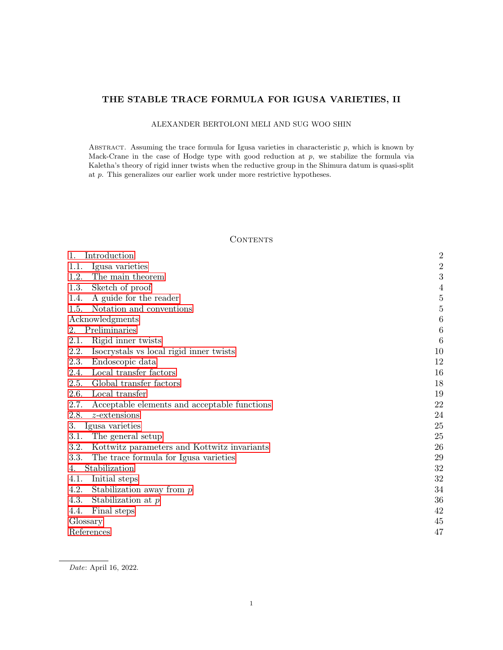## <span id="page-0-0"></span>THE STABLE TRACE FORMULA FOR IGUSA VARIETIES, II

## ALEXANDER BERTOLONI MELI AND SUG WOO SHIN

ABSTRACT. Assuming the trace formula for Igusa varieties in characteristic  $p$ , which is known by Mack-Crane in the case of Hodge type with good reduction at  $p$ , we stabilize the formula via Kaletha's theory of rigid inner twists when the reductive group in the Shimura datum is quasi-split at p. This generalizes our earlier work under more restrictive hypotheses.

## **CONTENTS**

| 1.<br>Introduction                                   |                  |
|------------------------------------------------------|------------------|
| 1.1.<br>Igusa varieties                              | $\overline{2}$   |
| The main theorem<br>1.2.                             | 3                |
| 1.3.<br>Sketch of proof                              | 4                |
| 1.4.<br>A guide for the reader                       | $\overline{5}$   |
| 1.5.<br>Notation and conventions                     | $\overline{5}$   |
| Acknowledgments                                      | $\boldsymbol{6}$ |
| Preliminaries<br>$2_{-}$                             | 6                |
| Rigid inner twists<br>2.1.                           | $\boldsymbol{6}$ |
| 2.2.<br>Isocrystals vs local rigid inner twists      | 10               |
| 2.3.<br>Endoscopic data                              | 12               |
| Local transfer factors<br>2.4.                       | 16               |
| 2.5.<br>Global transfer factors                      | 18               |
| 2.6.<br>Local transfer                               | 19               |
| 2.7.<br>Acceptable elements and acceptable functions | 22               |
| 2.8.<br>$z$ -extensions                              | 24               |
| Igusa varieties<br>3.                                | 25               |
| 3.1.<br>The general setup                            | 25               |
| 3.2.<br>Kottwitz parameters and Kottwitz invariants  | 26               |
| 3.3.<br>The trace formula for Igusa varieties        | 29               |
| Stabilization<br>4.                                  | 32               |
| 4.1.<br>Initial steps                                | 32               |
| Stabilization away from $p$<br>4.2.                  | 34               |
| 4.3.<br>Stabilization at $p$                         | 36               |
| 4.4.<br>Final steps                                  | 42               |
| Glossary                                             |                  |
| References                                           |                  |
|                                                      |                  |

Date: April 16, 2022.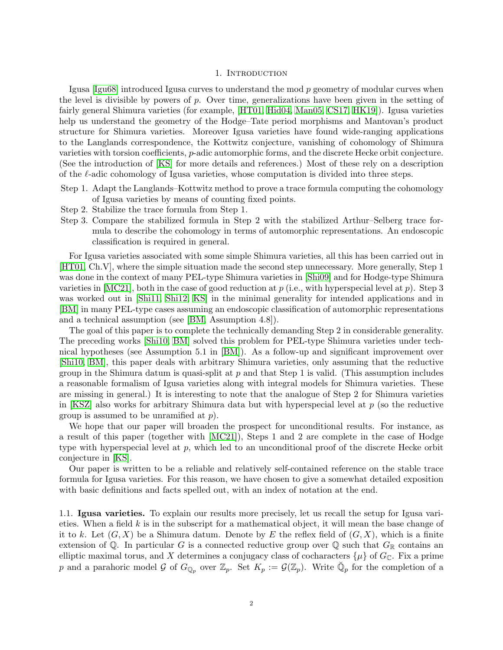## 1. Introduction

<span id="page-1-0"></span>Igusa [\[Igu68\]](#page-46-1) introduced Igusa curves to understand the mod p geometry of modular curves when the level is divisible by powers of  $p$ . Over time, generalizations have been given in the setting of fairly general Shimura varieties (for example, [\[HT01,](#page-46-2) [Hid04,](#page-46-3) [Man05,](#page-47-0) [CS17,](#page-46-4) [HK19\]](#page-46-5)). Igusa varieties help us understand the geometry of the Hodge–Tate period morphisms and Mantovan's product structure for Shimura varieties. Moreover Igusa varieties have found wide-ranging applications to the Langlands correspondence, the Kottwitz conjecture, vanishing of cohomology of Shimura varieties with torsion coefficients, p-adic automorphic forms, and the discrete Hecke orbit conjecture. (See the introduction of [\[KS\]](#page-47-1) for more details and references.) Most of these rely on a description of the  $\ell$ -adic cohomology of Igusa varieties, whose computation is divided into three steps.

- Step 1. Adapt the Langlands–Kottwitz method to prove a trace formula computing the cohomology of Igusa varieties by means of counting fixed points.
- Step 2. Stabilize the trace formula from Step 1.
- Step 3. Compare the stabilized formula in Step 2 with the stabilized Arthur–Selberg trace formula to describe the cohomology in terms of automorphic representations. An endoscopic classification is required in general.

For Igusa varieties associated with some simple Shimura varieties, all this has been carried out in [\[HT01,](#page-46-2) Ch.V], where the simple situation made the second step unnecessary. More generally, Step 1 was done in the context of many PEL-type Shimura varieties in [\[Shi09\]](#page-47-2) and for Hodge-type Shimura varieties in [\[MC21\]](#page-47-3), both in the case of good reduction at  $p$  (i.e., with hyperspecial level at  $p$ ). Step 3 was worked out in [\[Shi11,](#page-48-0) [Shi12,](#page-48-1) [KS\]](#page-47-1) in the minimal generality for intended applications and in [\[BM\]](#page-46-6) in many PEL-type cases assuming an endoscopic classification of automorphic representations and a technical assumption (see [\[BM,](#page-46-6) Assumption 4.8]).

The goal of this paper is to complete the technically demanding Step 2 in considerable generality. The preceding works [\[Shi10,](#page-48-2) [BM\]](#page-46-6) solved this problem for PEL-type Shimura varieties under technical hypotheses (see Assumption 5.1 in [\[BM\]](#page-46-6)). As a follow-up and significant improvement over [\[Shi10,](#page-48-2) [BM\]](#page-46-6), this paper deals with arbitrary Shimura varieties, only assuming that the reductive group in the Shimura datum is quasi-split at  $p$  and that Step 1 is valid. (This assumption includes a reasonable formalism of Igusa varieties along with integral models for Shimura varieties. These are missing in general.) It is interesting to note that the analogue of Step 2 for Shimura varieties in  $[KSZ]$  also works for arbitrary Shimura data but with hyperspecial level at p (so the reductive group is assumed to be unramified at p).

We hope that our paper will broaden the prospect for unconditional results. For instance, as a result of this paper (together with [\[MC21\]](#page-47-3)), Steps 1 and 2 are complete in the case of Hodge type with hyperspecial level at p, which led to an unconditional proof of the discrete Hecke orbit conjecture in [\[KS\]](#page-47-1).

Our paper is written to be a reliable and relatively self-contained reference on the stable trace formula for Igusa varieties. For this reason, we have chosen to give a somewhat detailed exposition with basic definitions and facts spelled out, with an index of notation at the end.

<span id="page-1-1"></span>1.1. Igusa varieties. To explain our results more precisely, let us recall the setup for Igusa varieties. When a field  $k$  is in the subscript for a mathematical object, it will mean the base change of it to k. Let  $(G, X)$  be a Shimura datum. Denote by E the reflex field of  $(G, X)$ , which is a finite extension of Q. In particular G is a connected reductive group over Q such that  $G_{\mathbb{R}}$  contains an elliptic maximal torus, and X determines a conjugacy class of cocharacters  $\{\mu\}$  of  $G_{\mathbb{C}}$ . Fix a prime p and a parahoric model G of  $G_{\mathbb{Q}_p}$  over  $\mathbb{Z}_p$ . Set  $K_p := \mathcal{G}(\mathbb{Z}_p)$ . Write  $\check{\mathbb{Q}}_p$  for the completion of a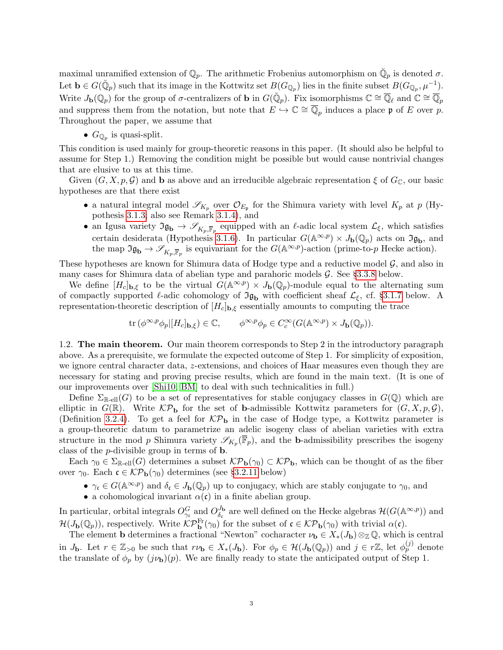maximal unramified extension of  $\mathbb{Q}_p$ . The arithmetic Frobenius automorphism on  $\check{\mathbb{Q}}_p$  is denoted  $\sigma$ . Let  $\mathbf{b} \in G(\check{\mathbb{Q}}_p)$  such that its image in the Kottwitz set  $B(G_{\mathbb{Q}_p})$  lies in the finite subset  $B(G_{\mathbb{Q}_p}, \mu^{-1})$ . Write  $J_{\mathbf{b}}(\mathbb{Q}_p)$  for the group of  $\sigma$ -centralizers of **b** in  $G(\check{\mathbb{Q}}_p)$ . Fix isomorphisms  $\mathbb{C} \cong \overline{\mathbb{Q}}_\ell$  and  $\mathbb{C} \cong \overline{\mathbb{Q}}_p$ and suppress them from the notation, but note that  $E \hookrightarrow \mathbb{C} \cong \overline{\mathbb{Q}}_p$  induces a place p of E over p. Throughout the paper, we assume that

•  $G_{\mathbb{Q}_p}$  is quasi-split.

This condition is used mainly for group-theoretic reasons in this paper. (It should also be helpful to assume for Step 1.) Removing the condition might be possible but would cause nontrivial changes that are elusive to us at this time.

Given  $(G, X, p, \mathcal{G})$  and **b** as above and an irreducible algebraic representation  $\xi$  of  $G_{\mathbb{C}}$ , our basic hypotheses are that there exist

- a natural integral model  $\mathscr{S}_{K_p}$  over  $\mathcal{O}_{E_p}$  for the Shimura variety with level  $K_p$  at p (Hypothesis [3.1.3;](#page-24-2) also see Remark [3.1.4\)](#page-24-3), and
- an Igusa variety  $\mathfrak{I}_{\mathfrak{g}_b} \to \mathscr{S}_{K_p, \overline{\mathbb{F}}_p}$  equipped with an  $\ell$ -adic local system  $\mathcal{L}_{\xi}$ , which satisfies certain desiderata (Hypothesis [3.1.6\)](#page-25-1). In particular  $G(\mathbb{A}^{\infty,p}) \times J_{\mathbf{b}}(\mathbb{Q}_p)$  acts on  $\mathfrak{I}_{\mathfrak{g}_{\mathbf{b}}}$ , and the map  $\mathfrak{I}_{\mathfrak{g}_{\mathbf{b}}}\to \mathscr{S}_{K_p,\overline{\mathbb{F}}_p}$  is equivariant for the  $G(\mathbb{A}^{\infty,p})$ -action (prime-to-p Hecke action).

These hypotheses are known for Shimura data of Hodge type and a reductive model  $G$ , and also in many cases for Shimura data of abelian type and parahoric models  $\mathcal{G}$ . See §[3.3.8](#page-30-0) below.

We define  $[H_c]_{\mathbf{b},\xi}$  to be the virtual  $G(\mathbb{A}^{\infty,p}) \times J_{\mathbf{b}}(\mathbb{Q}_p)$ -module equal to the alternating sum of compactly supported  $\ell$ -adic cohomology of  $\mathfrak{I}_{\mathfrak{g}_b}$  with coefficient sheaf  $\mathcal{L}_{\xi}$ , cf. §[3.1.7](#page-25-2) below. A representation-theoretic description of  $[H_c]_{\mathbf{b},\xi}$  essentially amounts to computing the trace

$$
\mathrm{tr}\,(\phi^{\infty,p} \phi_p | [H_c]_{\mathbf{b},\xi}) \in \mathbb{C}, \qquad \phi^{\infty,p} \phi_p \in C_c^{\infty}(G(\mathbb{A}^{\infty,p}) \times J_{\mathbf{b}}(\mathbb{Q}_p)).
$$

<span id="page-2-0"></span>1.2. The main theorem. Our main theorem corresponds to Step 2 in the introductory paragraph above. As a prerequisite, we formulate the expected outcome of Step 1. For simplicity of exposition, we ignore central character data, z-extensions, and choices of Haar measures even though they are necessary for stating and proving precise results, which are found in the main text. (It is one of our improvements over [\[Shi10,](#page-48-2) [BM\]](#page-46-6) to deal with such technicalities in full.)

Define  $\Sigma_{\mathbb{R}-ell}(G)$  to be a set of representatives for stable conjugacy classes in  $G(\mathbb{Q})$  which are elliptic in  $G(\mathbb{R})$ . Write  $\mathcal{KP}_{\bf b}$  for the set of **b**-admissible Kottwitz parameters for  $(G, X, p, \mathcal{G})$ , (Definition [3.2.4\)](#page-26-0). To get a feel for  $\mathcal{KP}_{\mathbf{b}}$  in the case of Hodge type, a Kottwitz parameter is a group-theoretic datum to parametrize an adelic isogeny class of abelian varieties with extra structure in the mod p Shimura variety  $\mathscr{S}_{K_p}(\overline{\mathbb{F}}_p)$ , and the **b**-admissibility prescribes the isogeny class of the p-divisible group in terms of b.

Each  $\gamma_0 \in \Sigma_{\mathbb{R}-ell}(G)$  determines a subset  $\mathcal{KP}_{\mathbf{b}}(\gamma_0) \subset \mathcal{KP}_{\mathbf{b}}$ , which can be thought of as the fiber over  $\gamma_0$ . Each  $\mathfrak{c} \in \mathcal{KP}_{\mathbf{b}}(\gamma_0)$  determines (see §[3.2.11](#page-28-1) below)

- $\gamma_{\mathfrak{c}} \in G(\mathbb{A}^{\infty,p})$  and  $\delta_{\mathfrak{c}} \in J_{\mathbf{b}}(\mathbb{Q}_p)$  up to conjugacy, which are stably conjugate to  $\gamma_0$ , and
- a cohomological invariant  $\alpha(\mathfrak{c})$  in a finite abelian group.

In particular, orbital integrals  $O_{\gamma_{\mathfrak{c}}}^G$  and  $O_{\delta_{\mathfrak{c}}}^{J_{\mathbf{b}}}$  $J_{\delta_c}^{J_{\mathbf{b}}}$  are well defined on the Hecke algebras  $\mathcal{H}(G(\mathbb{A}^{\infty,p}))$  and  $\mathcal{H}(J_{\mathbf{b}}(\mathbb{Q}_p))$ , respectively. Write  $\mathcal{KP}_{\mathbf{b}}^{\text{Fr}}(\gamma_0)$  for the subset of  $\mathfrak{c} \in \mathcal{KP}_{\mathbf{b}}(\gamma_0)$  with trivial  $\alpha(\mathfrak{c})$ .

The element **b** determines a fractional "Newton" cocharacter  $\nu_{\mathbf{b}} \in X_*(J_{\mathbf{b}}) \otimes_{\mathbb{Z}} \mathbb{Q}$ , which is central in  $J_{\mathbf{b}}$ . Let  $r \in \mathbb{Z}_{>0}$  be such that  $r\nu_{\mathbf{b}} \in X_*(J_{\mathbf{b}})$ . For  $\phi_p \in \mathcal{H}(J_{\mathbf{b}}(\mathbb{Q}_p))$  and  $j \in r\mathbb{Z}$ , let  $\phi_p^{(j)}$  denote the translate of  $\phi_p$  by  $(j\nu_b)(p)$ . We are finally ready to state the anticipated output of Step 1.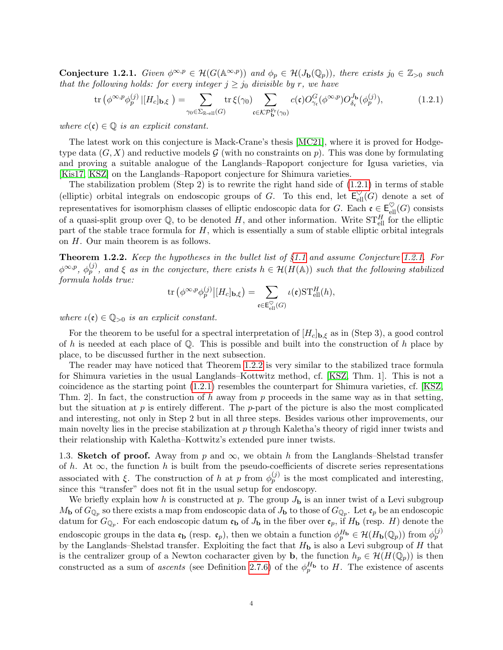<span id="page-3-2"></span>**Conjecture 1.2.1.** Given  $\phi^{\infty,p} \in \mathcal{H}(G(\mathbb{A}^{\infty,p}))$  and  $\phi_p \in \mathcal{H}(J_{\mathbf{b}}(\mathbb{Q}_p))$ , there exists  $j_0 \in \mathbb{Z}_{>0}$  such that the following holds: for every integer  $j \ge j_0$  divisible by r, we have

<span id="page-3-1"></span>
$$
\operatorname{tr}\left(\phi^{\infty,p}\phi_p^{(j)}\left|\left[H_c\right]_{\mathbf{b},\xi}\right.\right) = \sum_{\gamma_0 \in \Sigma_{\mathbb{R}-\text{ell}}(G)} \operatorname{tr}\xi(\gamma_0) \sum_{\mathfrak{c} \in \mathcal{K}\mathcal{P}_{\mathbf{b}}^{\text{Fr}}(\gamma_0)} c(\mathfrak{c}) O_{\gamma_{\mathfrak{c}}}^G(\phi^{\infty,p}) O_{\delta_{\mathfrak{c}}}^{J_{\mathbf{b}}}(\phi_p^{(j)}),\tag{1.2.1}
$$

where  $c(\mathfrak{c}) \in \mathbb{Q}$  is an explicit constant.

The latest work on this conjecture is Mack-Crane's thesis [\[MC21\]](#page-47-3), where it is proved for Hodgetype data  $(G, X)$  and reductive models G (with no constraints on p). This was done by formulating and proving a suitable analogue of the Langlands–Rapoport conjecture for Igusa varieties, via [\[Kis17,](#page-46-7) [KSZ\]](#page-47-4) on the Langlands–Rapoport conjecture for Shimura varieties.

The stabilization problem (Step 2) is to rewrite the right hand side of [\(1.2.1\)](#page-3-1) in terms of stable (elliptic) orbital integrals on endoscopic groups of G. To this end, let  $\mathsf{E}_{\text{ell}}^{\heartsuit}(G)$  denote a set of representatives for isomorphism classes of elliptic endoscopic data for G. Each  $\mathfrak{e} \in \mathsf{E}^{\heartsuit}_{\text{ell}}(G)$  consists of a quasi-split group over  $\mathbb{Q}$ , to be denoted H, and other information. Write  $ST_{ell}^H$  for the elliptic part of the stable trace formula for  $H$ , which is essentially a sum of stable elliptic orbital integrals on H. Our main theorem is as follows.

<span id="page-3-3"></span>Theorem 1.2.2. Keep the hypotheses in the bullet list of §[1.1](#page-1-1) and assume Conjecture [1.2.1.](#page-3-2) For  $\phi^{\infty,p}, \phi_p^{(j)}$ , and  $\xi$  as in the conjecture, there exists  $h \in \mathcal{H}(H(\mathbb{A}))$  such that the following stabilized formula holds true:

$$
\mathrm{tr}\left(\phi^{\infty,p}\phi_p^{(j)}\big|[H_c]_{\mathbf{b},\xi}\right)=\sum_{\mathfrak{e}\in \mathsf{E}_{\mathrm{ell}}^{\heartsuit}(G)}\iota(\mathfrak{e})\mathrm{ST}_{\mathrm{ell}}^H(h),
$$

where  $\iota(\mathfrak{e}) \in \mathbb{Q}_{>0}$  is an explicit constant.

For the theorem to be useful for a spectral interpretation of  $[H_c]_{\mathbf{b},\xi}$  as in (Step 3), a good control of h is needed at each place of  $\mathbb Q$ . This is possible and built into the construction of h place by place, to be discussed further in the next subsection.

The reader may have noticed that Theorem [1.2.2](#page-3-3) is very similar to the stabilized trace formula for Shimura varieties in the usual Langlands–Kottwitz method, cf. [\[KSZ,](#page-47-4) Thm. 1]. This is not a coincidence as the starting point [\(1.2.1\)](#page-3-1) resembles the counterpart for Shimura varieties, cf. [\[KSZ,](#page-47-4) Thm. 2. In fact, the construction of h away from  $p$  proceeds in the same way as in that setting, but the situation at  $p$  is entirely different. The  $p$ -part of the picture is also the most complicated and interesting, not only in Step 2 but in all three steps. Besides various other improvements, our main novelty lies in the precise stabilization at  $p$  through Kaletha's theory of rigid inner twists and their relationship with Kaletha–Kottwitz's extended pure inner twists.

<span id="page-3-0"></span>1.3. Sketch of proof. Away from p and  $\infty$ , we obtain h from the Langlands–Shelstad transfer of h. At  $\infty$ , the function h is built from the pseudo-coefficients of discrete series representations associated with  $\xi$ . The construction of h at p from  $\phi_p^{(j)}$  is the most complicated and interesting, since this "transfer" does not fit in the usual setup for endoscopy.

We briefly explain how h is constructed at p. The group  $J<sub>b</sub>$  is an inner twist of a Levi subgroup  $M_{\bf b}$  of  $G_{\mathbb Q_p}$  so there exists a map from endoscopic data of  $J_{\bf b}$  to those of  $G_{\mathbb Q_p}$ . Let  ${\mathfrak e}_p$  be an endoscopic datum for  $G_{\mathbb{Q}_p}$ . For each endoscopic datum  $\mathfrak{e}_b$  of  $J_b$  in the fiber over  $\mathfrak{e}_p$ , if  $H_b$  (resp. H) denote the endoscopic groups in the data  $\mathfrak{e}_{\mathbf{b}}$  (resp.  $\mathfrak{e}_p$ ), then we obtain a function  $\phi_p^{H_{\mathbf{b}}} \in \mathcal{H}(H_{\mathbf{b}}(\mathbb{Q}_p))$  from  $\phi_p^{(j)}$ by the Langlands–Shelstad transfer. Exploiting the fact that  $H<sub>b</sub>$  is also a Levi subgroup of H that is the centralizer group of a Newton cocharacter given by **b**, the function  $h_p \in \mathcal{H}(H(\mathbb{Q}_p))$  is then constructed as a sum of *ascents* (see Definition [2.7.6\)](#page-21-1) of the  $\phi_p^{H_b}$  to H. The existence of ascents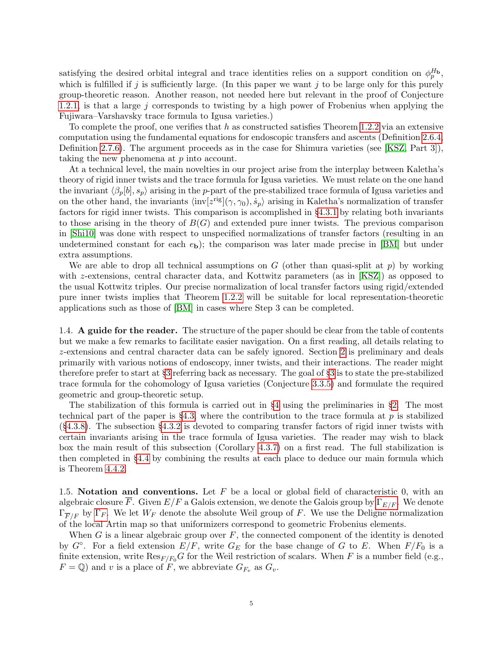<span id="page-4-2"></span>satisfying the desired orbital integral and trace identities relies on a support condition on  $\phi_p^{H_b}$ , which is fulfilled if j is sufficiently large. (In this paper we want j to be large only for this purely group-theoretic reason. Another reason, not needed here but relevant in the proof of Conjecture [1.2.1,](#page-3-2) is that a large j corresponds to twisting by a high power of Frobenius when applying the Fujiwara–Varshavsky trace formula to Igusa varieties.)

To complete the proof, one verifies that h as constructed satisfies Theorem [1.2.2](#page-3-3) via an extensive computation using the fundamental equations for endoscopic transfers and ascents (Definition [2.6.4,](#page-19-0) Definition [2.7.6\)](#page-21-1). The argument proceeds as in the case for Shimura varieties (see [\[KSZ,](#page-47-4) Part 3]), taking the new phenomena at p into account.

At a technical level, the main novelties in our project arise from the interplay between Kaletha's theory of rigid inner twists and the trace formula for Igusa varieties. We must relate on the one hand the invariant  $\langle \beta_p[b], s_p \rangle$  arising in the p-part of the pre-stabilized trace formula of Igusa varieties and on the other hand, the invariants  $\langle inv[z^{rig}](\gamma, \gamma_0), \dot{s}_p \rangle$  arising in Kaletha's normalization of transfer factors for rigid inner twists. This comparison is accomplished in §[4.3.1](#page-35-1) by relating both invariants to those arising in the theory of  $B(G)$  and extended pure inner twists. The previous comparison in [\[Shi10\]](#page-48-2) was done with respect to unspecified normalizations of transfer factors (resulting in an undetermined constant for each  $e_{\bf{b}}$ ); the comparison was later made precise in [\[BM\]](#page-46-6) but under extra assumptions.

We are able to drop all technical assumptions on  $G$  (other than quasi-split at  $p$ ) by working with *z*-extensions, central character data, and Kottwitz parameters (as in [\[KSZ\]](#page-47-4)) as opposed to the usual Kottwitz triples. Our precise normalization of local transfer factors using rigid/extended pure inner twists implies that Theorem [1.2.2](#page-3-3) will be suitable for local representation-theoretic applications such as those of [\[BM\]](#page-46-6) in cases where Step 3 can be completed.

<span id="page-4-0"></span>1.4. A guide for the reader. The structure of the paper should be clear from the table of contents but we make a few remarks to facilitate easier navigation. On a first reading, all details relating to z-extensions and central character data can be safely ignored. Section [2](#page-5-1) is preliminary and deals primarily with various notions of endoscopy, inner twists, and their interactions. The reader might therefore prefer to start at §[3](#page-24-0) referring back as necessary. The goal of §[3](#page-24-0) is to state the pre-stabilized trace formula for the cohomology of Igusa varieties (Conjecture [3.3.5\)](#page-30-1) and formulate the required geometric and group-theoretic setup.

The stabilization of this formula is carried out in  $\S 4$  $\S 4$  using the preliminaries in  $\S 2$ . The most technical part of the paper is  $\S 4.3$ , where the contribution to the trace formula at p is stabilized  $(\S 4.3.8)$  $(\S 4.3.8)$ . The subsection  $\S 4.3.2$  $\S 4.3.2$  is devoted to comparing transfer factors of rigid inner twists with certain invariants arising in the trace formula of Igusa varieties. The reader may wish to black box the main result of this subsection (Corollary [4.3.7\)](#page-38-1) on a first read. The full stabilization is then completed in §[4.4](#page-41-0) by combining the results at each place to deduce our main formula which is Theorem [4.4.2.](#page-43-0)

<span id="page-4-1"></span>1.5. Notation and conventions. Let  $F$  be a local or global field of characteristic 0, with an algebraic closure  $\overline{F}$ . Given  $E/F$  a Galois extension, we denote the Galois group by  $\Gamma_{E/F}$ . We denote  $\Gamma_{\overline{F}/F}$  by  $\Gamma_F$ . We let  $W_F$  denote the absolute Weil group of F. We use the Deligne normalization of the local Artin map so that uniformizers correspond to geometric Frobenius elements.

When G is a linear algebraic group over  $F$ , the connected component of the identity is denoted by  $G^{\circ}$ . For a field extension  $E/F$ , write  $G_E$  for the base change of G to E. When  $F/F_0$  is a finite extension, write  $\text{Res}_{F/F_0}G$  for the Weil restriction of scalars. When F is a number field (e.g.,  $F = \mathbb{Q}$  and v is a place of F, we abbreviate  $G_{F_v}$  as  $G_v$ .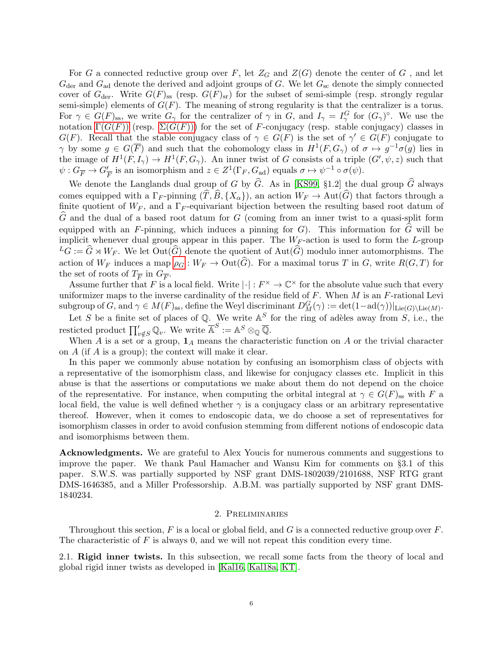<span id="page-5-3"></span>For G a connected reductive group over F, let  $Z_G$  and  $Z(G)$  denote the center of G, and let  $G_{\text{der}}$  and  $G_{\text{ad}}$  denote the derived and adjoint groups of G. We let  $G_{\text{sc}}$  denote the simply connected cover of  $G_{\text{der}}$ . Write  $G(F)_{\text{ss}}$  (resp.  $G(F)_{\text{sr}}$ ) for the subset of semi-simple (resp. strongly regular semi-simple) elements of  $G(F)$ . The meaning of strong regularity is that the centralizer is a torus. For  $\gamma \in G(F)_{\text{ss}}$ , we write  $G_{\gamma}$  for the centralizer of  $\gamma$  in  $G$ , and  $I_{\gamma} = I_{\gamma}^G$  for  $(G_{\gamma})^{\circ}$ . We use the notation  $\Gamma(G(F))$  (resp.  $\Sigma(G(F))$ ) for the set of F-conjugacy (resp. stable conjugacy) classes in  $G(F)$ . Recall that the stable conjugacy class of  $\gamma \in G(F)$  is the set of  $\gamma' \in G(F)$  conjugate to  $\gamma$  by some  $g \in G(\overline{F})$  and such that the cohomology class in  $H^1(F, G_\gamma)$  of  $\sigma \mapsto g^{-1} \sigma(g)$  lies in the image of  $H^1(F, I_\gamma) \to H^1(F, G_\gamma)$ . An inner twist of G consists of a triple  $(G', \psi, z)$  such that  $\psi: G_{\overline{F}} \to G'_{\overline{F}}$  is an isomorphism and  $z \in Z^1(\Gamma_F, G_{ad})$  equals  $\sigma \mapsto \psi^{-1} \circ \sigma(\psi)$ .

We denote the Langlands dual group of G by  $\widehat{G}$ . As in [\[KS99,](#page-47-5) §1.2] the dual group  $\widehat{G}$  always comes equipped with a  $\Gamma_F$ -pinning  $(\widehat{T}, \widehat{B}, \{X_\alpha\})$ , an action  $W_F \to \text{Aut}(\widehat{G})$  that factors through a finite quotient of  $W_F$ , and a  $\Gamma_F$ -equivariant bijection between the resulting based root datum of  $\tilde{G}$  and the dual of a based root datum for  $G$  (coming from an inner twist to a quasi-split form equipped with an F-pinning, which induces a pinning for G). This information for  $\widehat{G}$  will be implicit whenever dual groups appear in this paper. The  $W_F$ -action is used to form the L-group  $^L G := \widehat{G} \rtimes W_F$ . We let  $Out(\widehat{G})$  denote the quotient of  $Aut(\widehat{G})$  modulo inner automorphisms. The action of  $W_F$  induces a map  $\rho_G : W_F \to \text{Out}(\widehat{G})$ . For a maximal torus T in G, write  $R(G,T)$  for the set of roots of  $T_{\overline{F}}$  in  $G_{\overline{F}}$ .

Assume further that F is a local field. Write  $|\cdot|: F^{\times} \to \mathbb{C}^{\times}$  for the absolute value such that every uniformizer maps to the inverse cardinality of the residue field of  $F$ . When  $M$  is an  $F$ -rational Levi subgroup of G, and  $\gamma \in M(F)_{\mathrm{ss}}$ , define the Weyl discriminant  $D_M^G(\gamma) := \det(1 - \mathrm{ad}(\gamma))|_{\mathrm{Lie}(G) \setminus \mathrm{Lie}(M)}$ .

Let S be a finite set of places of Q. We write  $\mathbb{A}^S$  for the ring of adèles away from S, i.e., the resticted product  $\prod'_{v \notin S} \mathbb{Q}_v$ . We write  $\overline{\mathbb{A}}^S := \mathbb{A}^S \otimes_{\mathbb{Q}} \overline{\mathbb{Q}}$ .

When A is a set or a group,  $\mathbf{1}_A$  means the characteristic function on A or the trivial character on A (if A is a group); the context will make it clear.

In this paper we commonly abuse notation by confusing an isomorphism class of objects with a representative of the isomorphism class, and likewise for conjugacy classes etc. Implicit in this abuse is that the assertions or computations we make about them do not depend on the choice of the representative. For instance, when computing the orbital integral at  $\gamma \in G(F)_{ss}$  with F a local field, the value is well defined whether  $\gamma$  is a conjugacy class or an arbitrary representative thereof. However, when it comes to endoscopic data, we do choose a set of representatives for isomorphism classes in order to avoid confusion stemming from different notions of endoscopic data and isomorphisms between them.

<span id="page-5-0"></span>Acknowledgments. We are grateful to Alex Youcis for numerous comments and suggestions to improve the paper. We thank Paul Hamacher and Wansu Kim for comments on §3.1 of this paper. S.W.S. was partially supported by NSF grant DMS-1802039/2101688, NSF RTG grant DMS-1646385, and a Miller Professorship. A.B.M. was partially supported by NSF grant DMS-1840234.

## 2. Preliminaries

<span id="page-5-1"></span>Throughout this section, F is a local or global field, and G is a connected reductive group over  $F$ . The characteristic of  $F$  is always 0, and we will not repeat this condition every time.

<span id="page-5-2"></span>2.1. Rigid inner twists. In this subsection, we recall some facts from the theory of local and global rigid inner twists as developed in [\[Kal16,](#page-46-8) [Kal18a,](#page-46-9) [KT\]](#page-47-6).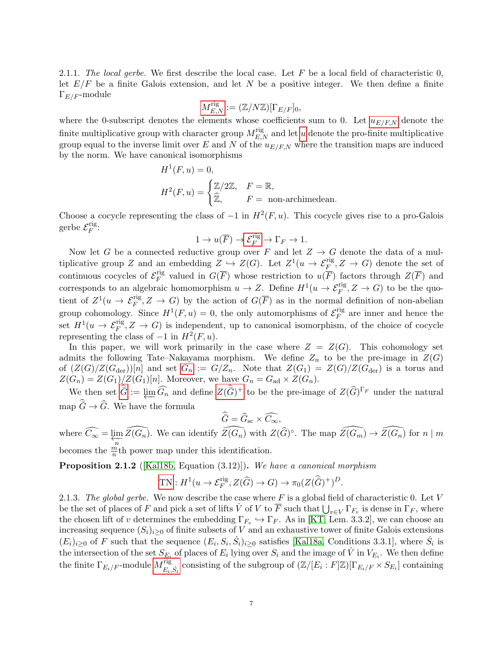<span id="page-6-1"></span>2.1.1. The local gerbe. We first describe the local case. Let  $F$  be a local field of characteristic  $0$ , let  $E/F$  be a finite Galois extension, and let N be a positive integer. We then define a finite  $\Gamma_{E/F}$ -module

$$
M_{E,N}^{\mathrm{rig}}:=(\mathbb{Z}/N\mathbb{Z})[\Gamma_{E/F}]_0,
$$

where the 0-subscript denotes the elements whose coefficients sum to 0. Let  $u_{E/F,N}$  $u_{E/F,N}$  $u_{E/F,N}$  denote the finite m[u](#page-45-7)ltiplicative group with character group  $M_{E,N}^{\text{rig}}$  and let u denote the pro-finite multiplicative group equal to the inverse limit over E and N of the  $u_{E/F,N}$  where the transition maps are induced by the norm. We have canonical isomorphisms

$$
H^{1}(F, u) = 0,
$$
  
\n
$$
H^{2}(F, u) = \begin{cases} \mathbb{Z}/2\mathbb{Z}, & F = \mathbb{R}, \\ \widehat{\mathbb{Z}}, & F = \text{ non-archimedean.} \end{cases}
$$

Choose a cocycle representing the class of  $-1$  in  $H^2(F, u)$ . This cocycle gives rise to a pro-Galois gerbe  $\mathcal{E}_F^{\mathrm{rig}}$  $^{\rm rng}_{F}$  :

$$
1 \to u(\overline{F}) \to \mathcal{E}_F^{\text{rig}} \to \Gamma_F \to 1.
$$

Now let G be a connected reductive group over F and let  $Z \to G$  denote the data of a multiplicative group Z and an embedding  $Z \hookrightarrow Z(G)$ . Let  $Z^1(u \to \mathcal{E}_F^{\text{rig}}, Z \to G)$  denote the set of continuous cocycles of  $\mathcal{E}_F^{\text{rig}}$ <sup>rig</sup> valued in  $G(F)$  whose restriction to  $u(F)$  factors through  $Z(F)$  and corresponds to an algebraic homomorphism  $u \to Z$ . Define  $H^1(u \to \mathcal{E}_F^{\text{rig}}, Z \to G)$  to be the quotient of  $Z^1(u \to \mathcal{E}_F^{\text{rig}}, Z \to G)$  by the action of  $G(\overline{F})$  as in the normal definition of non-abelian group cohomology. Since  $H^1(F, u) = 0$ , the only automorphisms of  $\mathcal{E}_F^{\text{rig}}$  $F_F^{\text{rig}}$  are inner and hence the set  $H^1(u \to \mathcal{E}_F^{\text{rig}}, Z \to G)$  is independent, up to canonical isomorphism, of the choice of cocycle representing the class of  $-1$  in  $H^2(F, u)$ .

In this paper, we will work primarily in the case where  $Z = Z(G)$ . This cohomology set admits the following Tate–Nakayama morphism. We define  $Z_n$  to be the pre-image in  $Z(G)$ of  $(Z(G)/Z(G_{\text{der}}))[n]$  $(Z(G)/Z(G_{\text{der}}))[n]$  $(Z(G)/Z(G_{\text{der}}))[n]$  and set  $G_n := G/Z_n$ . Note that  $Z(G_1) = Z(G)/Z(G_{\text{der}})$  is a torus and  $Z(G_n) = Z(G_1)/Z(G_1)[n]$ . Moreover, we have  $G_n = G_{\text{ad}} \times Z(G_n)$ .

We then set  $\widehat{G} := \varprojlim \widehat{G_n}$  $\widehat{G} := \varprojlim \widehat{G_n}$  $\widehat{G} := \varprojlim \widehat{G_n}$  and define  $Z(\widehat{G})^+$  to be the pre-image of  $Z(\widehat{G})^{\Gamma_F}$  under the natural map  $\hat{\bar{G}} \to \hat{G}$ . We have the formula

$$
\widehat{G} = \widehat{G}_{\rm sc} \times \widehat{C_{\infty}},
$$
  
where  $\widehat{C_{\infty}} = \varprojlim_n \widehat{Z(G_n)}$ . We can identify  $\widehat{Z(G_n)}$  with  $Z(\widehat{G})^{\circ}$ . The map  $\widehat{Z(G_m)} \to \widehat{Z(G_n)}$  for  $n | m$   
becomes the  $\frac{m}{n}$ th power map under this identification.

<span id="page-6-0"></span>Proposition 2.1.2 ([\[Kal18b,](#page-46-11) Equation (3.12)]). We have a canonical morphism

TN: 
$$
H^1(u \to \mathcal{E}_F^{\text{rig}}, Z(\widehat{G}) \to G) \to \pi_0(Z(\widehat{\widehat{G}})^+)^D
$$
.

2.1.3. The global gerbe. We now describe the case where  $F$  is a global field of characteristic 0. Let  $V$ be the set of places of F and pick a set of lifts  $\dot{V}$  of V to  $\overline{F}$  such that  $\bigcup_{v\in V}\Gamma_{F_v}$  is dense in  $\Gamma_F$ , where the chosen lift of v determines the embedding  $\Gamma_{F_v} \hookrightarrow \Gamma_F$ . As in [\[KT,](#page-47-6) Lem. 3.3.2], we can choose an increasing sequence  $(S_i)_{i\geq 0}$  of finite subsets of V and an exhaustive tower of finite Galois extensions  $(E_i)_{i\geq 0}$  of F such that the sequence  $(E_i, S_i, \dot{S}_i)_{i\geq 0}$  satisfies [\[Kal18a,](#page-46-9) Conditions 3.3.1], where  $\dot{S}_i$  is the intersection of the set  $S_{E_i}$  of places of  $E_i$  lying over  $S_i$  and the image of  $\dot{V}$  in  $V_{E_i}$ . We then define the finite  $\Gamma_{E_i/F}$ -module  $M_{E_i}^{rig}$  $M_{E_i}^{rig}$ <sup>rig</sup><sub>E<sub>i</sub>,S<sub>i</sub></sub> consisting of the subgroup of  $(\mathbb{Z}/[E_i:F]\mathbb{Z})[\Gamma_{E_i/F} \times S_{E_i}]$  containing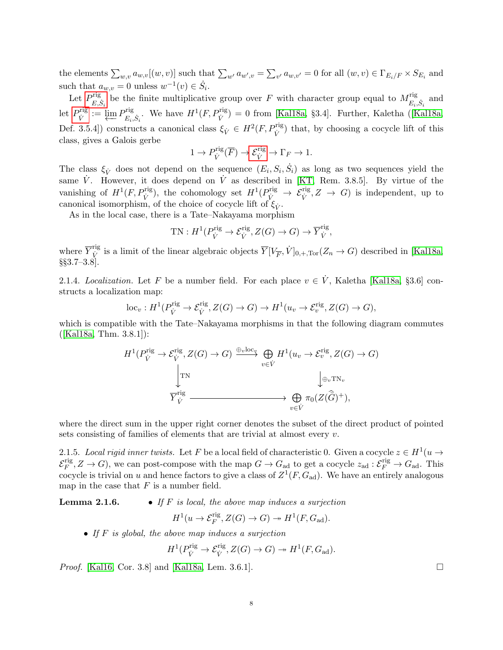<span id="page-7-1"></span>the elements  $\sum_{w,v} a_{w,v}[(w, v)]$  such that  $\sum_{w'} a_{w',v} = \sum_{v'} a_{w,v'} = 0$  for all  $(w, v) \in \Gamma_{E_i/F} \times S_{E_i}$  and such that  $a_{w,v} = 0$  unless  $w^{-1}(v) \in \dot{S}_i$ .

Let  $P_{E, \theta}^{\text{rig}}$  $E_{E,\dot{S}_i}^{\text{rig}}$  be the finite multiplicative group over F with character group equal to  $M_{E_i}^{\text{rig}}$  $\sum_{i=1}^{\text{rig}}$  and let  $P_{\dot{V}}^{\text{rig}}$  $P_{\dot{V}}^{\text{rig}}$  $P_{\dot{V}}^{\text{rig}}$  $\psi^{\text{rig}}:=\varprojlim P^{\text{rig}}_{E_i, \varepsilon}$  $E_{E_i, S_i}^{\text{rig}}$  $E_{E_i, S_i}^{\text{rig}}$  $E_{E_i, S_i}^{\text{rig}}$ . We have  $H^1(F, P_V^{\text{rig}}) = 0$  from [\[Kal18a,](#page-46-9) §3.4]. Further, Kaletha ([\[Kal18a,](#page-46-9) Def. 3.5.4) constructs a canonical class  $\xi_V \in H^2(F, P_V^{\text{rig}})$  that, by choosing a cocycle lift of this class, gives a Galois gerbe

$$
1 \to P_V^{\text{rig}}(\overline{F}) \to \mathcal{E}_V^{\text{rig}} \to \Gamma_F \to 1.
$$

The class  $\xi_{\dot{V}}$  does not depend on the sequence  $(E_i, S_i, \dot{S}_i)$  as long as two sequences yield the same  $\dot{V}$ . However, it does depend on  $\dot{V}$  as described in [\[KT,](#page-47-6) Rem. 3.8.5]. By virtue of the vanishing of  $H^1(F, P_V^{\text{rig}})$ , the cohomology set  $H^1(P_V^{\text{rig}} \to \mathcal{E}_V^{\text{rig}}, Z \to G)$  is independent, up to canonical isomorphism, of the choice of cocycle lift of  $\xi_V$ .

As in the local case, there is a Tate–Nakayama morphism

$$
TN: H^1(P_V^{\text{rig}} \to \mathcal{E}_V^{\text{rig}}, Z(G) \to G) \to \overline{Y}_V^{\text{rig}},
$$

where  $\overline{Y}_{\dot{V}}^{\text{rig}}$ <sup>rig</sup> is a limit of the linear algebraic objects  $\overline{Y}[V_{\overline{F}}, \dot{V}]_{0,+,\text{Tor}}(Z_n \to G)$  described in [\[Kal18a,](#page-46-9) §§3.7–3.8].

<span id="page-7-0"></span>2.1.4. Localization. Let F be a number field. For each place  $v \in \dot{V}$ , Kaletha [\[Kal18a,](#page-46-9) §3.6] constructs a localization map:

$$
\mathrm{loc}_{v}: H^{1}(P_{\dot{V}}^{\text{rig}} \to \mathcal{E}_{\dot{V}}^{\text{rig}}, Z(G) \to G) \to H^{1}(u_{v} \to \mathcal{E}_{v}^{\text{rig}}, Z(G) \to G),
$$

which is compatible with the Tate–Nakayama morphisms in that the following diagram commutes ([\[Kal18a,](#page-46-9) Thm. 3.8.1]):

$$
H^{1}(P_{\dot{V}}^{\text{rig}} \to \mathcal{E}_{\dot{V}}^{\text{rig}}, Z(G) \to G) \xrightarrow{\oplus_{v} \text{loc}_{v}} \bigoplus_{v \in \dot{V}} H^{1}(u_{v} \to \mathcal{E}_{v}^{\text{rig}}, Z(G) \to G)
$$
\n
$$
\downarrow_{\text{TN}} \qquad \qquad \downarrow_{\oplus_{v} \text{TN}_{v}}
$$
\n
$$
\overline{Y}_{\dot{V}}^{\text{rig}} \xrightarrow{\qquad \qquad \qquad \text{P}} \bigoplus_{v \in \dot{V}} \pi_{0}(Z(\widehat{G})^{+}),
$$

where the direct sum in the upper right corner denotes the subset of the direct product of pointed sets consisting of families of elements that are trivial at almost every  $v$ .

2.1.5. Local rigid inner twists. Let F be a local field of characteristic 0. Given a cocycle  $z \in H^1(u \to$  ${\cal E}_F^{\rm rig}$  $F_F^{\text{rig}}, Z \to G$ , we can post-compose with the map  $G \to G_{\text{ad}}$  to get a cocycle  $z_{\text{ad}} : \mathcal{E}_F^{\text{rig}} \to G_{\text{ad}}$ . This cocycle is trivial on u and hence factors to give a class of  $Z^1(F, G_{ad})$ . We have an entirely analogous map in the case that  $F$  is a number field.

**Lemma 2.1.6.** • If F is local, the above map induces a surjection

 $H^1(u \to \mathcal{E}_F^{\text{rig}}, Z(G) \to G) \twoheadrightarrow H^1(F, G_{\text{ad}}).$ 

• If  $F$  is global, the above map induces a surjection

$$
H^1(P_{\dot{V}}^{\text{rig}} \to \mathcal{E}_{\dot{V}}^{\text{rig}}, Z(G) \to G) \twoheadrightarrow H^1(F, G_{\text{ad}}).
$$

*Proof.* [\[Kal16,](#page-46-8) Cor. 3.8] and [\[Kal18a,](#page-46-9) Lem. 3.6.1].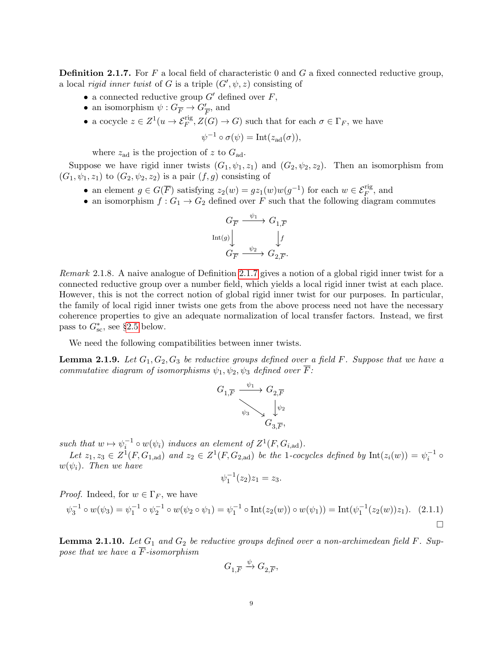<span id="page-8-0"></span>**Definition 2.1.7.** For F a local field of characteristic 0 and G a fixed connected reductive group, a local rigid inner twist of G is a triple  $(G', \psi, z)$  consisting of

- a connected reductive group  $G'$  defined over  $F$ ,
- an isomorphism  $\psi: G_{\overline{F}} \to G'_{\overline{F}}$ , and
- a cocycle  $z \in Z^1(u \to \mathcal{E}_F^{\text{rig}}, Z(G) \to G)$  such that for each  $\sigma \in \Gamma_F$ , we have

$$
\psi^{-1} \circ \sigma(\psi) = \mathrm{Int}(z_{\mathrm{ad}}(\sigma)),
$$

where  $z_{\text{ad}}$  is the projection of z to  $G_{\text{ad}}$ .

Suppose we have rigid inner twists  $(G_1, \psi_1, z_1)$  and  $(G_2, \psi_2, z_2)$ . Then an isomorphism from  $(G_1, \psi_1, z_1)$  to  $(G_2, \psi_2, z_2)$  is a pair  $(f, g)$  consisting of

- an element  $g \in G(\overline{F})$  satisfying  $z_2(w) = gz_1(w)w(g^{-1})$  for each  $w \in \mathcal{E}_F^{\text{rig}}$ , and
- an isomorphism  $f: G_1 \to G_2$  defined over F such that the following diagram commutes



Remark 2.1.8. A naive analogue of Definition [2.1.7](#page-8-0) gives a notion of a global rigid inner twist for a connected reductive group over a number field, which yields a local rigid inner twist at each place. However, this is not the correct notion of global rigid inner twist for our purposes. In particular, the family of local rigid inner twists one gets from the above process need not have the necessary coherence properties to give an adequate normalization of local transfer factors. Instead, we first pass to  $G^*_{\rm sc}$ , see §[2.5](#page-17-0) below.

We need the following compatibilities between inner twists.

<span id="page-8-2"></span>**Lemma 2.1.9.** Let  $G_1, G_2, G_3$  be reductive groups defined over a field F. Suppose that we have a commutative diagram of isomorphisms  $\psi_1, \psi_2, \psi_3$  defined over  $\overline{F}$ :



such that  $w \mapsto \psi_i^{-1} \circ w(\psi_i)$  induces an element of  $Z^1(F, G_{i, \text{ad}})$ .

Let  $z_1, z_3 \in Z^1(F, G_{1,ad})$  and  $z_2 \in Z^1(F, G_{2,ad})$  be the 1-cocycles defined by  $\text{Int}(z_i(w)) = \psi_i^{-1} \circ$  $w(\psi_i)$ . Then we have

$$
\psi_1^{-1}(z_2)z_1=z_3.
$$

*Proof.* Indeed, for  $w \in \Gamma_F$ , we have

<span id="page-8-1"></span>
$$
\psi_3^{-1} \circ w(\psi_3) = \psi_1^{-1} \circ \psi_2^{-1} \circ w(\psi_2 \circ \psi_1) = \psi_1^{-1} \circ \text{Int}(z_2(w)) \circ w(\psi_1) = \text{Int}(\psi_1^{-1}(z_2(w))z_1). \tag{2.1.1}
$$

<span id="page-8-3"></span>**Lemma 2.1.10.** Let  $G_1$  and  $G_2$  be reductive groups defined over a non-archimedean field F. Suppose that we have a  $\overline{F}$ -isomorphism

$$
G_{1,\overline{F}} \xrightarrow{\psi} G_{2,\overline{F}},
$$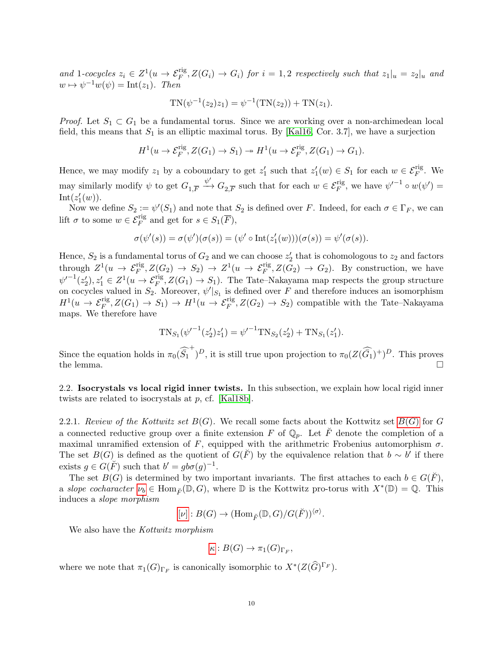<span id="page-9-2"></span>and 1-cocycles  $z_i \in Z^1(u \to \mathcal{E}_F^{\text{rig}}, Z(G_i) \to G_i)$  for  $i = 1, 2$  respectively such that  $z_1|_u = z_2|_u$  and  $w \mapsto \psi^{-1}w(\psi) = \text{Int}(z_1)$ . Then

$$
TN(\psi^{-1}(z_2)z_1) = \psi^{-1}(TN(z_2)) + TN(z_1).
$$

*Proof.* Let  $S_1 \subset G_1$  be a fundamental torus. Since we are working over a non-archimedean local field, this means that  $S_1$  is an elliptic maximal torus. By [\[Kal16,](#page-46-8) Cor. 3.7], we have a surjection

$$
H^1(u \to \mathcal{E}_F^{\text{rig}}, Z(G_1) \to S_1) \twoheadrightarrow H^1(u \to \mathcal{E}_F^{\text{rig}}, Z(G_1) \to G_1).
$$

Hence, we may modify  $z_1$  by a coboundary to get  $z'_1$  such that  $z'_1(w) \in S_1$  for each  $w \in \mathcal{E}_F^{\text{rig}}$ . We may similarly modify  $\psi$  to get  $G_{1,\overline{F}} \stackrel{\psi'}{\rightarrow} G_{2,\overline{F}}$  such that for each  $w \in \mathcal{E}_F^{\text{rig}},$  we have  ${\psi'}^{-1} \circ w(\psi') =$  $Int(z'_{1}(w)).$ 

Now we define  $S_2 := \psi'(S_1)$  and note that  $S_2$  is defined over F. Indeed, for each  $\sigma \in \Gamma_F$ , we can lift  $\sigma$  to some  $w \in \mathcal{E}_F^{\text{rig}}$  and get for  $s \in S_1(\overline{F}),$ 

$$
\sigma(\psi'(s)) = \sigma(\psi')(\sigma(s)) = (\psi' \circ \text{Int}(z'_1(w)))(\sigma(s)) = \psi'(\sigma(s)).
$$

Hence,  $S_2$  is a fundamental torus of  $G_2$  and we can choose  $z'_2$  that is cohomologous to  $z_2$  and factors through  $Z^1(u \to \mathcal{E}_F^{\text{rig}}, Z(G_2) \to S_2) \to Z^1(u \to \mathcal{E}_F^{\text{rig}}, Z(G_2) \to G_2)$ . By construction, we have  $\psi'^{-1}(z'_2), z'_1 \in Z^1(u \to \mathcal{E}_F^{\text{rig}}, Z(G_1) \to S_1)$ . The Tate–Nakayama map respects the group structure on cocycles valued in  $S_2$ . Moreover,  $\psi'|_{S_1}$  is defined over F and therefore induces an isomorphism  $H^1(u \to \mathcal{E}_F^{\text{rig}}, Z(G_1) \to S_1) \to H^1(u \to \mathcal{E}_F^{\text{rig}}, Z(G_2) \to S_2)$  compatible with the Tate–Nakayama maps. We therefore have

$$
TN_{S_1}(\psi'^{-1}(z'_2)z'_1) = {\psi'}^{-1}TN_{S_2}(z'_2) + TN_{S_1}(z'_1).
$$

Since the equation holds in  $\pi_0(\widetilde{S}_1)$ <sup>+</sup> $)^D$ , it is still true upon projection to  $\pi_0(Z(\widehat{\tilde{G}_1})^+)^D$ . This proves the lemma.  $\square$ 

<span id="page-9-0"></span>2.2. Isocrystals vs local rigid inner twists. In this subsection, we explain how local rigid inner twists are related to isocrystals at p, cf. [\[Kal18b\]](#page-46-11).

<span id="page-9-1"></span>2.2.1. Review of the Kottwitz set  $B(G)$  $B(G)$  $B(G)$ . We recall some facts about the Kottwitz set  $B(G)$  for G a connected reductive group over a finite extension F of  $\mathbb{Q}_p$ . Let  $\check{F}$  denote the completion of a maximal unramified extension of F, equipped with the arithmetric Frobenius automorphism  $\sigma$ . The set  $B(G)$  is defined as the quotient of  $G(F)$  by the equivalence relation that  $b \sim b'$  if there exists  $g \in G(\check{F})$  such that  $b' = g b \sigma(g)^{-1}$ .

The set  $B(G)$  is determined by two important invariants. The first attaches to each  $b \in G(F)$ , a slope cocharacter  $\nu_b \in \text{Hom}_{\breve{F}}(\mathbb{D}, G)$ , where  $\mathbb D$  is the Kottwitz pro-torus with  $X^*(\mathbb{D}) = \mathbb Q$ . This induces a slope morphism

$$
[\nu]: B(G) \to (\text{Hom}_{\breve{F}}(\mathbb{D}, G)/G(\breve{F}))^{\langle \sigma \rangle}.
$$

We also have the *Kottwitz morphism* 

$$
\kappa: B(G) \to \pi_1(G)_{\Gamma_F},
$$

where we note that  $\pi_1(G)_{\Gamma_F}$  is canonically isomorphic to  $X^*(Z(\widehat{G})^{\Gamma_F})$ .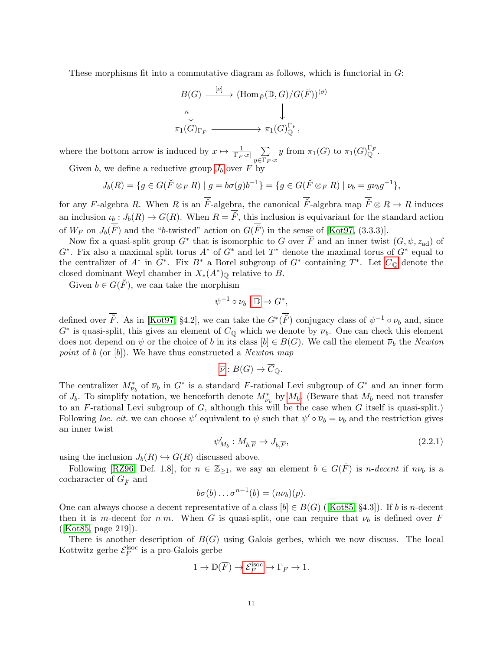<span id="page-10-1"></span>These morphisms fit into a commutative diagram as follows, which is functorial in G:

$$
B(G) \xrightarrow{[\nu]} (\text{Hom}_{\breve{F}}(\mathbb{D}, G)/G(\breve{F}))^{\langle \sigma \rangle}
$$

$$
\downarrow^{\kappa} \downarrow^{\pi_1(G)_{\Gamma_F}} \xrightarrow{\pi_1(G)_{\mathbb{Q}}^{\Gamma_F}},
$$

where the bottom arrow is induced by  $x \mapsto \frac{1}{|\Gamma_F \cdot x|} \sum_{\Gamma_F}$  $y \in \Gamma_F x$ y from  $\pi_1(G)$  to  $\pi_1(G)_{\mathbb{O}}^{\Gamma_F}$ .

Given b, we define a reductive group  $J_b$  $J_b$  over F by

$$
J_b(R) = \{ g \in G(\check{F} \otimes_F R) \mid g = b\sigma(g)b^{-1} \} = \{ g \in G(\check{F} \otimes_F R) \mid \nu_b = g\nu_b g^{-1} \},
$$

for any F-algebra R. When R is an F-algebra, the canonical F-algebra map  $\check{F} \otimes R \to R$  induces an inclusion  $\iota_b : J_b(R) \to G(R)$ . When  $R = \check{F}$ , this inclusion is equivariant for the standard action of  $W_F$  on  $J_b(\breve{F})$  and the "b-twisted" action on  $G(\breve{F})$  in the sense of [\[Kot97,](#page-47-7) (3.3.3)].

Now fix a quasi-split group  $G^*$  that is isomorphic to G over  $\overline{F}$  and an inner twist  $(G, \psi, z_{ad})$  of  $G^*$ . Fix also a maximal split torus  $A^*$  of  $G^*$  and let  $T^*$  denote the maximal torus of  $G^*$  equal to the centralizer of  $A^*$  in  $G^*$ . Fix  $B^*$  a Borel subgroup of  $G^*$  containing  $T^*$ . Let  $\overline{C}_\mathbb{Q}$  $\overline{C}_\mathbb{Q}$  $\overline{C}_\mathbb{Q}$  denote the closed dominant Weyl chamber in  $X_*(A^*)_{\mathbb{Q}}$  relative to B.

Given  $b \in G(\check{F})$ , we can take the morphism

$$
\psi^{-1} \circ \nu_b : \mathbb{D} \to G^*,
$$

defined over  $\check{F}$ . As in [\[Kot97,](#page-47-7) §4.2], we can take the  $G^*(\check{F})$  conjugacy class of  $\psi^{-1} \circ \nu_b$  and, since  $G^*$  is quasi-split, this gives an element of  $\overline{C}_{\mathbb{Q}}$  which we denote by  $\overline{\nu}_b$ . One can check this element does not depend on  $\psi$  or the choice of b in its class  $[b] \in B(G)$ . We call the element  $\overline{\nu}_b$  the Newton point of b (or  $[b]$ ). We have thus constructed a *Newton map* 

$$
\overline{\nu}: B(G) \to \overline{C}_{\mathbb{Q}}.
$$

The centralizer  $M_{\overline{\nu}_b}^*$  of  $\overline{\nu}_b$  in  $G^*$  is a standard F-rational Levi subgroup of  $G^*$  and an inner form of  $J_b$ . To simplify notation, we henceforth denote  $M_{\overline{\nu}_b}^*$  $M_{\overline{\nu}_b}^*$  by  $M_b$ . (Beware that  $M_b$  need not transfer to an  $F$ -rational Levi subgroup of  $G$ , although this will be the case when  $G$  itself is quasi-split.) Following loc. cit. we can choose  $\psi'$  equivalent to  $\psi$  such that  $\psi' \circ \overline{\nu}_b = \nu_b$  and the restriction gives an inner twist

<span id="page-10-0"></span>
$$
\psi'_{M_b}: M_{b,\overline{F}} \to J_{b,\overline{F}}, \tag{2.2.1}
$$

using the inclusion  $J_b(R) \hookrightarrow G(R)$  discussed above.

Following [\[RZ96,](#page-47-8) Def. 1.8], for  $n \in \mathbb{Z}_{\geq 1}$ , we say an element  $b \in G(F)$  is *n*-decent if  $n\nu_b$  is a cocharacter of  $G_{\breve{F}}$  and

$$
b\sigma(b)\ldots\sigma^{n-1}(b)=(n\nu_b)(p).
$$

Onecan always choose a decent representative of a class  $[b] \in B(G)$  ([\[Kot85,](#page-47-9) §4.3]). If b is n-decent then it is m-decent for  $n|m$ . When G is quasi-split, one can require that  $\nu_b$  is defined over F ([\[Kot85,](#page-47-9) page 219]).

There is another description of  $B(G)$  using Galois gerbes, which we now discuss. The local Kottwitz gerbe  $\mathcal{E}_F^{\mathrm{isoc}}$  is a pro-Galois gerbe

$$
1 \to \mathbb{D}(\overline{F}) \to \mathcal{E}_F^{\text{isoc}} \to \Gamma_F \to 1.
$$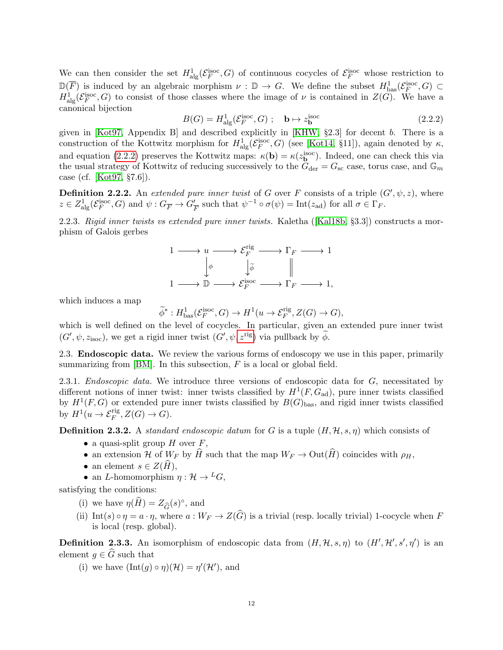<span id="page-11-3"></span>We can then consider the set  $H^1_{\text{alg}}(\mathcal{E}_F^{\text{isoc}}, G)$  of continuous cocycles of  $\mathcal{E}_F^{\text{isoc}}$  whose restriction to  $\mathbb{D}(\overline{F})$  is induced by an algebraic morphism  $\nu : \mathbb{D} \to G$ . We define the subset  $H^1_{\text{bas}}(\mathcal{E}_F^{\text{isoc}}, G) \subset$  $H^1_{\text{alg}}(\mathcal{E}_F^{\text{isoc}}, G)$  to consist of those classes where the image of  $\nu$  is contained in  $Z(G)$ . We have a canonical bijection

<span id="page-11-1"></span>
$$
B(G) = H_{\text{alg}}^1(\mathcal{E}_F^{\text{isoc}}, G) \; ; \quad \mathbf{b} \mapsto z_{\mathbf{b}}^{\text{isoc}} \tag{2.2.2}
$$

given in [\[Kot97,](#page-47-7) Appendix B] and described explicitly in [\[KHW,](#page-46-12) §2.3] for decent b. There is a construction of the Kottwitz morphism for  $H^1_{\text{alg}}(\mathcal{E}_F^{\text{isoc}}, G)$  (see [\[Kot14,](#page-47-10) §11]), again denoted by  $\kappa$ , and equation [\(2.2.2\)](#page-11-1) preserves the Kottwitz maps:  $\kappa(\mathbf{b}) = \kappa(z_{\mathbf{b}}^{\text{isoc}})$ . Indeed, one can check this via the usual strategy of Kottwitz of reducing successively to the  $G_{\text{der}} = G_{\text{sc}}$  case, torus case, and  $\mathbb{G}_m$ case (cf. [\[Kot97,](#page-47-7) §7.6]).

**Definition 2.2.2.** An extended pure inner twist of G over F consists of a triple  $(G', \psi, z)$ , where  $z \in Z^1_{\text{alg}}(\mathcal{E}_F^{\text{isoc}}, G)$  and  $\psi: G_{\overline{F}} \to G'_{\overline{F}}$  such that  $\psi^{-1} \circ \sigma(\psi) = \text{Int}(z_{ad})$  for all  $\sigma \in \Gamma_F$ .

<span id="page-11-2"></span>2.2.3. Rigid inner twists vs extended pure inner twists. Kaletha([\[Kal18b,](#page-46-11) §3.3]) constructs a morphism of Galois gerbes

$$
\begin{array}{ccc}\n1 & \longrightarrow & u \longrightarrow & \mathcal{E}_F^{\text{rig}} \longrightarrow & \Gamma_F \longrightarrow & 1 \\
\downarrow \phi & \downarrow \tilde{\phi} & \parallel & \\
1 & \longrightarrow & \mathbb{D} \longrightarrow & \mathcal{E}_F^{\text{isoc}} \longrightarrow & \Gamma_F \longrightarrow & 1,\n\end{array}
$$

which induces a map

$$
\widetilde{\phi}^* : H^1_{\text{bas}}(\mathcal{E}_F^{\text{isoc}}, G) \to H^1(u \to \mathcal{E}_F^{\text{rig}}, Z(G) \to G),
$$

which is well defined on the level of cocycles. In particular, given an extended pure inner twist  $(G', \psi, z_{\text{isoc}})$  $(G', \psi, z_{\text{isoc}})$  $(G', \psi, z_{\text{isoc}})$ , we get a rigid inner twist  $(G', \psi, z^{\text{rig}})$  via pullback by  $\widetilde{\phi}$ .

<span id="page-11-0"></span>2.3. Endoscopic data. We review the various forms of endoscopy we use in this paper, primarily summarizing from  $[BM]$ . In this subsection,  $F$  is a local or global field.

2.3.1. *Endoscopic data*. We introduce three versions of endoscopic data for  $G$ , necessitated by different notions of inner twist: inner twists classified by  $H<sup>1</sup>(F, G<sub>ad</sub>)$ , pure inner twists classified by  $H^1(F, G)$  or extended pure inner twists classified by  $B(G)_{\text{bas}}$ , and rigid inner twists classified by  $H^1(u \to \mathcal{E}_F^{\text{rig}}, Z(G) \to G)$ .

**Definition 2.3.2.** A *standard endoscopic datum* for G is a tuple  $(H, \mathcal{H}, s, \eta)$  which consists of

- a quasi-split group  $H$  over  $F$ ,
- an extension H of  $W_F$  by  $\widehat{H}$  such that the map  $W_F \to \text{Out}(\widehat{H})$  coincides with  $\rho_H$ ,
- an element  $s \in Z(\widehat{H})$ ,
- an *L*-homomorphism  $\eta : \mathcal{H} \to {}^L G$ ,

satisfying the conditions:

- (i) we have  $\eta(\widehat{H}) = Z_{\widehat{G}}(s)^\circ$ , and
- (ii) Int(s)  $\circ \eta = a \cdot \eta$ , where  $a: W_F \to Z(\widehat{G})$  is a trivial (resp. locally trivial) 1-cocycle when F is local (resp. global).

**Definition 2.3.3.** An isomorphism of endoscopic data from  $(H, H, s, \eta)$  to  $(H', H', s', \eta')$  is an element  $g \in \widehat{G}$  such that

(i) we have  $(\text{Int}(g) \circ \eta)(\mathcal{H}) = \eta'(\mathcal{H}')$ , and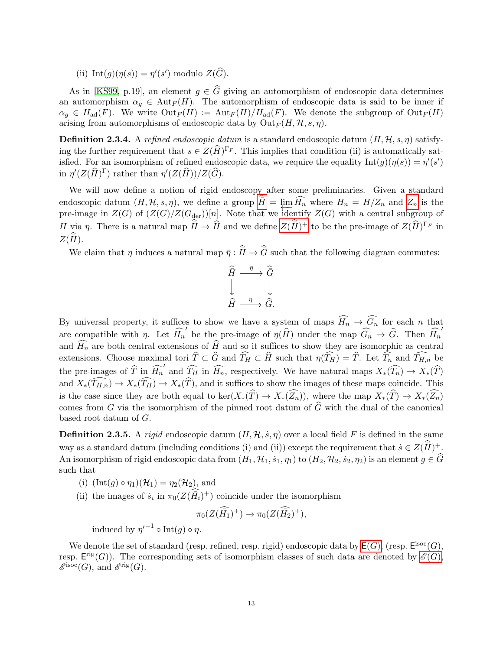<span id="page-12-1"></span>(ii)  $\text{Int}(g)(\eta(s)) = \eta'(s') \text{ modulo } Z(\widehat{G}).$ 

As in [\[KS99,](#page-47-5) p.19], an element  $q \in \widehat{G}$  giving an automorphism of endoscopic data determines an automorphism  $\alpha_q \in \text{Aut}_F(H)$ . The automorphism of endoscopic data is said to be inner if  $\alpha_q \in H_{\rm ad}(F)$ . We write  ${\rm Out}_F(H) := {\rm Aut}_F(H)/H_{\rm ad}(F)$ . We denote the subgroup of  ${\rm Out}_F(H)$ arising from automorphisms of endoscopic data by  $Out_F(H, \mathcal{H}, s, \eta)$ .

<span id="page-12-0"></span>**Definition 2.3.4.** A refined endoscopic datum is a standard endoscopic datum  $(H, H, s, \eta)$  satisfying the further requirement that  $s \in Z(\widehat{H})^{\Gamma_F}$ . This implies that condition (ii) is automatically satisfied. For an isomorphism of refined endoscopic data, we require the equality  $Int(g)(\eta(s)) = \eta'(s')$ in  $\eta'(Z(\widehat{H})^{\Gamma})$  rather than  $\eta'(Z(\widehat{H}))/Z(\widehat{G})$ .

We will now define a notion of rigid endoscopy after some preliminaries. Given a standard endoscopic datum  $(H, \mathcal{H}, s, \eta)$  $(H, \mathcal{H}, s, \eta)$  $(H, \mathcal{H}, s, \eta)$ , we define a group  $\hat{H} = \varprojlim_{n} \widehat{H_n}$  where  $H_n = H/Z_n$  $H_n = H/Z_n$  $H_n = H/Z_n$  and  $Z_n$  is the pre-image in  $Z(G)$  of  $(Z(G)/Z(G_{\text{der}}))[n]$ . Note that we identify  $Z(G)$  with a central subgroup of [H](#page-46-15) via  $\eta$ . There is a natural map  $\hat{H} \to \hat{H}$  and we define  $Z(\hat{H})^+$  to be the pre-image of  $Z(\hat{H})^{\Gamma_F}$  in  $Z(\bar{H})$ .

We claim that  $\eta$  induces a natural map  $\bar{\eta}$ :  $\hat{\bar{H}} \to \hat{\bar{G}}$  such that the following diagram commutes:



By universal property, it suffices to show we have a system of maps  $\widehat{H}_n \to \widehat{G}_n$  for each n that are compatible with  $\eta$ . Let  $\widehat{H_n}$  be the pre-image of  $\eta(\widehat{H})$  under the map  $\widehat{G_n} \to \widehat{G}$ . Then  $\widehat{H_n}$ and  $\widehat{H}_n$  are both central extensions of  $\widehat{H}$  and so it suffices to show they are isomorphic as central extensions. Choose maximal tori  $\widehat{T} \subset \widehat{G}$  and  $\widehat{T}_H \subset \widehat{H}$  such that  $\eta(\widehat{T}_H) = \widehat{T}$ . Let  $\widehat{T}_n$  and  $\widehat{T}_{H,n}$  be the pre-images of  $\widehat{T}$  in  $\widehat{H_n}$  and  $\widehat{T_H}$  in  $\widehat{H_n}$ , respectively. We have natural maps  $X_*(\widehat{T_n}) \to X_*(\widehat{T})$ and  $X_*(\widehat{T_{H,n}}) \to X_*(\widehat{T}_H) \to X_*(\widehat{T})$ , and it suffices to show the images of these maps coincide. This is the case since they are both equal to ker $(X_*(\widehat{T}) \to X_*(\widehat{Z_n}))$ , where the map  $X_*(\widehat{T}) \to X_*(\widehat{Z_n})$ comes from G via the isomorphism of the pinned root datum of  $\widehat{G}$  with the dual of the canonical based root datum of G.

**Definition 2.3.5.** A rigid endoscopic datum  $(H, H, \dot{s}, \eta)$  over a local field F is defined in the same way as a standard datum (including conditions (i) and (ii)) except the requirement that  $\dot{s} \in Z(\hat{H})^+$ . An isomorphism of rigid endoscopic data from  $(H_1, H_1, \dot{s}_1, \eta_1)$  to  $(H_2, H_2, \dot{s}_2, \eta_2)$  is an element  $g \in \widehat{G}$ such that

- (i)  $(\text{Int}(g) \circ \eta_1)(\mathcal{H}_1) = \eta_2(\mathcal{H}_2)$ , and
- (ii) the images of  $\dot{s}_i$  in  $\pi_0(Z(\tilde{H}_i)^+)$  coincide under the isomorphism

$$
\pi_0(Z(\widehat{\bar{H}_1})^+) \to \pi_0(Z(\widehat{\bar{H}_2})^+),
$$

induced by  $\eta'^{-1} \circ \text{Int}(g) \circ \eta$ .

We denote the set of standard (resp. refined, resp. rigid) endoscopic data by  $\mathsf{E}(G)$  $\mathsf{E}(G)$  $\mathsf{E}(G)$ , (resp.  $\mathsf{E}^{\text{isoc}}(G)$ , resp.  $\mathsf{E}^{\text{rig}}(G)$  $\mathsf{E}^{\text{rig}}(G)$  $\mathsf{E}^{\text{rig}}(G)$ . The corresponding sets of isomorphism classes of such data are denoted by  $\mathscr{E}(G)$ ,  $\mathscr{E}^{\text{isoc}}(G)$ , and  $\mathscr{E}^{\text{rig}}(G)$ .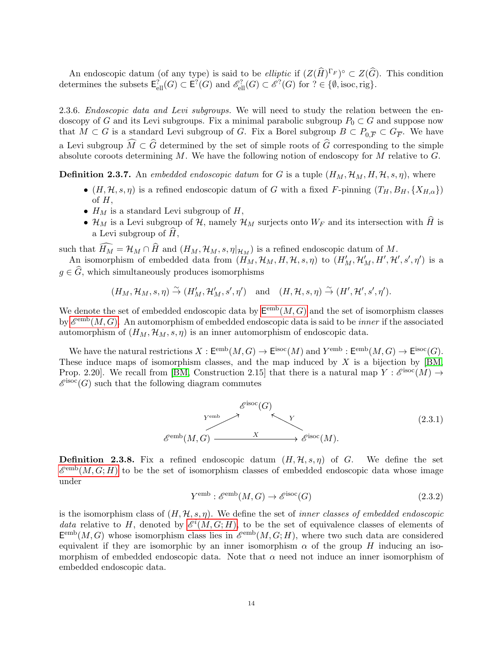<span id="page-13-1"></span>An endoscopic datum (of any type) is said to be *elliptic* if  $(Z(\widehat{H})^{\Gamma_F})^{\circ} \subset Z(\widehat{G})$ . This condition determines the subsets  $\mathsf{E}^?_{ell}(G) \subset \mathsf{E}^?$  (G) and  $\mathscr{E}^?_{ell}(G) \subset \mathscr{E}^?$  (G) for  $? \in \{\emptyset, \text{isoc, rig}\}.$ 

2.3.6. *Endoscopic data and Levi subgroups*. We will need to study the relation between the endoscopy of G and its Levi subgroups. Fix a minimal parabolic subgroup  $P_0 \subset G$  and suppose now that  $M \subset G$  is a standard Levi subgroup of G. Fix a Borel subgroup  $B \subset P_{0,\overline{F}} \subset G_{\overline{F}}$ . We have a Levi subgroup  $\widehat{M} \subset \widehat{G}$  determined by the set of simple roots of  $\widehat{G}$  corresponding to the simple absolute coroots determining M. We have the following notion of endoscopy for M relative to  $G$ .

<span id="page-13-0"></span>**Definition 2.3.7.** An embedded endoscopic datum for G is a tuple  $(H_M, \mathcal{H}_M, H, \mathcal{H}, s, \eta)$ , where

- $(H, \mathcal{H}, s, \eta)$  is a refined endoscopic datum of G with a fixed F-pinning  $(T_H, B_H, \{X_{H,\alpha}\})$ of  $H$ ,
- $H_M$  is a standard Levi subgroup of  $H$ ,
- $H_M$  is a standard Levi subgroup of H,<br>•  $\mathcal{H}_M$  is a Levi subgroup of H, namely  $\mathcal{H}_M$  surjects onto  $W_F$  and its intersection with  $\hat{H}$  is a Levi subgroup of  $H$ ,

such that  $H_M = \mathcal{H}_M \cap H$  and  $(H_M, \mathcal{H}_M, s, \eta|_{\mathcal{H}_M})$  is a refined endoscopic datum of M.

An isomorphism of embedded data from  $(H_M, \mathcal{H}_M, H, \mathcal{H}, s, \eta)$  to  $(H'_M, \mathcal{H}'_M, H', \mathcal{H}', s', \eta')$  is a  $g \in \widehat{G}$ , which simultaneously produces isomorphisms

$$
(H_M,\mathcal{H}_M,s,\eta)\stackrel{\sim}{\rightarrow}(H_M',\mathcal{H}_M',s',\eta')\quad\text{and}\quad(H,\mathcal{H},s,\eta)\stackrel{\sim}{\rightarrow}(H',\mathcal{H}',s',\eta').
$$

We denote the set of embedded endoscopic data by  $\mathsf{E}^{\text{emb}}(M, G)$  $\mathsf{E}^{\text{emb}}(M, G)$  $\mathsf{E}^{\text{emb}}(M, G)$  and the set of isomorphism classes by  $\mathcal{E}^{\text{emb}}(M, G)$  $\mathcal{E}^{\text{emb}}(M, G)$  $\mathcal{E}^{\text{emb}}(M, G)$ . An automorphism of embedded endoscopic data is said to be *inner* if the associated automorphism of  $(H_M, \mathcal{H}_M, s, \eta)$  is an inner automorphism of endoscopic data.

We have the natural restrictions  $X : \mathsf{E}^{\text{emb}}(M, G) \to \mathsf{E}^{\text{isoc}}(M)$  and  $Y^{\text{emb}} : \mathsf{E}^{\text{emb}}(M, G) \to \mathsf{E}^{\text{isoc}}(G)$ . These induce maps of isomorphism classes, and the map induced by  $X$  is a bijection by [\[BM,](#page-46-6) Prop. 2.20]. We recall from [\[BM,](#page-46-6) Construction 2.15] that there is a natural map  $Y : \mathscr{E}^{\text{isoc}}(M) \to$  $\mathscr{E}^{\text{isoc}}(G)$  such that the following diagram commutes



**Definition 2.3.8.** Fix a refined endoscopic datum  $(H, \mathcal{H}, s, \eta)$  of G. We define the set  $\mathscr{E}^{\text{emb}}(M, G; H)$  $\mathscr{E}^{\text{emb}}(M, G; H)$  $\mathscr{E}^{\text{emb}}(M, G; H)$  to be the set of isomorphism classes of embedded endoscopic data whose image under

$$
Y^{\text{emb}} : \mathcal{E}^{\text{emb}}(M, G) \to \mathcal{E}^{\text{isoc}}(G) \tag{2.3.2}
$$

is the isomorphism class of  $(H, \mathcal{H}, s, \eta)$ . We define the set of *inner classes of embedded endoscopic* data relative to H, denoted by  $\mathcal{E}^i(M, G; H)$  $\mathcal{E}^i(M, G; H)$  $\mathcal{E}^i(M, G; H)$ , to be the set of equivalence classes of elements of  $\mathsf{E}^{\text{emb}}(M, G)$  whose isomorphism class lies in  $\mathscr{E}^{\text{emb}}(M, G; H)$ , where two such data are considered equivalent if they are isomorphic by an inner isomorphism  $\alpha$  of the group H inducing an isomorphism of embedded endoscopic data. Note that  $\alpha$  need not induce an inner isomorphism of embedded endoscopic data.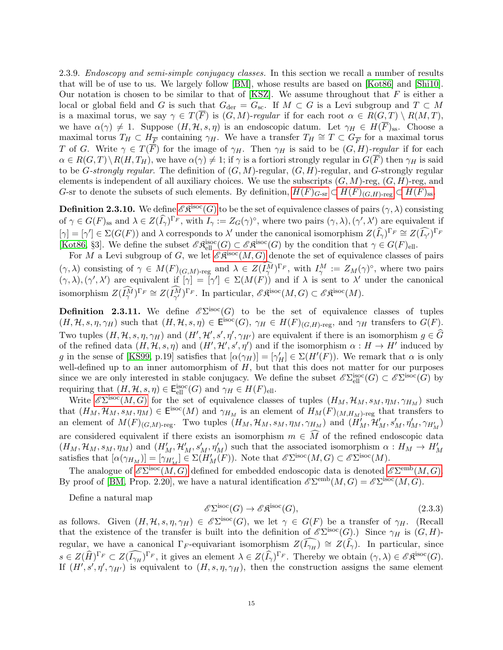<span id="page-14-1"></span>2.3.9. *Endoscopy and semi-simple conjugacy classes*. In this section we recall a number of results that will be of use to us. We largely follow [\[BM\]](#page-46-6), whose results are based on [\[Kot86\]](#page-47-11) and [\[Shi10\]](#page-48-2). Our notation is chosen to be similar to that of [\[KSZ\]](#page-47-4). We assume throughout that  $F$  is either a local or global field and G is such that  $G_{\text{der}} = G_{\text{sc}}$ . If  $M \subset G$  is a Levi subgroup and  $T \subset M$ is a maximal torus, we say  $\gamma \in T(\overline{F})$  is  $(G, M)$ -regular if for each root  $\alpha \in R(G, T) \setminus R(M, T)$ , we have  $\alpha(\gamma) \neq 1$ . Suppose  $(H, \mathcal{H}, s, \eta)$  is an endoscopic datum. Let  $\gamma_H \in H(\overline{F})_{ss}$ . Choose a maximal torus  $T_H \subset H_F^-$  containing  $\gamma_H$ . We have a transfer  $T_H \cong T \subset G_F^-$  for a maximal torus T of G. Write  $\gamma \in T(\overline{F})$  for the image of  $\gamma_H$ . Then  $\gamma_H$  is said to be  $(G, H)$ -regular if for each  $\alpha \in R(G,T) \setminus R(H,T_H)$ , we have  $\alpha(\gamma) \neq 1$ ; if  $\gamma$  is a fortiori strongly regular in  $G(\overline{F})$  then  $\gamma_H$  is said to be G-strongly regular. The definition of  $(G, M)$ -regular,  $(G, H)$ -regular, and G-strongly regular elements is independent of all auxiliary choices. We use the subscripts  $(G, M)$ -reg,  $(G, H)$ -reg, and G-sr to denote the subsets of such elements. By definition,  $H(F)_{G\text{-sr}} \subset H(F)_{(G,H)\text{-reg}} \subset H(F)_{\text{ss}}$  $H(F)_{G\text{-sr}} \subset H(F)_{(G,H)\text{-reg}} \subset H(F)_{\text{ss}}$ .

**Definition 2.3.10.** We define  $\mathscr{E} \mathfrak{K}^{\rm isoc}(G)$  $\mathscr{E} \mathfrak{K}^{\rm isoc}(G)$  $\mathscr{E} \mathfrak{K}^{\rm isoc}(G)$  to be the set of equivalence classes of pairs  $(\gamma, \lambda)$  consisting of  $\gamma \in G(F)_{\text{ss}}$  and  $\lambda \in Z(\widehat{I_{\gamma}})^{\Gamma_F}$ , with  $I_{\gamma} := Z_G(\gamma)^{\circ}$ , where two pairs  $(\gamma, \lambda), (\gamma', \lambda')$  are equivalent if  $[\gamma] = [\gamma'] \in \Sigma(G(F))$  and  $\lambda$  corresponds to  $\lambda'$  under the canonical isomorphism  $Z(\widehat{I_{\gamma}})^{\Gamma_F} \cong Z(\widehat{I_{\gamma'}})^{\Gamma_F}$ [\[Kot86,](#page-47-11) §3]. We define the subset  $\mathscr{E}\mathfrak{K}^{\text{isoc}}_{\text{ell}}(G) \subset \mathscr{E}\mathfrak{K}^{\text{isoc}}(G)$  by the condition that  $\gamma \in G(F)_{\text{ell}}$ .

For M a Levi subgroup of G, we let  $\mathscr{E} \mathfrak{K}^{\rm isoc}(M, G)$  $\mathscr{E} \mathfrak{K}^{\rm isoc}(M, G)$  $\mathscr{E} \mathfrak{K}^{\rm isoc}(M, G)$  denote the set of equivalence classes of pairs  $(\gamma, \lambda)$  consisting of  $\gamma \in M(F)_{(G,M)\text{-reg}}$  and  $\lambda \in Z(I_{\gamma}^{M})^{\Gamma_{F}},$  with  $I_{\gamma}^{M} := Z_{M}(\gamma)^{\circ}$ , where two pairs  $(\gamma, \lambda), (\gamma', \lambda')$  are equivalent if  $[\gamma] = [\gamma'] \in \Sigma(M(F))$  and if  $\lambda$  is sent to  $\lambda'$  under the canonical isomorphism  $Z(\widehat{I_{\gamma}^M})^{\Gamma_F} \cong Z(\widehat{I_{\gamma'}^M})^{\Gamma_F}$ . In particular,  $\mathscr{E} \mathfrak{K}^{\text{isoc}}(M, G) \subset \mathscr{E} \mathfrak{K}^{\text{isoc}}(M)$ .

**Definition 2.3.11.** We define  $\mathscr{E}^{\text{isoc}}(G)$  to be the set of equivalence classes of tuples  $(H, H, s, \eta, \gamma_H)$  such that  $(H, H, s, \eta) \in \mathsf{E}^{\text{isoc}}(G), \gamma_H \in H(F)_{(G,H)\text{-reg}},$  and  $\gamma_H$  transfers to  $G(F)$ . Two tuples  $(H, \mathcal{H}, s, \eta, \gamma_H)$  and  $(H', \mathcal{H}', s', \eta', \gamma_{H'})$  are equivalent if there is an isomorphism  $g \in \widehat{G}$ of the refined data  $(H, H, s, \eta)$  and  $(H', H', s', \eta')$  and if the isomorphism  $\alpha : H \to H'$  induced by g in the sense of [\[KS99,](#page-47-5) p.19] satisfies that  $[\alpha(\gamma_H)] = [\gamma_H'] \in \Sigma(H'(F))$ . We remark that  $\alpha$  is only well-defined up to an inner automorphism of  $H$ , but that this does not matter for our purposes since we are only interested in stable conjugacy. We define the subset  $\mathscr{E}\Sigma_{\text{ell}}^{\text{isoc}}(G) \subset \mathscr{E}\Sigma^{\text{isoc}}(G)$  by requiring that  $(H, H, s, \eta) \in \mathsf{E}_{\text{ell}}^{\text{isoc}}(G)$  and  $\gamma_H \in H(F)_{\text{ell}}$ .

Write  $\mathscr{E} \Sigma^{\text{isoc}}(M, G)$  $\mathscr{E} \Sigma^{\text{isoc}}(M, G)$  $\mathscr{E} \Sigma^{\text{isoc}}(M, G)$  for the set of equivalence classes of tuples  $(H_M, \mathcal{H}_M, s_M, \eta_M, \gamma_{H_M})$  such that  $(H_M, \mathcal{H}_M, s_M, \eta_M) \in \mathsf{E}^{\text{isoc}}(M)$  and  $\gamma_{H_M}$  is an element of  $H_M(F)_{(M,H_M)$ -reg that transfers to an element of  $M(F)_{(G,M)$ -reg. Two tuples  $(H_M, \mathcal{H}_M, s_M, \eta_M, \gamma_{H_M})$  and  $(\ddot{H}'_M, \mathcal{H}'_M, s'_M, \eta'_M, \gamma_{H'_M})$ are considered equivalent if there exists an isomorphism  $m \in \widehat{M}$  of the refined endoscopic data  $(H_M, H_M, s_M, \eta_M)$  and  $(H'_M, H'_M, s'_M, \eta'_M)$  such that the associated isomorphism  $\alpha: H_M \to H'_M$ satisfies that  $[\alpha(\gamma_{H_M})] = [\gamma_{H'_M}] \in \Sigma(H'_M(F))$ . Note that  $\mathscr{E}^{\text{isoc}}(M, G) \subset \mathscr{E}^{\text{isoc}}(M)$ .

The analogue of  $\mathscr{E}^{\text{isoc}}(M, G)$  $\mathscr{E}^{\text{isoc}}(M, G)$  $\mathscr{E}^{\text{isoc}}(M, G)$  defined for embedded endoscopic data is denoted  $\mathscr{E}^{\text{emb}}(M, G)$ . By proof of [\[BM,](#page-46-6) Prop. 2.20], we have a natural identification  $\mathscr{E}\Sigma^{\text{emb}}(M,G) = \mathscr{E}\Sigma^{\text{isoc}}(M,G)$ .

Define a natural map

<span id="page-14-0"></span>
$$
\mathcal{E}\Sigma^{\mathrm{isoc}}(G) \to \mathcal{E}\mathfrak{K}^{\mathrm{isoc}}(G),\tag{2.3.3}
$$

as follows. Given  $(H, H, s, \eta, \gamma_H) \in \mathscr{E}^{\text{isoc}}(G)$ , we let  $\gamma \in G(F)$  be a transfer of  $\gamma_H$ . (Recall that the existence of the transfer is built into the definition of  $\mathscr{E} \Sigma^{\text{isoc}}(G)$ .) Since  $\gamma_H$  is  $(G,H)$ regular, we have a canonical  $\Gamma_F$ -equivariant isomorphism  $Z(\widehat{I_{\gamma_H}}) \cong Z(\widehat{I_{\gamma}})$ . In particular, since  $s \in Z(\widehat{H})^{\Gamma_F} \subset Z(\widehat{I}_{\gamma_H})^{\Gamma_F}$ , it gives an element  $\lambda \in Z(\widehat{I}_{\gamma})^{\Gamma_F}$ . Thereby we obtain  $(\gamma, \lambda) \in \mathscr{E}$   $\mathfrak{K}^{\text{isoc}}(G)$ . If  $(H', s', \eta', \gamma_{H'})$  is equivalent to  $(H, s, \eta, \gamma_H)$ , then the construction assigns the same element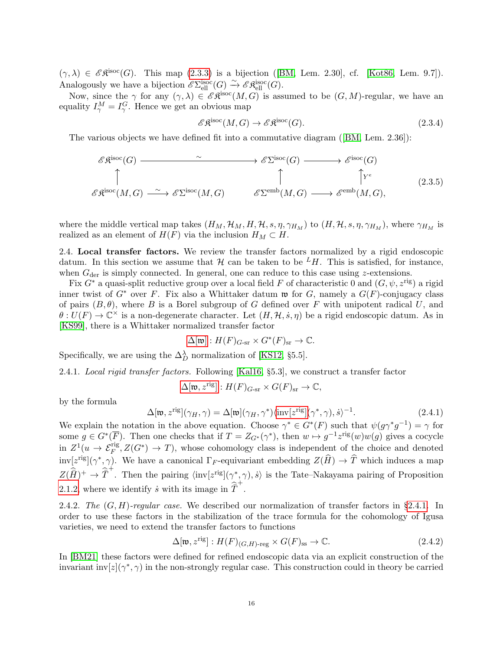<span id="page-15-6"></span> $(\gamma, \lambda) \in \mathscr{E}$  $(\gamma, \lambda) \in \mathscr{E}$  $(\gamma, \lambda) \in \mathscr{E}$   $\mathfrak{K}^{\text{isoc}}(G)$ . This map [\(2.3.3\)](#page-14-0) is a bijection ([\[BM,](#page-46-6) Lem. 2.30], cf. [\[Kot86,](#page-47-11) Lem. 9.7]). Analogously we have a bijection  $\mathscr{E}\Sigma\text{e}^{\text{isoc}}(G) \xrightarrow{\sim} \mathscr{E}\mathfrak{K}^{\text{isoc}}_{\text{ell}}(G)$ .

Now, since the  $\gamma$  for any  $(\gamma, \lambda) \in \mathscr{E} \mathfrak{K}^{\text{isoc}}(M, G)$  is assumed to be  $(G, M)$ -regular, we have an equality  $I^M_\gamma = I^G_\gamma$ . Hence we get an obvious map

$$
\mathcal{E}\mathfrak{K}^{\mathrm{isoc}}(M,G) \to \mathcal{E}\mathfrak{K}^{\mathrm{isoc}}(G). \tag{2.3.4}
$$

The various objects we have defined fit into a commutative diagram([\[BM,](#page-46-6) Lem. 2.36]):

<span id="page-15-4"></span>
$$
\mathscr{E}\mathfrak{K}^{\mathrm{isoc}}(G) \longrightarrow \mathscr{E}^{\mathrm{isoc}}(G) \longrightarrow \mathscr{E}^{\mathrm{isoc}}(G) \longrightarrow \mathscr{E}^{\mathrm{isoc}}(G)
$$
\n
$$
\uparrow \qquad \qquad \uparrow \qquad \qquad \uparrow \qquad \qquad \uparrow \qquad \qquad \uparrow
$$
\n
$$
\mathscr{E}\mathfrak{K}^{\mathrm{isoc}}(M, G) \longrightarrow \mathscr{E}^{\mathrm{2}}(M, G) \longrightarrow \mathscr{E}^{\mathrm{emb}}(M, G), \qquad (2.3.5)
$$

where the middle vertical map takes  $(H_M, H, H, H, s, \eta, \gamma_{H_M})$  to  $(H, H, s, \eta, \gamma_{H_M})$ , where  $\gamma_{H_M}$  is realized as an element of  $H(F)$  via the inclusion  $H_M \subset H$ .

<span id="page-15-0"></span>2.4. Local transfer factors. We review the transfer factors normalized by a rigid endoscopic datum. In this section we assume that  $H$  can be taken to be <sup>L</sup>H. This is satisfied, for instance, when  $G_{\text{der}}$  is simply connected. In general, one can reduce to this case using z-extensions.

Fix  $G^*$  a quasi-split reductive group over a local field F of characteristic 0 and  $(G, \psi, z^{\text{rig}})$  a rigid inner twist of  $G^*$  over F. Fix also a Whittaker datum w for G, namely a  $G(F)$ -conjugacy class of pairs  $(B, \theta)$ , where B is a Borel subgroup of G defined over F with unipotent radical U, and  $\theta: U(F) \to \mathbb{C}^\times$  is a non-degenerate character. Let  $(H, \mathcal{H}, \dot{s}, \eta)$  be a rigid endoscopic datum. As in [\[KS99\]](#page-47-5), there is a Whittaker normalized transfer factor

$$
\Delta[\mathfrak{w}]: H(F)_{G\text{-sr}} \times G^*(F)_{\text{sr}} \to \mathbb{C}.
$$

Specifically, we are using the  $\Delta_D^{\lambda}$  normalization of [\[KS12,](#page-47-12) §5.5].

<span id="page-15-1"></span>2.4.1. Local rigid transfer factors. Following [\[Kal16,](#page-46-8) §5.3], we construct a transfer factor

$$
\Delta[\mathfrak{w},z^{\text{rig}}]:H(F)_{G\text{-sr}}\times G(F)_{\text{sr}}\to\mathbb{C},
$$

by the formula

<span id="page-15-5"></span>
$$
\Delta[\mathfrak{w}, z^{\text{rig}}](\gamma_H, \gamma) = \Delta[\mathfrak{w}](\gamma_H, \gamma^*)\langle \text{inv}[z^{\text{rig}}](\gamma^*, \gamma), \dot{s}\rangle^{-1}.
$$
\n(2.4.1)

We explain the notation in the above equation. Choose  $\gamma^* \in G^*(F)$  such that  $\psi(g\gamma^*g^{-1}) = \gamma$  for some  $g \in G^*(\overline{F})$ . Then one checks that if  $T = Z_{G^*}(\gamma^*)$ , then  $w \mapsto g^{-1}z^{\text{rig}}(w)w(g)$  gives a cocycle in  $Z^1(u \to \mathcal{E}_F^{\text{rig}}, Z(G^*) \to T)$ , whose cohomology class is independent of the choice and denoted  $\text{inv}[z^{\text{rig}}](\gamma^*, \gamma)$ . We have a canonical  $\Gamma_F$ -equivariant embedding  $Z(\widehat{H}) \to \widehat{T}$  which induces a map  $Z(\hat{H})^+ \to \hat{T}^+$ . Then the pairing  $\langle inv[z^{rig}](\gamma^*, \gamma), s \rangle$  is the Tate–Nakayama pairing of Proposition [2.1.2,](#page-6-0) where we identify *s* with its image in  $\hat{\overline{T}}^+$ .

<span id="page-15-2"></span>2.4.2. The  $(G, H)$ -regular case. We described our normalization of transfer factors in §[2.4.1.](#page-15-1) In order to use these factors in the stabilization of the trace formula for the cohomology of Igusa varieties, we need to extend the transfer factors to functions

<span id="page-15-3"></span>
$$
\Delta[\mathfrak{w}, z^{\text{rig}}] : H(F)_{(G,H)\text{-reg}} \times G(F)_{\text{ss}} \to \mathbb{C}.
$$
\n(2.4.2)

In [\[BM21\]](#page-46-16) these factors were defined for refined endoscopic data via an explicit construction of the invariant  $inv[z](\gamma^*, \gamma)$  in the non-strongly regular case. This construction could in theory be carried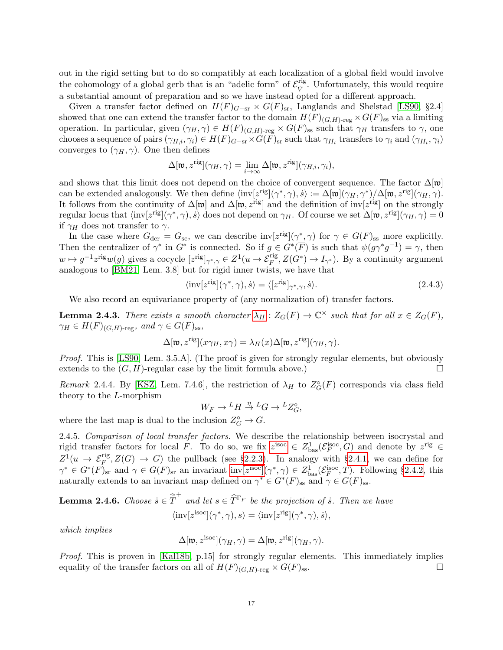<span id="page-16-4"></span>out in the rigid setting but to do so compatibly at each localization of a global field would involve the cohomology of a global gerb that is an "adelic form" of  $\mathcal{E}_{i}^{rig}$  $\dot{V}$ . Unfortunately, this would require a substantial amount of preparation and so we have instead opted for a different approach.

Given a transfer factor defined on  $H(F)_{G-\text{sr}} \times G(F)_{\text{sr}}$ , Langlands and Shelstad [\[LS90,](#page-47-13) §2.4] showed that one can extend the transfer factor to the domain  $H(F)_{(G,H)\text{-reg}} \times G(F)_{ss}$  via a limiting operation. In particular, given  $(\gamma_H, \gamma) \in H(F)_{(G,H)\text{-reg}} \times G(F)_{\text{ss}}$  such that  $\gamma_H$  transfers to  $\gamma$ , one chooses a sequence of pairs  $(\gamma_{H,i},\gamma_i) \in H(F)_{G-\text{sr}} \times G(F)_{\text{sr}}$  such that  $\gamma_{H_i}$  transfers to  $\gamma_i$  and  $(\gamma_{H_i},\gamma_i)$ converges to  $(\gamma_H, \gamma)$ . One then defines

$$
\Delta[\mathfrak{w},z^{\text{rig}}](\gamma_H,\gamma)=\lim_{i\to\infty}\Delta[\mathfrak{w},z^{\text{rig}}](\gamma_{H,i},\gamma_i),
$$

and shows that this limit does not depend on the choice of convergent sequence. The factor  $\Delta[\mathfrak{w}]$ can be extended analogously. We then define  $\langle inv[z^{rig}](\gamma^*, \gamma), \dot{s} \rangle := \Delta[w](\gamma_H, \gamma^*)/\Delta[w, z^{rig}](\gamma_H, \gamma)$ . It follows from the continuity of  $\Delta[\mathfrak{w}]$  and  $\Delta[\mathfrak{w}, z^{\text{rig}}]$  and the definition of inv $[z^{\text{rig}}]$  on the strongly regular locus that  $\langle inv[z^{rig}](\gamma^*, \gamma), \dot{s} \rangle$  does not depend on  $\gamma_H$ . Of course we set  $\Delta[\mathfrak{w}, z^{rig}](\gamma_H, \gamma) = 0$ if  $\gamma_H$  does not transfer to  $\gamma$ .

In the case where  $G_{\text{der}} = G_{\text{sc}}$ , we can describe  $\text{inv}[z^{\text{rig}}](\gamma^*, \gamma)$  for  $\gamma \in G(F)_{\text{ss}}$  more explicitly. Then the centralizer of  $\gamma^*$  in  $G^*$  is connected. So if  $g \in G^*(\overline{F})$  is such that  $\psi(g\gamma^*g^{-1}) = \gamma$ , then  $w \mapsto g^{-1}z^{\text{rig}}w(g)$  gives a cocycle  $[z^{\text{rig}}]_{\gamma^*,\gamma} \in Z^1(u \to \mathcal{E}_F^{\text{rig}}, Z(G^*) \to I_{\gamma^*})$ . By a continuity argument analogous to [\[BM21,](#page-46-16) Lem. 3.8] but for rigid inner twists, we have that

<span id="page-16-3"></span>
$$
\langle \text{inv}[z^{\text{rig}}](\gamma^*, \gamma), \dot{s} \rangle = \langle [z^{\text{rig}}]_{\gamma^*, \gamma}, \dot{s} \rangle. \tag{2.4.3}
$$

We also record an equivariance property of (any normalization of) transfer factors.

<span id="page-16-0"></span>**Lemma 2.4.3.** There exists a smooth character  $\lambda_H : Z_G(F) \to \mathbb{C}^\times$  such that for all  $x \in Z_G(F)$ ,  $\gamma_H \in H(F)_{(G,H)\text{-reg}}, \text{ and } \gamma \in G(F)_{\text{ss}},$ 

$$
\Delta[\mathfrak{w}, z^{\text{rig}}](x\gamma_H, x\gamma) = \lambda_H(x)\Delta[\mathfrak{w}, z^{\text{rig}}](\gamma_H, \gamma).
$$

Proof. This is [\[LS90,](#page-47-13) Lem. 3.5.A]. (The proof is given for strongly regular elements, but obviously extends to the  $(G, H)$ -regular case by the limit formula above.)

<span id="page-16-1"></span>Remark 2.4.4. By [\[KSZ,](#page-47-4) Lem. 7.4.6], the restriction of  $\lambda_H$  to  $Z_G^{\circ}(F)$  corresponds via class field theory to the L-morphism

$$
W_F \to {}^L H \stackrel{\eta}{\to} {}^L G \to {}^L Z_G^{\circ},
$$

where the last map is dual to the inclusion  $Z_G^{\circ} \to G$ .

2.4.5. Comparison of local transfer factors. We describe the relationship between isocrystal and rigid transfer factors for local F. To do so, we fix  $z^{isoc} \in Z_{\text{bas}}^1(\mathcal{E}_F^{\text{isoc}}, G)$  $z^{isoc} \in Z_{\text{bas}}^1(\mathcal{E}_F^{\text{isoc}}, G)$  $z^{isoc} \in Z_{\text{bas}}^1(\mathcal{E}_F^{\text{isoc}}, G)$  and denote by  $z^{\text{rig}} \in$  $Z^1(u \to \mathcal{E}_F^{\text{rig}}, Z(G) \to G)$  the pullback (see §[2.2.3\)](#page-11-2). In analogy with §[2.4.1,](#page-15-1) we can define for  $\gamma^* \in G^*(F)_{\text{sr}}$  and  $\gamma \in G(F)_{\text{sr}}$  an invariant inv $[z^{\text{isoc}}](\gamma^*, \gamma) \in Z^1_{\text{bas}}(\mathcal{E}_F^{\text{isoc}}, T)$ . Following §[2.4.2,](#page-15-2) this naturally extends to an invariant map defined on  $\gamma^* \in G^*(F)_{ss}$  and  $\gamma \in G(F)_{ss}$ .

<span id="page-16-2"></span>**Lemma 2.4.6.** Choose  $\dot{s} \in \hat{T}^+$  and let  $s \in \hat{T}^{\Gamma_F}$  be the projection of  $\dot{s}$ . Then we have  $\langle inv[z^{isoc}](\gamma^*, \gamma), s \rangle = \langle inv[z^{rig}](\gamma^*, \gamma), \dot{s} \rangle,$ 

which implies

$$
\Delta[\mathfrak{w},z^{\text{isoc}}](\gamma_H,\gamma)=\Delta[\mathfrak{w},z^{\text{rig}}](\gamma_H,\gamma).
$$

Proof. This is proven in [\[Kal18b,](#page-46-11) p.15] for strongly regular elements. This immediately implies equality of the transfer factors on all of  $H(F)_{(G,H)\text{-reg}} \times G(F)_{\text{ss}}$ .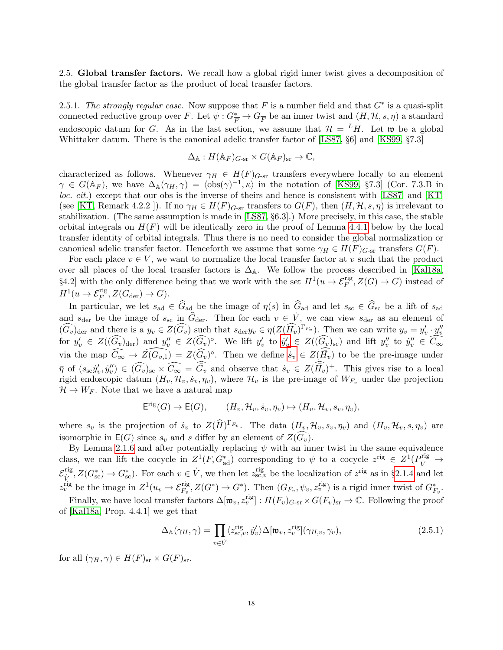<span id="page-17-3"></span><span id="page-17-0"></span>2.5. Global transfer factors. We recall how a global rigid inner twist gives a decomposition of the global transfer factor as the product of local transfer factors.

<span id="page-17-2"></span>2.5.1. The strongly regular case. Now suppose that F is a number field and that  $G^*$  is a quasi-split connected reductive group over F. Let  $\psi: G^*_{\overline{F}} \to G_{\overline{F}}$  be an inner twist and  $(H, H, s, \eta)$  a standard endoscopic datum for G. As in the last section, we assume that  $\mathcal{H} = H$ . Let we be a global Whittaker datum. There is the canonical adelic transfer factor of [\[LS87,](#page-47-14) §6] and [\[KS99,](#page-47-5) §7.3]

$$
\Delta_{\mathbb{A}} : H(\mathbb{A}_F)_{G\text{-sr}} \times G(\mathbb{A}_F)_{\text{sr}} \to \mathbb{C},
$$

characterized as follows. Whenever  $\gamma_H \in H(F)_{G\text{-sr}}$  transfers everywhere locally to an element  $\gamma \in G(\mathbb{A}_F)$ , we have  $\Delta_{\mathbb{A}}(\gamma_H, \gamma) = \langle \text{obs}(\gamma)^{-1}, \kappa \rangle$  in the notation of [\[KS99,](#page-47-5) §7.3] (Cor. 7.3.B in loc. cit.) except that our obs is the inverse of theirs and hence is consistent with [\[LS87\]](#page-47-14) and [\[KT\]](#page-47-6) (see [\[KT,](#page-47-6) Remark 4.2.2 ]). If no  $\gamma_H \in H(F)_{G\text{-sr}}$  transfers to  $G(F)$ , then  $(H, H, s, \eta)$  is irrelevant to stabilization. (The same assumption is made in [\[LS87,](#page-47-14) §6.3].) More precisely, in this case, the stable orbital integrals on  $H(F)$  will be identically zero in the proof of Lemma [4.4.1](#page-42-0) below by the local transfer identity of orbital integrals. Thus there is no need to consider the global normalization or canonical adelic transfer factor. Henceforth we assume that some  $\gamma_H \in H(F)_{G-\text{sr}}$  transfers  $G(F)$ .

For each place  $v \in V$ , we want to normalize the local transfer factor at v such that the product over all places of the local transfer factors is  $\Delta_{A}$ . We follow the process described in [\[Kal18a,](#page-46-9) §4.2] with the only difference being that we work with the set  $H^1(u \to \mathcal{E}_F^{\text{rig}}, Z(G) \to G)$  instead of  $H^1(u \to \mathcal{E}_F^{\text{rig}}, Z(G_{\text{der}}) \to G).$ 

In particular, we let  $s_{ad} \in \hat{G}_{ad}$  be the image of  $\eta(s)$  in  $\hat{G}_{ad}$  and let  $s_{sc} \in \hat{G}_{sc}$  be a lift of  $s_{ad}$ and  $s_{\text{der}}$  be the image of  $s_{\text{sc}}$  in  $\widehat{G}_{\text{der}}$ . Then for each  $v \in V$ , we can view  $s_{\text{der}}$  as an element of  $(\widehat{G_v})_{\text{der}}$  and there is a  $y_v \in Z(\widehat{G_v})$  such that  $s_{\text{der}} y_v \in \eta(Z(\widehat{H_v})^{\Gamma_{F_v}})$ . Then we can write  $y_v = y'_v \cdot y''_v$ for  $y'_{v} \in Z((\widehat{G_{v}})_{\text{der}})$  and  $y''_{v} \in Z(\widehat{G_{v}})^{\circ}$ . We lift  $y'_{v}$  to  $\dot{y}'_{v} \in Z((\widehat{G_{v}})_{\text{sc}})$  and lift  $y''_{v}$  to  $\dot{y}''_{v} \in \widehat{C_{\infty}}$ via the map  $\widehat{C_{\infty}} \to \widehat{Z(G_{v,1})} = \widehat{Z(G_v)}^{\circ}$ . Then we define  $s_v \in \widehat{Z(H_v)}$  to be the pre-image under  $\overline{\eta}$  of  $(s_{sc}y'_{v}, y''_{v}) \in (\widehat{G_{v}})_{sc} \times \widehat{C_{\infty}} = \widehat{G_{v}}$  and observe that  $s_{v} \in Z(\widehat{H_{v}})^{+}$ . This gives rise to a local rigid endoscopic datum  $(H_v, \mathcal{H}_v, \dot{s}_v, \eta_v)$ , where  $\mathcal{H}_v$  is the pre-image of  $W_{F_v}$  under the projection  $\mathcal{H} \to W_F$ . Note that we have a natural map

$$
E^{\text{rig}}(G) \to E(G), \qquad (H_v, \mathcal{H}_v, \dot{s}_v, \eta_v) \mapsto (H_v, \mathcal{H}_v, s_v, \eta_v),
$$

where  $s_v$  is the projection of  $\dot{s}_v$  to  $Z(\widehat{H})^{\Gamma_{F_v}}$ . The data  $(H_v, \mathcal{H}_v, s_v, \eta_v)$  and  $(H_v, \mathcal{H}_v, s, \eta_v)$  are isomorphic in  $\mathsf{E}(G)$  since  $s_v$  and s differ by an element of  $Z(\widehat{G_v})$ .

By Lemma [2.1.6](#page-0-0) and after potentially replacing  $\psi$  with an inner twist in the same equivalence class, we can lift the cocycle in  $Z^1(F, G^*_{ad})$  corresponding to  $\psi$  to a cocycle  $z^{\text{rig}} \in Z^1(P^{\text{rig}}_{\dot{V}} \to$  $\mathcal{E}^{\rm rig}_{\rm tr}$  $V_V^{\text{rig}}, Z(G_{\text{sc}}^*) \to G_{\text{sc}}^*$ . For each  $v \in V$ , we then let  $z_{\text{sc},v}^{\text{rig}}$  be the localization of  $z^{\text{rig}}$  as in §[2.1.4](#page-7-0) and let  $z_v^{\text{rig}}$  be the image in  $Z^1(u_v \to \mathcal{E}_{F_v}^{\text{rig}}, Z(G^*) \to G^*)$ . Then  $(G_{F_v}, \psi_v, z_v^{\text{rig}})$  is a rigid inner twist of  $G_{F_v}^*$ .

Finally, we have local transfer factors  $\Delta[\mathfrak{w}_v, z_v^{\text{rig}}] : H(F_v)_{G\text{-sr}} \times G(F_v)_{\text{sr}} \to \mathbb{C}$ . Following the proof of [\[Kal18a,](#page-46-9) Prop. 4.4.1] we get that

<span id="page-17-1"></span>
$$
\Delta_{\mathbb{A}}(\gamma_H, \gamma) = \prod_{v \in V} \langle z_{\text{sc},v}^{\text{rig}}, \dot{y}'_v \rangle \Delta[\mathfrak{w}_v, z_v^{\text{rig}}](\gamma_{H,v}, \gamma_v), \qquad (2.5.1)
$$

for all  $(\gamma_H, \gamma) \in H(F)_{\text{sr}} \times G(F)_{\text{sr}}$ .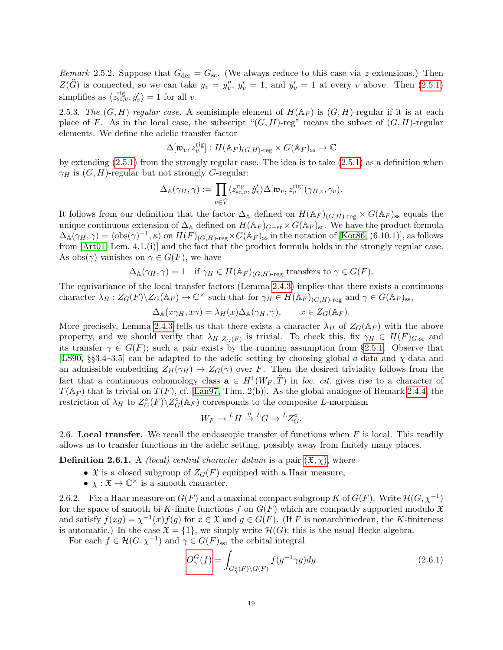<span id="page-18-4"></span><span id="page-18-2"></span>Remark 2.5.2. Suppose that  $G_{\text{der}} = G_{\text{sc}}$ . (We always reduce to this case via z-extensions.) Then  $Z(\widehat{G})$  is connected, so we can take  $y_v = y''_v, y'_v = 1$ , and  $\dot{y}'_v = 1$  at every v above. Then  $(2.5.1)$ simplifies as  $\langle z_{\text{sc},v}^{\text{rig}}, y'_v \rangle = 1$  for all v.

<span id="page-18-3"></span>2.5.3. The  $(G, H)$ -regular case. A semisimple element of  $H(\mathbb{A}_F)$  is  $(G, H)$ -regular if it is at each place of F. As in the local case, the subscript " $(G, H)$ -reg" means the subset of  $(G, H)$ -regular elements. We define the adelic transfer factor

$$
\Delta[\mathfrak{w}_v, z_v^{\text{rig}}] : H(\mathbb{A}_F)_{(G,H)\text{-reg}} \times G(\mathbb{A}_F)_{\text{ss}} \to \mathbb{C}
$$

by extending  $(2.5.1)$  from the strongly regular case. The idea is to take  $(2.5.1)$  as a definition when  $\gamma_H$  is  $(G, H)$ -regular but not strongly G-regular:

$$
\Delta_{\mathbb{A}}(\gamma_H, \gamma) := \prod_{v \in V} \langle z_{\mathrm{sc},v}^{\mathrm{rig}}, y_v' \rangle \Delta[\mathfrak{w}_v, z_v^{\mathrm{rig}}](\gamma_{H,v}, \gamma_v).
$$

It follows from our definition that the factor  $\Delta_A$  defined on  $H(\mathbb{A}_F)_{(G,H)\text{-reg}} \times G(\mathbb{A}_F)_{ss}$  equals the unique continuous extension of  $\Delta_A$  defined on  $H(\mathbb{A}_F)_{G-\text{sr}} \times G(\mathbb{A}_F)_{\text{sr}}$ . We have the product formula  $\Delta_{\mathbb{A}}(\gamma_H, \gamma) = \langle \text{obs}(\gamma)^{-1}, \kappa \rangle$  on  $H(F)_{(G,H)\text{-reg}} \times G(\mathbb{A}_F)_{ss}$  in the notation of [\[Kot86,](#page-47-11) (6.10.1)], as follows from [\[Art01,](#page-46-19) Lem. 4.1.(i)] and the fact that the product formula holds in the strongly regular case. As  $obs(\gamma)$  vanishes on  $\gamma \in G(F)$ , we have

$$
\Delta_{\mathbb{A}}(\gamma_H, \gamma) = 1 \quad \text{if } \gamma_H \in H(\mathbb{A}_F)_{(G,H)\text{-reg}} \text{ transfers to } \gamma \in G(F).
$$

The equivariance of the local transfer factors (Lemma [2.4.3\)](#page-16-0) implies that there exists a continuous character  $\lambda_H : Z_G(F) \backslash Z_G(\mathbb{A}_F) \to \mathbb{C}^\times$  such that for  $\gamma_H \in H(\mathbb{A}_F)_{(G,H)\text{-reg}}$  and  $\gamma \in G(\mathbb{A}_F)_{ss}$ ,

$$
\Delta_{\mathbb{A}}(x\gamma_H, x\gamma) = \lambda_H(x)\Delta_{\mathbb{A}}(\gamma_H, \gamma), \qquad x \in Z_G(\mathbb{A}_F).
$$

More precisely, Lemma [2.4.3](#page-16-0) tells us that there exists a character  $\lambda_H$  of  $Z_G(\mathbb{A}_F)$  with the above property, and we should verify that  $\lambda_H|_{Z_G(F)}$  is trivial. To check this, fix  $\gamma_H \in H(F)_{G\text{-sr}}$  and its transfer  $\gamma \in G(F)$ ; such a pair exists by the running assumption from §[2.5.1.](#page-17-2) Observe that [\[LS90,](#page-47-13) §§3.4–3.5] can be adapted to the adelic setting by choosing global a-data and  $\chi$ -data and an admissible embedding  $Z_H(\gamma_H) \to Z_G(\gamma)$  over F. Then the desired triviality follows from the fact that a continuous cohomology class  $\mathbf{a} \in H^1(W_F, \hat{T})$  in loc. cit. gives rise to a character of  $T(\mathbb{A}_F)$  that is trivial on  $T(F)$ , cf. [\[Lan97,](#page-47-15) Thm. 2(b)]. As the global analogue of Remark [2.4.4,](#page-16-1) the restriction of  $\lambda_H$  to  $Z_G^{\circ}(F) \backslash Z_G^{\circ}(\mathbb{A}_F)$  corresponds to the composite L-morphism

$$
W_F \to {}^L H \stackrel{\eta}{\to} {}^L G \to {}^L Z_G^{\circ}.
$$

<span id="page-18-0"></span>2.6. Local transfer. We recall the endoscopic transfer of functions when  $F$  is local. This readily allows us to transfer functions in the adelic setting, possibly away from finitely many places.

**Definition 2.6.1.** A *(local) central character datum* is a pair  $(\mathfrak{X}, \chi)$ , where

- $\mathfrak X$  is a closed subgroup of  $Z_G(F)$  equipped with a Haar measure,
- $\chi : \mathfrak{X} \to \mathbb{C}^{\times}$  is a smooth character.

2.6.2. Fix a Haar measure on  $G(F)$  and a maximal compact subgroup K of  $G(F)$ . Write  $\mathcal{H}(G, \chi^{-1})$ for the space of smooth bi-K-finite functions f on  $G(F)$  which are compactly supported modulo  $\mathfrak X$ and satisfy  $f(xg) = \chi^{-1}(x)f(g)$  for  $x \in \mathfrak{X}$  and  $g \in G(F)$ . (If F is nonarchimedean, the K-finiteness is automatic.) In the case  $\mathfrak{X} = \{1\}$ , we simply write  $\mathcal{H}(G)$ ; this is the usual Hecke algebra.

For each  $f \in \mathcal{H}(G, \chi^{-1})$  and  $\gamma \in G(F)_{\text{ss}}$ , the orbital integral

<span id="page-18-1"></span>
$$
O_{\gamma}^{G}(f) = \int_{G_{\gamma}^{\circ}(F)\backslash G(F)} f(g^{-1}\gamma g) dg
$$
\n(2.6.1)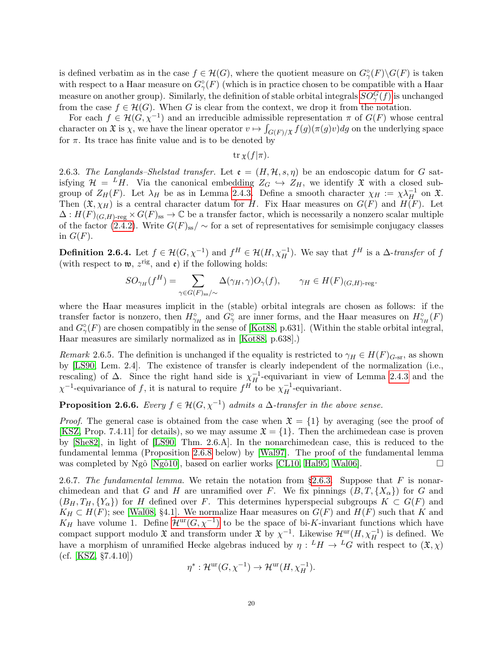<span id="page-19-4"></span>is defined verbatim as in the case  $f \in \mathcal{H}(G)$ , where the quotient measure on  $G^{\circ}_{\gamma}(F) \backslash G(F)$  is taken with respect to a Haar measure on  $G_{\gamma}^{\circ}(F)$  (which is in practice chosen to be compatible with a Haar measure on another group). Similarly, the definition of stable orbital integrals  $SO_\gamma^G(f)$  $SO_\gamma^G(f)$  is unchanged from the case  $f \in \mathcal{H}(G)$ . When G is clear from the context, we drop it from the notation.

For each  $f \in \mathcal{H}(G, \chi^{-1})$  and an irreducible admissible representation  $\pi$  of  $G(F)$  whose central character on  $\mathfrak X$  is  $\chi$ , we have the linear operator  $v \mapsto \int_{G(F)/\mathfrak X} f(g)(\pi(g)v) dg$  on the underlying space for  $\pi$ . Its trace has finite value and is to be denoted by

$$
\mathrm{tr}\,\mathfrak{X}(f|\pi).
$$

<span id="page-19-1"></span>2.6.3. The Langlands–Shelstad transfer. Let  $\mathfrak{e} = (H, \mathcal{H}, s, \eta)$  be an endoscopic datum for G satisfying  $\mathcal{H} = H$ . Via the canonical embedding  $Z_G \hookrightarrow Z_H$ , we identify  $\mathfrak X$  with a closed subgroup of  $Z_H(F)$ . Let  $\lambda_H$  be as in Lemma [2.4.3.](#page-16-0) Define a smooth character  $\chi_H := \chi \lambda_H^{-1}$  on  $\mathfrak{X}$ . Then  $(\mathfrak{X}, \chi_H)$  is a central character datum for H. Fix Haar measures on  $G(F)$  and  $H(F)$ . Let  $\Delta: H(F)_{(G,H)\text{-reg}} \times G(F)_{\text{ss}} \to \mathbb{C}$  be a transfer factor, which is necessarily a nonzero scalar multiple of the factor [\(2.4.2\)](#page-15-3). Write  $G(F)_{ss}/\sim$  for a set of representatives for semisimple conjugacy classes in  $G(F)$ .

<span id="page-19-0"></span>**Definition 2.6.4.** Let  $f \in \mathcal{H}(G, \chi^{-1})$  and  $f^H \in \mathcal{H}(H, \chi_H^{-1})$ . We say that  $f^H$  is a  $\Delta$ -transfer of f (with respect to  $\mathfrak{w}, z^{\text{rig}},$  and  $\mathfrak{e}$ ) if the following holds:

$$
SO_{\gamma_H}(f^H) = \sum_{\gamma \in G(F)_{\text{ss}}/\sim} \Delta(\gamma_H, \gamma) O_{\gamma}(f), \qquad \gamma_H \in H(F)_{(G,H)\text{-reg}}.
$$

where the Haar measures implicit in the (stable) orbital integrals are chosen as follows: if the transfer factor is nonzero, then  $H^{\circ}_{\gamma_H}$  and  $G^{\circ}_{\gamma}$  are inner forms, and the Haar measures on  $H^{\circ}_{\gamma_H}(F)$ and  $G_{\gamma}^{\circ}(F)$  are chosen compatibly in the sense of [\[Kot88,](#page-47-16) p.631]. (Within the stable orbital integral, Haar measures are similarly normalized as in [\[Kot88,](#page-47-16) p.638].)

Remark 2.6.5. The definition is unchanged if the equality is restricted to  $\gamma_H \in H(F)_{G\text{-sr}}$ , as shown by [\[LS90,](#page-47-13) Lem. 2.4]. The existence of transfer is clearly independent of the normalization (i.e., rescaling) of  $\Delta$ . Since the right hand side is  $\chi_H^{-1}$ -equivariant in view of Lemma [2.4.3](#page-16-0) and the  $\chi^{-1}$ -equivariance of f, it is natural to require  $f^H$  to be  $\chi_H^{-1}$ -equivariant.

# <span id="page-19-2"></span>**Proposition 2.6.6.** Every  $f \in H(G, \chi^{-1})$  admits a  $\Delta$ -transfer in the above sense.

*Proof.* The general case is obtained from the case when  $\mathfrak{X} = \{1\}$  by averaging (see the proof of [\[KSZ,](#page-47-4) Prop. 7.4.11] for details), so we may assume  $\mathfrak{X} = \{1\}$ . Then the archimedean case is proven by [\[She82\]](#page-47-17), in light of [\[LS90,](#page-47-13) Thm. 2.6.A]. In the nonarchimedean case, this is reduced to the fundamental lemma (Proposition [2.6.8](#page-20-0) below) by [\[Wal97\]](#page-48-3). The proof of the fundamental lemma was completed by Ngô [Ngô10], based on earlier works [\[CL10,](#page-46-21) [Hal95,](#page-46-22) [Wal06\]](#page-48-4).  $\Box$ 

<span id="page-19-3"></span>2.6.7. The fundamental lemma. We retain the notation from §[2.6.3.](#page-19-1) Suppose that F is nonarchimedean and that G and H are unramified over F. We fix pinnings  $(B, T, \{X_{\alpha}\})$  for G and  $(B_H, T_H, \{Y_\alpha\})$  for H defined over F. This determines hyperspecial subgroups  $K \subset G(F)$  and  $K_H \subset H(F)$ ; see [\[Wal08,](#page-48-5) §4.1]. We normalize Haar measures on  $G(F)$  and  $H(F)$  such that K and  $K_H$  have volume 1. Define  $\mathcal{H}^{\text{ur}}(G, \chi^{-1})$  to be the space of bi-K-invariant functions which have compact support modulo  $\mathfrak X$  and transform under  $\mathfrak X$  by  $\chi^{-1}$ . Likewise  $\mathcal H^{\text{ur}}(H, \chi_H^{-1})$  is defined. We have a morphism of unramified Hecke algebras induced by  $\eta: {}^L H \to {}^L G$  with respect to  $(\mathfrak{X}, \chi)$ (cf. [\[KSZ,](#page-47-4) §7.4.10])

$$
\eta^* : \mathcal{H}^{\mathrm{ur}}(G, \chi^{-1}) \to \mathcal{H}^{\mathrm{ur}}(H, \chi_H^{-1}).
$$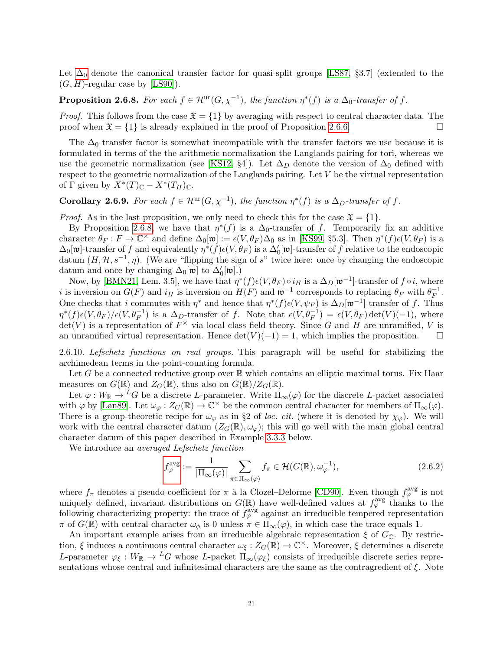<span id="page-20-2"></span>Let  $\Delta_0$  denote the canonical transfer factor for quasi-split groups [\[LS87,](#page-47-14) §3.7] (extended to the  $(G, H)$ -regular case by [\[LS90\]](#page-47-13)).

<span id="page-20-0"></span>**Proposition 2.6.8.** For each  $f \in \mathcal{H}^{\text{ur}}(G, \chi^{-1})$ , the function  $\eta^*(f)$  is a  $\Delta_0$ -transfer of f.

*Proof.* This follows from the case  $\mathfrak{X} = \{1\}$  by averaging with respect to central character data. The proof when  $\mathfrak{X} = \{1\}$  is already explained in the proof of Proposition [2.6.6.](#page-19-2)

The  $\Delta_0$  transfer factor is somewhat incompatible with the transfer factors we use because it is formulated in terms of the the arithmetic normalization the Langlands pairing for tori, whereas we use the geometric normalization (see [\[KS12,](#page-47-12) §4]). Let  $\Delta_D$  denote the version of  $\Delta_0$  defined with respect to the geometric normalization of the Langlands pairing. Let V be the virtual representation of  $\Gamma$  given by  $X^*(T)_{\mathbb{C}} - X^*(T_H)_{\mathbb{C}}$ .

# **Corollary 2.6.9.** For each  $f \in \mathcal{H}^{\text{ur}}(G, \chi^{-1})$ , the function  $\eta^*(f)$  is a  $\Delta_D$ -transfer of f.

*Proof.* As in the last proposition, we only need to check this for the case  $\mathfrak{X} = \{1\}$ .

By Proposition [2.6.8,](#page-20-0) we have that  $\eta^*(f)$  is a  $\Delta_0$ -transfer of f. Temporarily fix an additive character  $\theta_F : F \to \mathbb{C}^\times$  and define  $\Delta_0[\mathfrak{w}] := \epsilon(V, \theta_F) \Delta_0$  as in [\[KS99,](#page-47-5) §5.3]. Then  $\eta^*(f) \epsilon(V, \theta_F)$  is a  $\Delta_0[\mathfrak{w}]$ -transfer of f and equivalently  $\eta^*(f)\epsilon(V,\theta_F)$  is a  $\Delta'_0[\mathfrak{w}]$ -transfer of f relative to the endoscopic datum  $(H, \mathcal{H}, s^{-1}, \eta)$ . (We are "flipping the sign of s" twice here: once by changing the endoscopic datum and once by changing  $\Delta_0[\mathfrak{w}]$  to  $\Delta'_0[\mathfrak{w}]$ .)

Now, by [\[BMN21,](#page-46-23) Lem. 3.5], we have that  $\eta^*(f) \epsilon(V, \theta_F) \circ i_H$  is a  $\Delta_D[\mathfrak{w}^{-1}]$ -transfer of  $f \circ i$ , where i is inversion on  $G(F)$  and  $i_H$  is inversion on  $H(F)$  and  $\mathfrak{w}^{-1}$  corresponds to replacing  $\theta_F$  with  $\theta_F^{-1}$ . *i* is inversion on  $G(Y)$  and  $i_H$  is inversion on  $H(Y)$  and  $\omega$  corresponds to replacing  $v_F$  with  $v_F$ .<br>One checks that *i* commutes with  $\eta^*$  and hence that  $\eta^*(f)\epsilon(V,\psi_F)$  is  $\Delta_D[\mathfrak{w}^{-1}]$ -transfer of *f*. Thus  $\eta^*(f)\epsilon(V,\theta_F)/\epsilon(V,\theta_F^{-1})$  is a  $\Delta_D$ -transfer of f. Note that  $\epsilon(V,\theta_F^{-1}) = \epsilon(V,\theta_F) \det(V)(-1)$ , where  $\det(V)$  is a representation of  $F^{\times}$  via local class field theory. Since G and H are unramified, V is an unramified virtual representation. Hence  $\det(V)(-1) = 1$ , which implies the proposition.  $\square$ 

<span id="page-20-1"></span>2.6.10. Lefschetz functions on real groups. This paragraph will be useful for stabilizing the archimedean terms in the point-counting formula.

Let G be a connected reductive group over  $\mathbb R$  which contains an elliptic maximal torus. Fix Haar measures on  $G(\mathbb{R})$  and  $Z_G(\mathbb{R})$ , thus also on  $G(\mathbb{R})/Z_G(\mathbb{R})$ .

Let  $\varphi : W_{\mathbb{R}} \to L^2$  be a discrete L-parameter. Write  $\Pi_{\infty}(\varphi)$  for the discrete L-packet associated with  $\varphi$  by [\[Lan89\]](#page-47-19). Let  $\omega_{\varphi}:Z_G(\mathbb{R})\to\mathbb{C}^{\times}$  be the common central character for members of  $\Pi_{\infty}(\varphi)$ . There is a group-theoretic recipe for  $\omega_{\varphi}$  as in §2 of loc. cit. (where it is denoted by  $\chi_{\varphi}$ ). We will work with the central character datum  $(Z_G(\mathbb{R}), \omega_{\varphi})$ ; this will go well with the main global central character datum of this paper described in Example [3.3.3](#page-29-0) below.

We introduce an averaged Lefschetz function

$$
f_{\varphi}^{\text{avg}} := \frac{1}{|\Pi_{\infty}(\varphi)|} \sum_{\pi \in \Pi_{\infty}(\varphi)} f_{\pi} \in \mathcal{H}(G(\mathbb{R}), \omega_{\varphi}^{-1}), \tag{2.6.2}
$$

where  $f_{\pi}$  denotes a pseudo-coefficient for  $\pi$  à la Clozel–Delorme [\[CD90\]](#page-46-24). Even though  $f_{\varphi}^{\text{avg}}$  is not uniquely defined, invariant distributions on  $G(\mathbb{R})$  have well-defined values at  $f_{\varphi}^{\text{avg}}$  thanks to the following characterizing property: the trace of  $f_{\varphi}^{\text{avg}}$  against an irreducible tempered representation  $\pi$  of  $G(\mathbb{R})$  with central character  $\omega_{\phi}$  is 0 unless  $\pi \in \Pi_{\infty}(\varphi)$ , in which case the trace equals 1.

An important example arises from an irreducible algebraic representation  $\xi$  of  $G_{\mathbb{C}}$ . By restriction,  $\xi$  induces a continuous central character  $\omega_{\xi}: Z_G(\mathbb{R}) \to \mathbb{C}^{\times}$ . Moreover,  $\xi$  determines a discrete L-parameter  $\varphi_{\xi}: W_{\mathbb{R}} \to L_G$  whose L-packet  $\Pi_{\infty}(\varphi_{\xi})$  consists of irreducible discrete series representations whose central and infinitesimal characters are the same as the contragredient of  $\xi$ . Note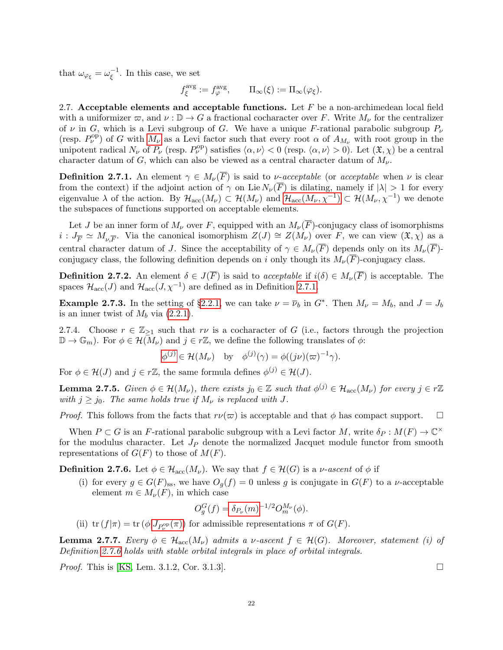<span id="page-21-6"></span>that  $\omega_{\varphi_{\xi}} = \omega_{\xi}^{-1}$  $\overline{\xi}^{-1}$ . In this case, we set

$$
f_{\xi}^{\text{avg}} := f_{\varphi}^{\text{avg}}, \qquad \Pi_{\infty}(\xi) := \Pi_{\infty}(\varphi_{\xi}).
$$

<span id="page-21-0"></span>2.7. Acceptable elements and acceptable functions. Let  $F$  be a non-archimedean local field with a uniformizer  $\varpi$ , and  $\nu : \mathbb{D} \to G$  a fractional cocharacter over F. Write  $M_{\nu}$  for the centralizer of  $\nu$  in G, which is a Levi subgroup of G. We have a unique F-rational parabolic subgroup  $P_{\nu}$ (resp.  $P_\nu^{\text{op}}$ ) of G with  $M_\nu$  $M_\nu$  as a Levi factor such that every root  $\alpha$  of  $A_{M_\nu}$  with root group in the unipotent radical  $N_{\nu}$  of  $P_{\nu}$  (resp.  $P_{\nu}^{\text{op}}$ ) satisfies  $\langle \alpha, \nu \rangle < 0$  (resp.  $\langle \alpha, \nu \rangle > 0$ ). Let  $(\mathfrak{X}, \chi)$  be a central character datum of G, which can also be viewed as a central character datum of  $M_{\nu}$ .

<span id="page-21-2"></span>**Definition 2.7.1.** An element  $\gamma \in M_{\nu}(\overline{F})$  is said to *v*-acceptable (or acceptable when  $\nu$  is clear from the context) if the adjoint action of  $\gamma$  on Lie  $N_{\nu}(\overline{F})$  is dilating, namely if  $|\lambda| > 1$  for every eigenvalue  $\lambda$  of the action. By  $\mathcal{H}_{\text{acc}}(M_{\nu}) \subset \mathcal{H}(M_{\nu})$  and  $\mathcal{H}_{\text{acc}}(M_{\nu}, \chi^{-1}) \subset \mathcal{H}(M_{\nu}, \chi^{-1})$  we denote the subspaces of functions supported on acceptable elements.

Let J be an inner form of  $M_{\nu}$  over F, equipped with an  $M_{\nu}(\overline{F})$ -conjugacy class of isomorphisms  $i: J_{\overline{F}} \simeq M_{\nu,\overline{F}}$ . Via the canonical isomorphism  $Z(J) \cong Z(M_{\nu})$  over F, we can view  $(\mathfrak{X}, \chi)$  as a central character datum of J. Since the acceptability of  $\gamma \in M_{\nu}(\overline{F})$  depends only on its  $M_{\nu}(\overline{F})$ conjugacy class, the following definition depends on i only though its  $M_{\nu}(\overline{F})$ -conjugacy class.

<span id="page-21-3"></span>**Definition 2.7.2.** An element  $\delta \in J(\overline{F})$  is said to acceptable if  $i(\delta) \in M_{\nu}(\overline{F})$  is acceptable. The spaces  $\mathcal{H}_{\text{acc}}(J)$  and  $\mathcal{H}_{\text{acc}}(J, \chi^{-1})$  are defined as in Definition [2.7.1.](#page-21-2)

<span id="page-21-4"></span>**Example 2.7.3.** In the setting of §[2.2.1,](#page-9-1) we can take  $\nu = \overline{\nu}_b$  in  $G^*$ . Then  $M_{\nu} = M_b$ , and  $J = J_b$ is an inner twist of  $M_b$  via  $(2.2.1)$ .

2.7.4. Choose  $r \in \mathbb{Z}_{\geq 1}$  such that  $r\nu$  is a cocharacter of G (i.e., factors through the projection  $\mathbb{D} \to \mathbb{G}_m$ ). For  $\phi \in \mathcal{H}(M_{\nu})$  and  $j \in r\mathbb{Z}$ , we define the following translates of  $\phi$ :

$$
\phi^{(j)} \in \mathcal{H}(M_{\nu}) \quad \text{by} \quad \phi^{(j)}(\gamma) = \phi((j\nu)(\varpi)^{-1}\gamma).
$$

For  $\phi \in \mathcal{H}(J)$  and  $j \in r\mathbb{Z}$ , the same formula defines  $\phi^{(j)} \in \mathcal{H}(J)$ .

**Lemma 2.7.5.** Given  $\phi \in \mathcal{H}(M_{\nu})$ , there exists  $j_0 \in \mathbb{Z}$  such that  $\phi^{(j)} \in \mathcal{H}_{\text{acc}}(M_{\nu})$  for every  $j \in r\mathbb{Z}$ with  $j \ge j_0$ . The same holds true if  $M_{\nu}$  is replaced with J.

*Proof.* This follows from the facts that  $r\nu(\varpi)$  is acceptable and that  $\phi$  has compact support.  $\Box$ 

When  $P \subset G$  is an F-rational parabolic subgroup with a Levi factor M, write  $\delta_P : M(F) \to \mathbb{C}^\times$ for the modulus character. Let  $J_P$  denote the normalized Jacquet module functor from smooth representations of  $G(F)$  to those of  $M(F)$ .

<span id="page-21-1"></span>**Definition 2.7.6.** Let  $\phi \in \mathcal{H}_{\text{acc}}(M_{\nu})$ . We say that  $f \in \mathcal{H}(G)$  is a *v*-ascent of  $\phi$  if

(i) for every  $g \in G(F)_{ss}$ , we have  $O_g(f) = 0$  unless g is conjugate in  $G(F)$  to a v-acceptable element  $m \in M_{\nu}(F)$ , in which case

$$
O_g^G(f) = \delta_{P_{\nu}}(m)^{-1/2} O_m^{M_{\nu}}(\phi).
$$

(ii)  $tr(f|\pi) = tr(\phi|J_{P_{\nu}^{\text{op}}}(\pi))$  for admissible representations  $\pi$  of  $G(F)$ .

<span id="page-21-5"></span>**Lemma 2.7.7.** Every  $\phi \in \mathcal{H}_{\text{acc}}(M_{\nu})$  admits a *v*-ascent  $f \in \mathcal{H}(G)$ . Moreover, statement (i) of Definition [2.7.6](#page-21-1) holds with stable orbital integrals in place of orbital integrals.

*Proof.* This is [\[KS,](#page-47-1) Lem. 3.1.2, Cor. 3.1.3].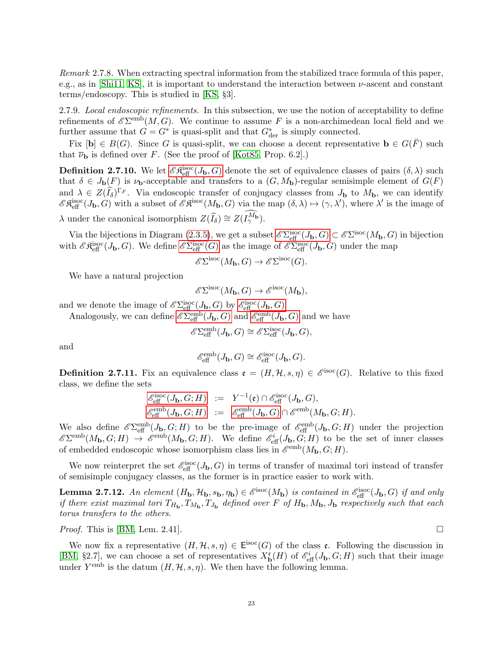<span id="page-22-2"></span>Remark 2.7.8. When extracting spectral information from the stabilized trace formula of this paper, e.g., as in  $|\text{Shi11}, \text{KS}|$ , it is important to understand the interaction between  $\nu$ -ascent and constant terms/endoscopy. This is studied in [\[KS,](#page-47-1) §3].

<span id="page-22-0"></span>2.7.9. Local endoscopic refinements. In this subsection, we use the notion of acceptability to define refinements of  $\mathscr{E} \Sigma^{\text{emb}}(M, G)$ . We continue to assume F is a non-archimedean local field and we further assume that  $G = G^*$  is quasi-split and that  $G^*_{\text{der}}$  is simply connected.

Fix  $[b] \in B(G)$ . Since G is quasi-split, we can choose a decent representative  $\mathbf{b} \in G(F)$  such that  $\overline{\nu}_{\mathbf{b}}$  is defined over F. (See the proof of [\[Kot85,](#page-47-9) Prop. 6.2].)

<span id="page-22-1"></span>**Definition 2.7.10.** We let  $\mathscr{E} \mathfrak{K}_{\text{eff}}^{\text{isoc}}(J_{b}, G)$  $\mathscr{E} \mathfrak{K}_{\text{eff}}^{\text{isoc}}(J_{b}, G)$  $\mathscr{E} \mathfrak{K}_{\text{eff}}^{\text{isoc}}(J_{b}, G)$  denote the set of equivalence classes of pairs  $(\delta, \lambda)$  such that  $\delta \in J_{\mathbf{b}}(F)$  is  $\nu_{\mathbf{b}}$ -acceptable and transfers to a  $(G, M_{\mathbf{b}})$ -regular semisimple element of  $G(F)$ and  $\lambda \in Z(\widehat{I}_{\delta})^{\Gamma_{F}}$ . Via endoscopic transfer of conjugacy classes from  $J_{\mathbf{b}}$  to  $M_{\mathbf{b}}$ , we can identify  $\mathscr{E} \mathfrak{K}_{\text{eff}}^{\text{isoc}}(J_{\mathbf{b}}, G)$  with a subset of  $\mathscr{E} \mathfrak{K}^{\text{isoc}}(M_{\mathbf{b}}, G)$  via the map  $(\delta, \lambda) \mapsto (\gamma, \lambda')$ , where  $\lambda'$  is the image of  $\lambda$  under the canonical isomorphism  $Z(\widehat{I}_{\delta}) \cong Z(I_{\gamma}^{M_{\mathbf{b}}}).$ 

Via the bijections in Diagram [\(2.3.5\)](#page-15-4), we get a subset  $\mathscr{E}\Sigma_{\text{eff}}^{\text{isoc}}(J_{\mathbf{b}}, G) \subset \mathscr{E}\Sigma_{\text{F}}^{\text{isoc}}(M_{\mathbf{b}}, G)$  $\mathscr{E}\Sigma_{\text{eff}}^{\text{isoc}}(J_{\mathbf{b}}, G) \subset \mathscr{E}\Sigma_{\text{F}}^{\text{isoc}}(M_{\mathbf{b}}, G)$  $\mathscr{E}\Sigma_{\text{eff}}^{\text{isoc}}(J_{\mathbf{b}}, G) \subset \mathscr{E}\Sigma_{\text{F}}^{\text{isoc}}(M_{\mathbf{b}}, G)$  in bijection with  $\mathscr{E}\mathcal{R}_{\text{eff}}^{\text{isoc}}(J_{\mathbf{b}}, G)$  $\mathscr{E}\mathcal{R}_{\text{eff}}^{\text{isoc}}(J_{\mathbf{b}}, G)$  $\mathscr{E}\mathcal{R}_{\text{eff}}^{\text{isoc}}(J_{\mathbf{b}}, G)$ . We define  $\mathscr{E}\Sigma_{\text{eff}}^{\text{isoc}}(G)$  as the image of  $\mathscr{E}\Sigma_{\text{eff}}^{\text{isoc}}(J_{\mathbf{b}}, G)$  under the map

$$
\mathscr{E}\Sigma^{\mathrm{isoc}}(M_{\mathbf{b}},G) \to \mathscr{E}\Sigma^{\mathrm{isoc}}(G).
$$

We have a natural projection

$$
\mathscr{E}\Sigma^{\mathrm{isoc}}(M_{\mathbf{b}}, G) \to \mathscr{E}^{\mathrm{isoc}}(M_{\mathbf{b}}),
$$

and we denote the image of  $\mathscr{E}^{\text{isoc}}_{\text{eff}}(J_{\mathbf{b}}, G)$  $\mathscr{E}^{\text{isoc}}_{\text{eff}}(J_{\mathbf{b}}, G)$  $\mathscr{E}^{\text{isoc}}_{\text{eff}}(J_{\mathbf{b}}, G)$  by  $\mathscr{E}^{\text{isoc}}_{\text{eff}}(J_{\mathbf{b}}, G)$ .

Analogously, we can define  $\mathscr{E}\Sigma_{\text{eff}}^{\text{emb}}(J_{\mathbf{b}}, G)$  $\mathscr{E}\Sigma_{\text{eff}}^{\text{emb}}(J_{\mathbf{b}}, G)$  $\mathscr{E}\Sigma_{\text{eff}}^{\text{emb}}(J_{\mathbf{b}}, G)$  and  $\mathscr{E}_{\text{eff}}^{\text{emb}}(J_{\mathbf{b}}, G)$  and we have

$$
\mathscr{E}\Sigma_{\text{eff}}^{\text{emb}}(J_{\mathbf{b}},G)\cong \mathscr{E}\Sigma_{\text{eff}}^{\text{isoc}}(J_{\mathbf{b}},G),
$$

and

$$
\mathscr{E}_{\text{eff}}^{\text{emb}}(J_{\mathbf{b}},G)\cong \mathscr{E}_{\text{eff}}^{\text{isoc}}(J_{\mathbf{b}},G).
$$

**Definition 2.7.11.** Fix an equivalence class  $\mathfrak{e} = (H, \mathcal{H}, s, \eta) \in \mathcal{E}^{\text{isoc}}(G)$ . Relative to this fixed class, we define the sets

$$
\begin{array}{rcl} \mathscr{E}_{\mathrm{eff}}^{\mathrm{isoc}}(J_{\mathbf{b}},G;H) & := & Y^{-1}(\mathfrak{e})\cap \mathscr{E}_{\mathrm{eff}}^{\mathrm{isoc}}(J_{\mathbf{b}},G),\\ \mathscr{E}_{\mathrm{eff}}^{\mathrm{emb}}(J_{\mathbf{b}},G;H) & := & \mathscr{E}_{\mathrm{eff}}^{\mathrm{emb}}(J_{\mathbf{b}},G)\cap \mathscr{E}^{\mathrm{emb}}(M_{\mathbf{b}},G;H). \end{array}
$$

We also define  $\mathscr{E}\Sigma_{\text{eff}}^{\text{emb}}(J_{\mathbf{b}}, G; H)$  to be the pre-image of  $\mathscr{E}_{\text{eff}}^{\text{emb}}(J_{\mathbf{b}}, G; H)$  under the projection  $\mathscr{E}\Sigma^{\text{emb}}(M_{\mathbf{b}}, G; H) \rightarrow \mathscr{E}^{\text{emb}}(M_{\mathbf{b}}, G; H)$ . We define  $\mathscr{E}_{\text{eff}}^{i}(J_{\mathbf{b}}, G; H)$  to be the set of inner classes of embedded endoscopic whose isomorphism class lies in  $\mathscr{E}^{\text{emb}}(M_{\mathbf{b}}, G; H)$ .

We now reinterpret the set  $\mathscr{E}_{\text{eff}}^{\text{isoc}}(J_{\mathbf{b}}, G)$  in terms of transfer of maximal tori instead of transfer of semisimple conjugacy classes, as the former is in practice easier to work with.

**Lemma 2.7.12.** An element  $(H_{\mathbf{b}}, \mathcal{H}_{\mathbf{b}}, s_{\mathbf{b}}, \eta_{\mathbf{b}}) \in \mathcal{E}^{\text{isoc}}(M_{\mathbf{b}})$  is contained in  $\mathcal{E}_{\text{eff}}^{\text{isoc}}(J_{\mathbf{b}}, G)$  if and only if there exist maximal tori  $T_{H_{\bf b}}, T_{M_{\bf b}}, T_{J_{\bf b}}$  defined over F of  $H_{\bf b}, M_{\bf b}, J_{\bf b}$  respectively such that each torus transfers to the others.

*Proof.* This is [\[BM,](#page-46-6) Lem. 2.41].

We now fix a representative  $(H, \mathcal{H}, s, \eta) \in \mathsf{E}^{\text{isoc}}(G)$  of the class  $\mathfrak{e}$ . Following the discussion in [\[BM,](#page-46-6) §2.7], we can choose a set of representatives  $X_{\mathbf{b}}^{\mathfrak{e}}(H)$  of  $\mathscr{E}_{\text{eff}}^{i}(J_{\mathbf{b}},G;H)$  such that their image under  $Y^{\text{emb}}$  is the datum  $(H, \mathcal{H}, s, \eta)$ . We then have the following lemma.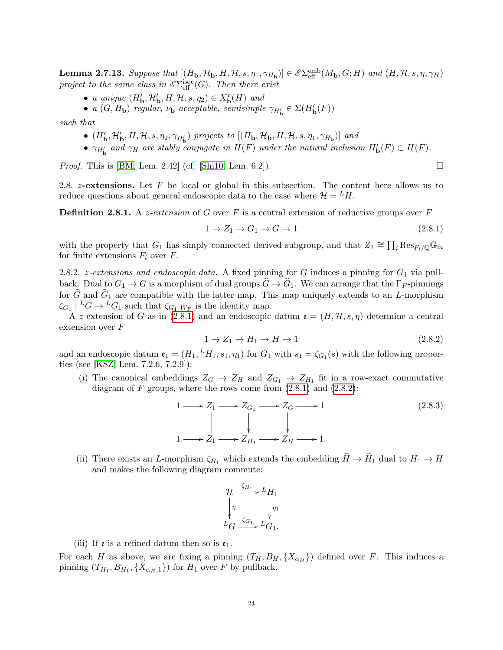<span id="page-23-5"></span>**Lemma 2.7.13.** Suppose that  $[(H_{\mathbf{b}}, H_{\mathbf{b}}, H, H, s, \eta_1, \gamma_{H_{\mathbf{b}}})] \in \mathscr{E}\Sigma_{\text{eff}}^{\text{emb}}(M_{\mathbf{b}}, G; H)$  and  $(H, H, s, \eta, \gamma_H)$ project to the same class in  $\mathscr{E} \Sigma_{\text{eff}}^{\text{isoc}}(G)$ . Then there exist

- a unique  $(H'_{\mathbf{b}}, \mathcal{H}'_{\mathbf{b}}, H, \mathcal{H}, s, \eta_2) \in X_{\mathbf{b}}^{\mathfrak{e}}(H)$  and
- a  $(G, H_{\mathbf{b}})$ -regular,  $\nu_{\mathbf{b}}$ -acceptable, semisimple  $\gamma_{H'_{\mathbf{b}}} \in \Sigma(H'_{\mathbf{b}}(F))$

such that

- $(H'_{\mathbf{b}}, \mathcal{H}'_{\mathbf{b}}, H, \mathcal{H}, s, \eta_2, \gamma_{H'_{\mathbf{b}}})$  projects to  $[(H_{\mathbf{b}}, \mathcal{H}_{\mathbf{b}}, H, \mathcal{H}, s, \eta_1, \gamma_{H_{\mathbf{b}}})]$  and
- $\gamma_{H'_{\mathbf{b}}}$  and  $\gamma_H$  are stably conjugate in  $H(F)$  under the natural inclusion  $H'_{\mathbf{b}}(F) \subset H(F)$ .

*Proof.* This is [\[BM,](#page-46-6) Lem. 2.42] (cf. [\[Shi10,](#page-48-2) Lem. 6.2]).

<span id="page-23-0"></span>2.8.  $z$ -extensions. Let F be local or global in this subsection. The content here allows us to reduce questions about general endoscopic data to the case where  $\mathcal{H} = {}^L H$ .

**Definition 2.8.1.** A *z*-extension of G over F is a central extension of reductive groups over F

<span id="page-23-1"></span>
$$
1 \to Z_1 \to G_1 \to G \to 1 \tag{2.8.1}
$$

with the property that  $G_1$  has simply connected derived subgroup, and that  $Z_1 \cong \prod_i \text{Res}_{F_i/\mathbb{Q}} \mathbb{G}_m$ for finite extensions  $F_i$  over  $F$ .

<span id="page-23-3"></span>2.8.2. *z*-extensions and endoscopic data. A fixed pinning for G induces a pinning for  $G_1$  via pullback. Dual to  $G_1 \to G$  is a morphism of dual groups  $\widehat{G} \to \widehat{G}_1$ . We can arrange that the  $\Gamma_F$ -pinnings for  $\widehat{G}$  and  $\widehat{G}_1$  are compatible with the latter map. This map uniquely extends to an L-morphism  $\zeta_{G_1}: {}^L G \to {}^L G_1$  such that  $\zeta_{G_1}|_{W_F}$  is the identity map.

A z-extension of G as in [\(2.8.1\)](#page-23-1) and an endoscopic datum  $\mathfrak{e} = (H, \mathcal{H}, s, \eta)$  determine a central extension over F

<span id="page-23-2"></span>
$$
1 \to Z_1 \to H_1 \to H \to 1 \tag{2.8.2}
$$

and an endoscopic datum  $\mathfrak{e}_1 = (H_1, {}^L H_1, s_1, \eta_1)$  for  $G_1$  with  $s_1 = \zeta_{G_1}(s)$  with the following properties (see [\[KSZ,](#page-47-4) Lem. 7.2.6, 7.2.9]):

(i) The canonical embeddings  $Z_G \to Z_H$  and  $Z_{G_1} \to Z_{H_1}$  fit in a row-exact commutative diagram of  $F$ -groups, where the rows come from  $(2.8.1)$  and  $(2.8.2)$ :

<span id="page-23-4"></span>
$$
1 \longrightarrow Z_1 \longrightarrow Z_{G_1} \longrightarrow Z_G \longrightarrow 1
$$
\n
$$
\downarrow \qquad \qquad \downarrow
$$
\n
$$
1 \longrightarrow Z_1 \longrightarrow Z_{H_1} \longrightarrow Z_H \longrightarrow 1.
$$
\n(2.8.3)

(ii) There exists an L-morphism  $\zeta_{H_1}$  which extends the embedding  $\widehat{H} \to \widehat{H}_1$  dual to  $H_1 \to H$ and makes the following diagram commute:

$$
\begin{array}{ccc}\n\mathcal{H} & \xrightarrow{\zeta_{H_1}} & L_{H_1} \\
\downarrow \eta & & \downarrow \eta_1 \\
L_G & \xrightarrow{\zeta_{G_1}} & L_{G_1}.\n\end{array}
$$

(iii) If  $\mathfrak{e}$  is a refined datum then so is  $\mathfrak{e}_1$ .

For each H as above, we are fixing a pinning  $(T_H, B_H, \{X_{\alpha_H}\})$  defined over F. This induces a pinning  $(T_{H_1}, B_{H_1}, \{X_{\alpha_H,1}\})$  for  $H_1$  over F by pullback.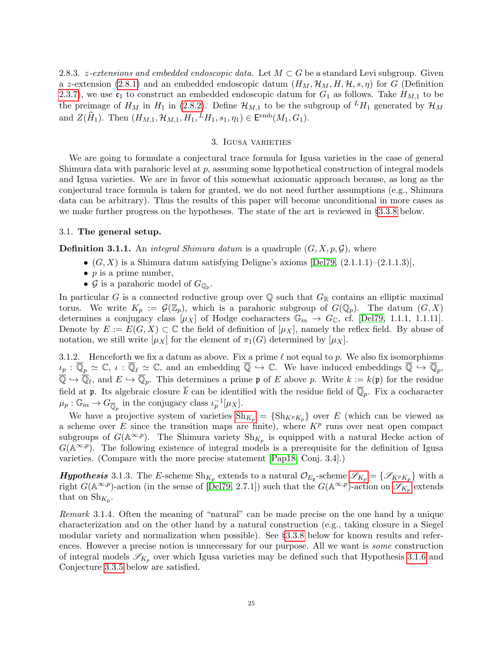<span id="page-24-4"></span>2.8.3. *z*-extensions and embedded endoscopic data. Let  $M \subset G$  be a standard Levi subgroup. Given a z-extension [\(2.8.1\)](#page-23-1) and an embedded endoscopic datum  $(H_M, \mathcal{H}_M, H, \mathcal{H}, s, \eta)$  for G (Definition [2.3.7\)](#page-13-0), we use  $\mathfrak{e}_1$  to construct an embedded endoscopic datum for  $G_1$  as follows. Take  $H_{M,1}$  to be the preimage of  $H_M$  in  $H_1$  in [\(2.8.2\)](#page-23-2). Define  $\mathcal{H}_{M,1}$  to be the subgroup of  $^L H_1$  generated by  $\mathcal{H}_M$ and  $Z(\hat{H}_1)$ . Then  $(H_{M,1}, \mathcal{H}_{M,1}, H_1, {}^L H_1, s_1, \eta_1) \in \mathsf{E}^{\text{emb}}(M_1, G_1)$ .

#### 3. Igusa varieties

<span id="page-24-0"></span>We are going to formulate a conjectural trace formula for Igusa varieties in the case of general Shimura data with parahoric level at  $p$ , assuming some hypothetical construction of integral models and Igusa varieties. We are in favor of this somewhat axiomatic approach because, as long as the conjectural trace formula is taken for granted, we do not need further assumptions (e.g., Shimura data can be arbitrary). Thus the results of this paper will become unconditional in more cases as we make further progress on the hypotheses. The state of the art is reviewed in §[3.3.8](#page-30-0) below.

## <span id="page-24-1"></span>3.1. The general setup.

**Definition 3.1.1.** An *integral Shimura datum* is a quadruple  $(G, X, p, \mathcal{G})$ , where

- $(G, X)$  is a Shimura datum satisfying Deligne's axioms [\[Del79,](#page-46-25)  $(2.1.1.1)$ – $(2.1.1.3)$ ],
- $p$  is a prime number,
- $\mathcal G$  is a parahoric model of  $G_{\mathbb Q_p}$ .

In particular G is a connected reductive group over  $\mathbb Q$  such that  $G_{\mathbb R}$  contains an elliptic maximal torus. We write  $K_p := \mathcal{G}(\mathbb{Z}_p)$ , which is a parahoric subgroup of  $G(\mathbb{Q}_p)$ . The datum  $(G, X)$ determines a conjugacy class  $[\mu_X]$  of Hodge cocharacters  $\mathbb{G}_m \to G_{\mathbb{C}}$ , cf. [\[Del79,](#page-46-25) 1.1.1, 1.1.11]. Denote by  $E := E(G, X) \subset \mathbb{C}$  the field of definition of  $[\mu_X]$ , namely the reflex field. By abuse of notation, we still write  $|\mu_X|$  for the element of  $\pi_1(G)$  determined by  $|\mu_X|$ .

3.1.2. Henceforth we fix a datum as above. Fix a prime  $\ell$  not equal to p. We also fix isomorphisms  $\iota_p : \overline{\mathbb{Q}}_p \simeq \mathbb{C}, \ \iota : \overline{\mathbb{Q}}_\ell \simeq \mathbb{C}, \ \text{and an embedding } \overline{\mathbb{Q}} \hookrightarrow \mathbb{C}.$  We have induced embeddings  $\overline{\mathbb{Q}} \hookrightarrow \overline{\mathbb{Q}}_p$ ,  $\overline{\mathbb{Q}} \hookrightarrow \overline{\mathbb{Q}}_{\ell}$ , and  $E \hookrightarrow \overline{\mathbb{Q}}_{p}$ . This determines a prime p of E above p. Write  $k := k(\mathfrak{p})$  for the residue field at p. Its algebraic closure  $\bar{k}$  can be identified with the residue field of  $\overline{\mathbb{Q}}_p$ . Fix a cocharacter  $\mu_p : \mathbb{G}_m \to G_{\overline{\mathbb{Q}}_p}$  in the conjugacy class  $\iota_p^{-1}[\mu_X]$ .

We have a projective system of varieties  $\text{Sh}_{K_p} = {\text{Sh}_{K^pK_p}}$  over E (which can be viewed as a scheme over E since the transition maps are finite), where  $K^p$  runs over neat open compact subgroups of  $G(\mathbb{A}^{\infty,p})$ . The Shimura variety  $\mathrm{Sh}_{K_p}$  is equipped with a natural Hecke action of  $G(\mathbb{A}^{\infty,p})$ . The following existence of integral models is a prerequisite for the definition of Igusa varieties. (Compare with the more precise statement [\[Pap18,](#page-47-20) Conj. 3.4].)

<span id="page-24-2"></span>**Hypothesis** 3.1.3. The E-scheme  $\text{Sh}_{K_p}$  $\text{Sh}_{K_p}$  $\text{Sh}_{K_p}$  extends to a natural  $\mathcal{O}_{E_p}$ -scheme  $\mathscr{S}_{K_p} = \{\mathscr{S}_{K^pK_p}\}\$  with a right  $G(\mathbb{A}^{\infty,p})$ -action (in the sense of [\[Del79,](#page-46-25) 2.7.1]) such that the  $G(\mathbb{A}^{\infty,p})$ -action on  $\mathscr{S}_{K_p}$  $\mathscr{S}_{K_p}$  $\mathscr{S}_{K_p}$  extends that on  $\mathrm{Sh}_{K_p}$ .

<span id="page-24-3"></span>Remark 3.1.4. Often the meaning of "natural" can be made precise on the one hand by a unique characterization and on the other hand by a natural construction (e.g., taking closure in a Siegel modular variety and normalization when possible). See §[3.3.8](#page-30-0) below for known results and references. However a precise notion is unnecessary for our purpose. All we want is some construction of integral models  $\mathscr{S}_{K_p}$  over which Igusa varieties may be defined such that Hypothesis [3.1.6](#page-25-1) and Conjecture [3.3.5](#page-30-1) below are satisfied.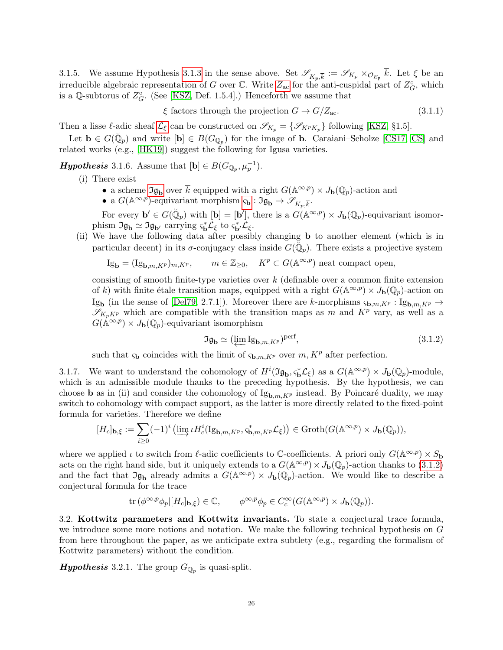<span id="page-25-6"></span>3.1.5. We assume Hypothesis [3.1.3](#page-24-2) in the sense above. Set  $\mathscr{S}_{K_p,\overline{k}} := \mathscr{S}_{K_p} \times_{\mathcal{O}_{E_{\mathfrak{p}}}} k$ . Let  $\xi$  be an irreducible algebraic representation of G over  $\mathbb C$ . Write  $Z_{ac}$  $Z_{ac}$  for the anti-cuspidal part of  $Z_G^{\circ}$ , which is a Q-subtorus of  $Z_G^{\circ}$ . (See [\[KSZ,](#page-47-4) Def. 1.5.4].) Henceforth we assume that

<span id="page-25-5"></span> $\xi$  factors through the projection  $G \to G/Z_{\text{ac}}$ . (3.1.1)

Then a lisse  $\ell$ -adic sheaf  $\mathcal{L}_{\xi}$  $\mathcal{L}_{\xi}$  $\mathcal{L}_{\xi}$  can be constructed on  $\mathscr{S}_{K_p} = {\mathscr{S}_{K^pK_p}}$  following [\[KSZ,](#page-47-4) §1.5].

Let  $\mathbf{b} \in G(\breve{\mathbb{Q}}_p)$  and write  $[\mathbf{b}] \in B(G_{\mathbb{Q}_p})$  for the image of **b**. Caraiani–Scholze [\[CS17,](#page-46-4) [CS\]](#page-46-27) and related works (e.g., [\[HK19\]](#page-46-5)) suggest the following for Igusa varieties.

<span id="page-25-1"></span>**Hypothesis** 3.1.6. Assume that  $[\mathbf{b}] \in B(G_{\mathbb{Q}_p}, \mu_p^{-1})$ .

- (i) There exist
	- a scheme  $\mathfrak{I}_{\mathfrak{g}_b}$  over  $\overline{k}$  equipped with a right  $G(\mathbb{A}^{\infty,p}) \times J_b(\mathbb{Q}_p)$ -action and
	- a  $G(\mathbb{A}^{\infty,p})$  $G(\mathbb{A}^{\infty,p})$  $G(\mathbb{A}^{\infty,p})$ -equivariant morphism  $\varsigma_{\mathbf{b}} : \mathfrak{I} \mathfrak{g}_{\mathbf{b}} \to \mathscr{S}_{K_p,\overline{k}}$ .

For every  $\mathbf{b}' \in G(\check{\mathbb{Q}}_p)$  with  $[\mathbf{b}] = [\mathbf{b}'],$  there is a  $G(\mathbb{A}^{\infty,p}) \times J_{\mathbf{b}}(\mathbb{Q}_p)$ -equivariant isomorphism  $\mathfrak{I}\mathfrak{g}_{\mathbf{b}} \simeq \mathfrak{I}\mathfrak{g}_{\mathbf{b}'}$  carrying  $\varsigma_{\mathbf{b}}^* \mathcal{L}_{\xi}$  to  $\varsigma_{\mathbf{b}'}^* \mathcal{L}_{\xi}$ .

(ii) We have the following data after possibly changing b to another element (which is in particular decent) in its  $\sigma$ -conjugacy class inside  $G(\check{\mathbb{Q}}_p)$ . There exists a projective system

$$
\mathrm{Ig}_{\mathbf{b}} = (\mathrm{Ig}_{\mathbf{b},m,K^p})_{m,K^p}, \qquad m \in \mathbb{Z}_{\geq 0}, \quad K^p \subset G(\mathbb{A}^{\infty,p}) \text{ neat compact open},
$$

consisting of smooth finite-type varieties over  $\overline{k}$  (definable over a common finite extension of k) with finite étale transition maps, equipped with a right  $G(\mathbb{A}^{\infty,p}) \times J_{\mathbf{b}}(\mathbb{Q}_p)$ -action on Ig<sub>b</sub> (in the sense of [\[Del79,](#page-46-25) 2.7.1]). Moreover there are  $\bar{k}$ -morphisms  $\varsigma_{\mathbf{b},m,K^p} : \mathrm{Ig}_{\mathbf{b},m,K^p} \to$  $\mathscr{S}_{K_pK^p}$  which are compatible with the transition maps as m and  $K^p$  vary, as well as a  $G(\mathbb{A}^{\infty,p}) \times J_{\mathbf{b}}(\mathbb{Q}_p)$ -equivariant isomorphism

<span id="page-25-3"></span>
$$
\Im \mathfrak{g}_{\mathbf{b}} \simeq (\underleftarrow{\lim} \mathrm{Ig}_{\mathbf{b},m,K^p})^{\text{perf}},\tag{3.1.2}
$$

such that  $\varsigma_{\mathbf{b}}$  coincides with the limit of  $\varsigma_{\mathbf{b},m,K^p}$  over  $m, K^p$  after perfection.

<span id="page-25-2"></span>3.1.7. We want to understand the cohomology of  $H^i(\mathfrak{I}\mathfrak{g}_{\mathbf{b}}, \varsigma_{\mathbf{b}}^*\mathcal{L}_{\xi})$  as a  $G(\mathbb{A}^{\infty, p}) \times J_{\mathbf{b}}(\mathbb{Q}_p)$ -module, which is an admissible module thanks to the preceding hypothesis. By the hypothesis, we can choose **b** as in (ii) and consider the cohomology of  $Ig_{b,m,Kp}$  instead. By Poincaré duality, we may switch to cohomology with compact support, as the latter is more directly related to the fixed-point formula for varieties. Therefore we define

$$
[H_c]_{\mathbf{b},\xi} := \sum_{i\geq 0} (-1)^i \left( \varinjlim \iota H_c^i(\mathrm{Ig}_{\mathbf{b},m,K^p},\varsigma^*_{\mathbf{b},m,K^p} \mathcal{L}_{\xi}) \right) \in \mathrm{Groth}(G(\mathbb{A}^{\infty,p}) \times J_{\mathbf{b}}(\mathbb{Q}_p)),
$$

where we applied  $\iota$  to switch from  $\ell$ -adic coefficients to C-coefficients. A priori only  $G(\mathbb{A}^{\infty,p}) \times S_{\mathbf{b}}$ acts on the right hand side, but it uniquely extends to a  $G(\mathbb{A}^{\infty,p}) \times J_{\mathbf{b}}(\mathbb{Q}_p)$ -action thanks to [\(3.1.2\)](#page-25-3) and the fact that  $\mathfrak{I}_{\mathfrak{g}_{\mathbf{b}}}$  already admits a  $G(\mathbb{A}^{\infty,p}) \times J_{\mathbf{b}}(\mathbb{Q}_p)$ -action. We would like to describe a conjectural formula for the trace

$$
\mathrm{tr}\,(\phi^{\infty,p} \phi_p|[H_c]_{\mathbf{b},\xi}) \in \mathbb{C}, \qquad \phi^{\infty,p} \phi_p \in C_c^\infty(G(\mathbb{A}^{\infty,p}) \times J_{\mathbf{b}}(\mathbb{Q}_p)).
$$

<span id="page-25-0"></span>3.2. Kottwitz parameters and Kottwitz invariants. To state a conjectural trace formula, we introduce some more notions and notation. We make the following technical hypothesis on G from here throughout the paper, as we anticipate extra subtlety (e.g., regarding the formalism of Kottwitz parameters) without the condition.

<span id="page-25-4"></span>**Hypothesis** 3.2.1. The group  $G_{\mathbb{Q}_p}$  is quasi-split.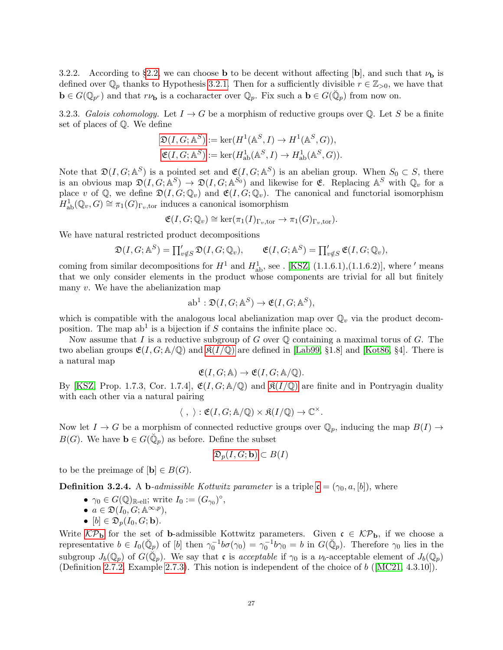<span id="page-26-2"></span>3.2.2. According to §[2.2,](#page-9-0) we can choose **b** to be decent without affecting  $[\mathbf{b}]$ , and such that  $\nu_{\mathbf{b}}$  is defined over  $\mathbb{Q}_p$  thanks to Hypothesis [3.2.1.](#page-25-4) Then for a sufficiently divisible  $r \in \mathbb{Z}_{>0}$ , we have that  $\mathbf{b} \in G(\mathbb{Q}_{p^r})$  and that  $r\nu_\mathbf{b}$  is a cocharacter over  $\mathbb{Q}_p$ . Fix such a  $\mathbf{b} \in G(\mathbb{Q}_p)$  from now on.

<span id="page-26-1"></span>3.2.3. Galois cohomology. Let  $I \to G$  be a morphism of reductive groups over Q. Let S be a finite set of places of Q. We define

$$
\mathfrak{D}(I, G; \mathbb{A}^S) := \ker(H^1(\mathbb{A}^S, I) \to H^1(\mathbb{A}^S, G)),
$$
  

$$
\mathfrak{E}(I, G; \mathbb{A}^S) := \ker(H^1_{\text{ab}}(\mathbb{A}^S, I) \to H^1_{\text{ab}}(\mathbb{A}^S, G)).
$$

Note that  $\mathfrak{D}(I, G; \mathbb{A}^S)$  is a pointed set and  $\mathfrak{E}(I, G; \mathbb{A}^S)$  is an abelian group. When  $S_0 \subset S$ , there is an obvious map  $\mathfrak{D}(I, G; \mathbb{A}^S) \to \mathfrak{D}(I, G; \mathbb{A}^{S_0})$  and likewise for  $\mathfrak{E}$ . Replacing  $\mathbb{A}^S$  with  $\mathbb{Q}_v$  for a place v of Q, we define  $\mathfrak{D}(I, G; \mathbb{Q}_v)$  and  $\mathfrak{E}(I, G; \mathbb{Q}_v)$ . The canonical and functorial isomorphism  $H^1_{ab}(\mathbb{Q}_v, G) \cong \pi_1(G)_{\Gamma_v,\text{tor}}$  induces a canonical isomorphism

$$
\mathfrak{E}(I, G; \mathbb{Q}_v) \cong \ker(\pi_1(I)_{\Gamma_v, \text{tor}} \to \pi_1(G)_{\Gamma_v, \text{tor}}).
$$

We have natural restricted product decompositions

$$
\mathfrak{D}(I, G; \mathbb{A}^S) = \prod_{v \notin S} \mathfrak{D}(I, G; \mathbb{Q}_v), \qquad \mathfrak{E}(I, G; \mathbb{A}^S) = \prod_{v \notin S} \mathfrak{E}(I, G; \mathbb{Q}_v),
$$

coming from similar decompositions for  $H^1$  and  $H^1_{ab}$ , see . [\[KSZ,](#page-47-4) (1.1.6.1),(1.1.6.2)], where ' means that we only consider elements in the product whose components are trivial for all but finitely many v. We have the abelianization map

$$
ab^1: \mathfrak{D}(I, G; \mathbb{A}^S) \to \mathfrak{E}(I, G; \mathbb{A}^S),
$$

which is compatible with the analogous local abelianization map over  $\mathbb{Q}_v$  via the product decomposition. The map ab<sup>1</sup> is a bijection if S contains the infinite place  $\infty$ .

Now assume that I is a reductive subgroup of G over  $\mathbb Q$  containing a maximal torus of G. The two abelian groups  $\mathfrak{E}(I, G; \mathbb{A}/\mathbb{Q})$  and  $\mathfrak{K}(I/\mathbb{Q})$  $\mathfrak{K}(I/\mathbb{Q})$  $\mathfrak{K}(I/\mathbb{Q})$  are defined in [\[Lab99,](#page-47-21) §1.8] and [\[Kot86,](#page-47-11) §4]. There is a natural map

$$
\mathfrak{E}(I, G; \mathbb{A}) \to \mathfrak{E}(I, G; \mathbb{A}/\mathbb{Q}).
$$

By [\[KSZ,](#page-47-4) Prop. 1.7.3, Cor. 1.7.4],  $\mathfrak{E}(I, G; \mathbb{A}/\mathbb{Q})$  and  $\mathfrak{K}(I/\mathbb{Q})$  $\mathfrak{K}(I/\mathbb{Q})$  $\mathfrak{K}(I/\mathbb{Q})$  are finite and in Pontryagin duality with each other via a natural pairing

$$
\langle , \rangle : \mathfrak{E}(I, G; \mathbb{A}/\mathbb{Q}) \times \mathfrak{K}(I/\mathbb{Q}) \to \mathbb{C}^{\times}.
$$

Now let  $I \to G$  be a morphism of connected reductive groups over  $\mathbb{Q}_p$ , inducing the map  $B(I) \to$  $B(G)$ . We have  $\mathbf{b} \in G(\check{Q}_p)$  as before. Define the subset

$$
\mathfrak{D}_p(I, G; \mathbf{b}) \subset B(I)
$$

to be the preimage of  $[\mathbf{b}] \in B(G)$ .

<span id="page-26-0"></span>**Definition 3.2.4.** A b-*admissible Kottwitz parameter* is a triple  $c = (\gamma_0, a, [b])$  $c = (\gamma_0, a, [b])$ , where

- $\gamma_0 \in G(\mathbb{Q})_{\mathbb{R}-ell}$ ; write  $I_0 := (G_{\gamma_0})^{\circ}$ ,
- $a \in \mathfrak{D}(I_0, G; \mathbb{A}^{\infty, p}),$
- $[b] \in \mathfrak{D}_p(I_0, G; \mathbf{b}).$

Write  $\mathcal{KP}_{\mathbf{b}}$  $\mathcal{KP}_{\mathbf{b}}$  $\mathcal{KP}_{\mathbf{b}}$  for the set of **b**-admissible Kottwitz parameters. Given  $\mathfrak{c} \in \mathcal{KP}_{\mathbf{b}}$ , if we choose a representative  $b \in I_0(\check{Q}_p)$  of [b] then  $\gamma_0^{-1}b\sigma(\gamma_0) = \gamma_0^{-1}b\gamma_0 = b$  in  $G(\check{Q}_p)$ . Therefore  $\gamma_0$  lies in the subgroup  $J_b(\mathbb{Q}_p)$  of  $G(\check{\mathbb{Q}}_p)$ . We say that c is acceptable if  $\gamma_0$  is a  $\nu_b$ -acceptable element of  $J_b(\mathbb{Q}_p)$ (Definition [2.7.2,](#page-21-3) Example [2.7.3\)](#page-21-4). This notion is independent of the choice of b ([\[MC21,](#page-47-3) 4.3.10]).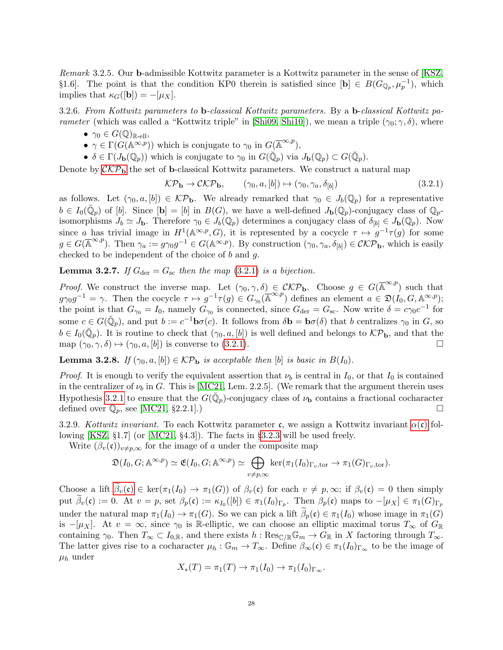<span id="page-27-5"></span>Remark 3.2.5. Our b-admissible Kottwitz parameter is a Kottwitz parameter in the sense of [\[KSZ,](#page-47-4) §1.6]. The point is that the condition KP0 therein is satisfied since  $[\mathbf{b}] \in B(G_{\mathbb{Q}_p}, \mu_p^{-1})$ , which implies that  $\kappa_G([\mathbf{b}]) = -[\mu_X].$ 

<span id="page-27-4"></span>3.2.6. From Kottwitz parameters to b-classical Kottwitz parameters. By a b-classical Kottwitz pa-rameter (which was called a "Kottwitz triple" in [\[Shi09,](#page-47-2) [Shi10\]](#page-48-2)), we mean a triple  $(\gamma_0; \gamma, \delta)$ , where

- $\gamma_0 \in G(\mathbb{Q})_{\mathbb{R}-ell}$ ,
- $\gamma \in \Gamma(G(\mathbb{A}^{\infty, p}))$  which is conjugate to  $\gamma_0$  in  $G(\mathbb{A}^{\infty, p})$ ,
- $\delta \in \Gamma(J_{\mathbf{b}}(\mathbb{Q}_p))$  which is conjugate to  $\gamma_0$  in  $G(\check{\mathbb{Q}}_p)$  via  $J_{\mathbf{b}}(\mathbb{Q}_p) \subset G(\check{\mathbb{Q}}_p)$ .

Denote by  $\mathcal{CKP}_{\mathbf{b}}$  $\mathcal{CKP}_{\mathbf{b}}$  $\mathcal{CKP}_{\mathbf{b}}$  the set of **b**-classical Kottwitz parameters. We construct a natural map

<span id="page-27-0"></span>
$$
\mathcal{KP}_{\mathbf{b}} \to \mathcal{CKP}_{\mathbf{b}}, \qquad (\gamma_0, a, [b]) \mapsto (\gamma_0, \gamma_a, \delta_{[b]})
$$
\n(3.2.1)

as follows. Let  $(\gamma_0, a, [b]) \in \mathcal{KP}_b$ . We already remarked that  $\gamma_0 \in J_b(\mathbb{Q}_p)$  for a representative  $b \in I_0(\breve{\mathbb{Q}}_p)$  of [b]. Since  $[\mathbf{b}] = [b]$  in  $B(G)$ , we have a well-defined  $J_{\mathbf{b}}(\mathbb{Q}_p)$ -conjugacy class of  $\mathbb{Q}_p$ isomorphisms  $J_b \simeq J_b$ . Therefore  $\gamma_0 \in J_b(\mathbb{Q}_p)$  determines a conjugacy class of  $\delta_{[b]} \in J_b(\mathbb{Q}_p)$ . Now since a has trivial image in  $H^1(\mathbb{A}^{\infty,p}, G)$ , it is represented by a cocycle  $\tau \mapsto g^{-1} \tau(g)$  for some  $g \in G(\overline{\mathbb{A}}^{\infty,p})$ . Then  $\gamma_a := g\gamma_0 g^{-1} \in G(\mathbb{A}^{\infty,p})$ . By construction  $(\gamma_0, \gamma_a, \delta_{[b]}) \in \mathcal{CKP}_{\mathbf{b}}$ , which is easily checked to be independent of the choice of  $b$  and  $q$ .

<span id="page-27-3"></span>**Lemma 3.2.7.** If  $G_{\text{der}} = G_{\text{sc}}$  then the map [\(3.2.1\)](#page-27-0) is a bijection.

*Proof.* We construct the inverse map. Let  $(\gamma_0, \gamma, \delta) \in \mathcal{CKP}_{\mathbf{b}}$ . Choose  $g \in G(\mathbb{A}^{\infty, p})$  such that  $g\gamma_0g^{-1} = \gamma$ . Then the cocycle  $\tau \mapsto g^{-1}\tau(g) \in G_{\gamma_0}(\overline{\mathbb{A}}^{\infty,p})$  defines an element  $a \in \mathfrak{D}(I_0, G, \mathbb{A}^{\infty,p})$ ; the point is that  $G_{\gamma_0} = I_0$ , namely  $G_{\gamma_0}$  is connected, since  $G_{\text{der}} = G_{\text{sc}}$ . Now write  $\delta = c \gamma_0 c^{-1}$  for some  $c \in G(\check{Q}_p)$ , and put  $b := c^{-1} \mathbf{b} \sigma(c)$ . It follows from  $\delta \mathbf{b} = \mathbf{b} \sigma(\delta)$  that b centralizes  $\gamma_0$  in G, so  $b \in I_0(\check{Q}_p)$ . It is routine to check that  $(\gamma_0, a, [b])$  is well defined and belongs to  $\mathcal{KP}_b$ , and that the map  $(\gamma_0, \gamma, \delta) \mapsto (\gamma_0, a, [b])$  is converse to  $(3.2.1)$ .

<span id="page-27-1"></span>**Lemma 3.2.8.** If  $(\gamma_0, a, [b]) \in \mathcal{KP}_b$  is acceptable then [b] is basic in  $B(I_0)$ .

*Proof.* It is enough to verify the equivalent assertion that  $\nu_b$  is central in  $I_0$ , or that  $I_0$  is contained in the centralizer of  $\nu_b$  in G. This is [\[MC21,](#page-47-3) Lem. 2.2.5]. (We remark that the argument therein uses Hypothesis [3.2.1](#page-25-4) to ensure that the  $G(\check{\mathbb{Q}}_p)$ -conjugacy class of  $\nu_{\mathbf{b}}$  contains a fractional cocharacter defined over  $\mathbb{Q}_p$ , see [\[MC21,](#page-47-3) §2.2.1].)

<span id="page-27-2"></span>3.2.9. Kottwitz invariant. To each Kottwitz parameter c, we assign a Kottwitz invariant  $\alpha(c)$  following [\[KSZ,](#page-47-4) §1.7] (or [\[MC21,](#page-47-3) §4.3]). The facts in §[3.2.3](#page-26-1) will be used freely.

Write  $(\beta_v(\mathfrak{c}))_{v \neq p, \infty}$  for the image of a under the composite map

$$
\mathfrak{D}(I_0,G;\mathbb{A}^{\infty,p})\simeq \mathfrak{E}(I_0,G;\mathbb{A}^{\infty,p})\simeq \bigoplus_{v\neq p,\infty} \ker(\pi_1(I_0)_{\Gamma_v,\text{tor}}\to \pi_1(G)_{\Gamma_v,\text{tor}}).
$$

Choose a lift  $\widetilde{\beta}_v(\mathfrak{c}) \in \text{ker}(\pi_1(I_0) \to \pi_1(G))$  of  $\beta_v(\mathfrak{c})$  for each  $v \neq p, \infty$ ; if  $\beta_v(\mathfrak{c}) = 0$  then simply put  $\beta_v(\mathfrak{c}) := 0$ . At  $v = p$ , set  $\beta_p(\mathfrak{c}) := \kappa_{I_0}([b]) \in \pi_1(I_0)_{\Gamma_p}$ . Then  $\beta_p(\mathfrak{c})$  maps to  $-[\mu_X] \in \pi_1(G)_{\Gamma_p}$ under the natural map  $\pi_1(I_0) \to \pi_1(G)$ . So we can pick a lift  $\beta_p(\mathfrak{c}) \in \pi_1(I_0)$  whose image in  $\pi_1(G)$ is  $-[µ_X]$ . At  $v = \infty$ , since  $\gamma_0$  is R-elliptic, we can choose an elliptic maximal torus  $T_\infty$  of  $G_\mathbb{R}$ containing  $\gamma_0$ . Then  $T_\infty \subset I_{0,\mathbb{R}}$ , and there exists  $h : \text{Res}_{\mathbb{C}/\mathbb{R}}\mathbb{G}_m \to G_{\mathbb{R}}$  in X factoring through  $T_\infty$ . The latter gives rise to a cocharacter  $\mu_h : \mathbb{G}_m \to T_\infty$ . Define  $\beta_\infty(\mathfrak{c}) \in \pi_1(I_0)_{\Gamma_\infty}$  to be the image of  $\mu_h$  under

$$
X_*(T) = \pi_1(T) \to \pi_1(I_0) \to \pi_1(I_0)_{\Gamma_{\infty}}.
$$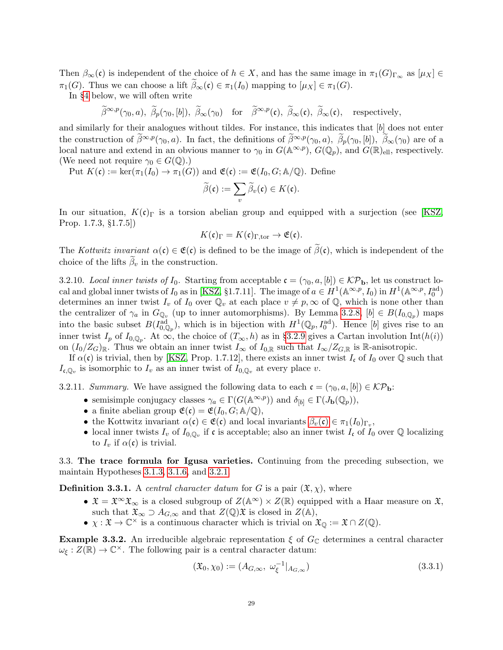<span id="page-28-4"></span>Then  $\beta_{\infty}(\mathfrak{c})$  is independent of the choice of  $h \in X$ , and has the same image in  $\pi_1(G)_{\Gamma_{\infty}}$  as  $[\mu_X] \in$  $\pi_1(G)$ . Thus we can choose a lift  $\beta_\infty(\mathfrak{c}) \in \pi_1(I_0)$  mapping to  $[\mu_X] \in \pi_1(G)$ .

In §[4](#page-31-0) below, we will often write

 $\widetilde{\beta}^{\infty,p}(\gamma_0,a), \widetilde{\beta}_p(\gamma_0,[b]), \widetilde{\beta}_{\infty}(\gamma_0)$  for  $\widetilde{\beta}^{\infty,p}(\mathfrak{c}), \widetilde{\beta}_{\infty}(\mathfrak{c}), \widetilde{\beta}_{\infty}(\mathfrak{c})$ , respectively,

and similarly for their analogues without tildes. For instance, this indicates that  $[b]$  does not enter the construction of  $\beta^{\infty,p}(\gamma_0,a)$ . In fact, the definitions of  $\beta^{\infty,p}(\gamma_0,a)$ ,  $\beta_p(\gamma_0,[b])$ ,  $\beta_{\infty}(\gamma_0)$  are of a local nature and extend in an obvious manner to  $\gamma_0$  in  $G(\mathbb{A}^{\infty,p})$ ,  $G(\mathbb{Q}_p)$ , and  $G(\mathbb{R})_{\text{ell}}$ , respectively. (We need not require  $\gamma_0 \in G(\mathbb{Q})$ .)

Put  $K(\mathfrak{c}) := \ker(\pi_1(I_0) \to \pi_1(G))$  and  $\mathfrak{E}(\mathfrak{c}) := \mathfrak{E}(I_0, G; \mathbb{A}/\mathbb{Q})$ . Define

$$
\widetilde{\beta}(\mathfrak{c}) := \sum_{v} \widetilde{\beta}_{v}(\mathfrak{c}) \in K(\mathfrak{c}).
$$

In our situation,  $K(\mathfrak{c})$ <sub>Γ</sub> is a torsion abelian group and equipped with a surjection (see [\[KSZ,](#page-47-4) Prop. 1.7.3, §1.7.5])

$$
K(\mathfrak{c})_{\Gamma} = K(\mathfrak{c})_{\Gamma, \text{tor}} \to \mathfrak{E}(\mathfrak{c}).
$$

The Kottwitz invariant  $\alpha(\mathfrak{c}) \in \mathfrak{E}(\mathfrak{c})$  is defined to be the image of  $\tilde{\beta}(\mathfrak{c})$ , which is independent of the choice of the lifts  $\beta_v$  in the construction.

<span id="page-28-2"></span>3.2.10. Local inner twists of I<sub>0</sub>. Starting from acceptable  $\mathfrak{c} = (\gamma_0, a, [b]) \in \mathcal{KP}_b$ , let us construct local and global inner twists of  $I_0$  as in [\[KSZ,](#page-47-4) §1.7.11]. The image of  $a \in H^1(\mathbb{A}^{\infty,p}, I_0)$  in  $H^1(\mathbb{A}^{\infty,p}, I_0^{\text{ad}})$ determines an inner twist  $I_v$  of  $I_0$  over  $\mathbb{Q}_v$  at each place  $v \neq p$ ,  $\infty$  of  $\mathbb{Q}$ , which is none other than the centralizer of  $\gamma_a$  in  $G_{\mathbb{Q}_v}$  (up to inner automorphisms). By Lemma [3.2.8,](#page-27-1)  $[b] \in B(I_{0,\mathbb{Q}_p})$  maps into the basic subset  $B(I_{0,\mathbb{Q}_p}^{\mathrm{ad}})$ , which is in bijection with  $H^1(\mathbb{Q}_p, I_0^{\mathrm{ad}})$ . Hence [b] gives rise to an inner twist  $I_p$  of  $I_{0,\mathbb{Q}_p}$ . At  $\infty$ , the choice of  $(T_\infty, h)$  as in §[3.2.9](#page-27-2) gives a Cartan involution Int $(h(i))$ on  $(I_0/Z_G)_{\mathbb{R}}$ . Thus we obtain an inner twist  $I_{\infty}$  of  $I_{0,\mathbb{R}}$  such that  $I_{\infty}/Z_{G,\mathbb{R}}$  is  $\mathbb{R}$ -anisotropic.

If  $\alpha(\mathfrak{c})$  is trivial, then by [\[KSZ,](#page-47-4) Prop. 1.7.12], there exists an inner twist  $I_{\mathfrak{c}}$  of  $I_0$  over  $\mathbb Q$  such that  $I_{\mathfrak{c},\mathbb{Q}_v}$  is isomorphic to  $I_v$  as an inner twist of  $I_{0,\mathbb{Q}_v}$  at every place v.

<span id="page-28-1"></span>3.2.11. Summary. We have assigned the following data to each  $\mathfrak{c} = (\gamma_0, a, [b]) \in \mathcal{KP}_b$ :

- semisimple conjugacy classes  $\gamma_a \in \Gamma(G(\mathbb{A}^{\infty,p}))$  and  $\delta_{[b]} \in \Gamma(J_b(\mathbb{Q}_p)),$
- a finite abelian group  $\mathfrak{E}(\mathfrak{c}) = \mathfrak{E}(I_0, G; \mathbb{A}/\mathbb{Q}),$
- the Kottwitz invariant  $\alpha(\mathfrak{c}) \in \mathfrak{E}(\mathfrak{c})$  and local invariants  $\beta_v(\mathfrak{c}) \in \pi_1(I_0)_{\Gamma_v}$ ,
- local inner twists  $I_v$  of  $I_{0,\mathbb{Q}_v}$  if c is acceptable; also an inner twist  $I_c$  of  $I_0$  over  $\mathbb Q$  localizing to  $I_v$  if  $\alpha(\mathfrak{c})$  is trivial.

<span id="page-28-0"></span>3.3. The trace formula for Igusa varieties. Continuing from the preceding subsection, we maintain Hypotheses [3.1.3,](#page-24-2) [3.1.6,](#page-25-1) and [3.2.1.](#page-25-4)

**Definition 3.3.1.** A central character datum for G is a pair  $(\mathfrak{X}, \chi)$ , where

- $\mathfrak{X} = \mathfrak{X}^{\infty} \mathfrak{X}_{\infty}$  is a closed subgroup of  $Z(\mathbb{A}^{\infty}) \times Z(\mathbb{R})$  equipped with a Haar measure on  $\mathfrak{X},$ such that  $\mathfrak{X}_{\infty} \supset A_{G,\infty}$  and that  $Z(\mathbb{Q})\mathfrak{X}$  is closed in  $Z(\mathbb{A}),$
- $\chi : \mathfrak{X} \to \mathbb{C}^\times$  is a continuous character which is trivial on  $\mathfrak{X}_{\mathbb{Q}} := \mathfrak{X} \cap Z(\mathbb{Q})$ .

<span id="page-28-3"></span>**Example 3.3.2.** An irreducible algebraic representation  $\xi$  of  $G_{\mathbb{C}}$  determines a central character  $\omega_{\xi}: Z(\mathbb{R}) \to \mathbb{C}^{\times}$ . The following pair is a central character datum:

$$
(\mathfrak{X}_0, \chi_0) := (A_{G,\infty}, \ \omega_{\xi}^{-1}|_{A_{G,\infty}}) \tag{3.3.1}
$$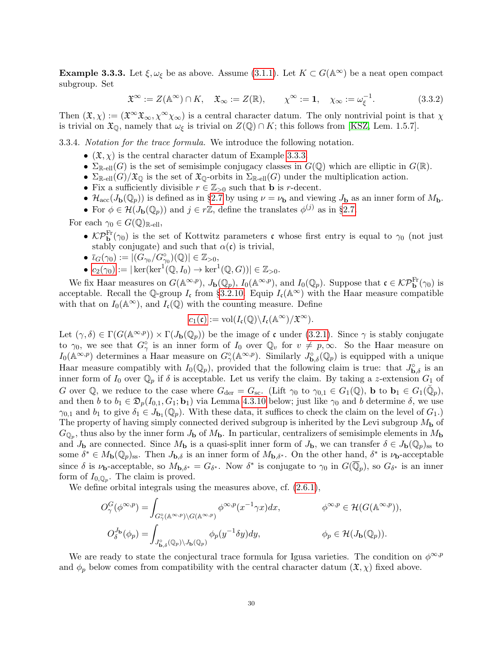<span id="page-29-2"></span><span id="page-29-0"></span>**Example 3.3.3.** Let  $\xi, \omega_{\xi}$  be as above. Assume [\(3.1.1\)](#page-25-5). Let  $K \subset G(\mathbb{A}^{\infty})$  be a neat open compact subgroup. Set

$$
\mathfrak{X}^{\infty} := Z(\mathbb{A}^{\infty}) \cap K, \quad \mathfrak{X}_{\infty} := Z(\mathbb{R}), \qquad \chi^{\infty} := 1, \quad \chi_{\infty} := \omega_{\xi}^{-1}.
$$
 (3.3.2)

Then  $(\mathfrak{X}, \chi) := (\mathfrak{X}^{\infty} \mathfrak{X}_{\infty}, \chi^{\infty} \chi_{\infty})$  is a central character datum. The only nontrivial point is that  $\chi$ is trivial on  $\mathfrak{X}_{\mathbb{Q}}$ , namely that  $\omega_{\xi}$  is trivial on  $Z(\mathbb{Q}) \cap K$ ; this follows from [\[KSZ,](#page-47-4) Lem. 1.5.7].

<span id="page-29-1"></span>3.3.4. Notation for the trace formula. We introduce the following notation.

- $(\mathfrak{X}, \chi)$  is the central character datum of Example [3.3.3.](#page-29-0)
- $\Sigma_{\mathbb{R}-ell}(G)$  is the set of semisimple conjugacy classes in  $G(\mathbb{Q})$  which are elliptic in  $G(\mathbb{R})$ .
- $\Sigma_{\mathbb{R}-ell}(G)/\mathfrak{X}_{\mathbb{Q}}$  is the set of  $\mathfrak{X}_{\mathbb{Q}}$ -orbits in  $\Sigma_{\mathbb{R}-ell}(G)$  under the multiplication action.
- Fix a sufficiently divisible  $r \in \mathbb{Z}_{>0}$  such that **b** is r-decent.
- $\mathcal{H}_{\text{acc}}(J_{\mathbf{b}}(\mathbb{Q}_p))$  is defined as in §[2.7](#page-21-0) by using  $\nu = \nu_{\mathbf{b}}$  and viewing  $J_{\mathbf{b}}$  as an inner form of  $M_{\mathbf{b}}$ .
- For  $\phi \in \mathcal{H}(J_{\mathbf{b}}(\mathbb{Q}_p))$  and  $j \in r\mathbb{Z}$ , define the translates  $\phi^{(j)}$  as in §[2.7.](#page-21-0)

For each  $\gamma_0 \in G(\mathbb{Q})_{\mathbb{R}-ell}$ ,

- $\mathcal{KP}_{\mathbf{b}}^{\text{Fr}}(\gamma_0)$  is the set of Kottwitz parameters c whose first entry is equal to  $\gamma_0$  (not just stably conjugate) and such that  $\alpha(\mathfrak{c})$  is trivial,
- $\bullet \ \bar{\iota}_G(\gamma_0) := |(\bar{G}_{\gamma_0}/\bar{G}_{\gamma_0}^\circ)(\mathbb{Q})| \in \mathbb{Z}_{>0},$
- $c_2(\gamma_0) := |\ker(\ker^1(\mathbb{Q}, I_0) \to \ker^1(\mathbb{Q}, G))| \in \mathbb{Z}_{>0}.$  $c_2(\gamma_0) := |\ker(\ker^1(\mathbb{Q}, I_0) \to \ker^1(\mathbb{Q}, G))| \in \mathbb{Z}_{>0}.$  $c_2(\gamma_0) := |\ker(\ker^1(\mathbb{Q}, I_0) \to \ker^1(\mathbb{Q}, G))| \in \mathbb{Z}_{>0}.$

We fix Haar measures on  $G(\mathbb{A}^{\infty,p})$ ,  $J_{\mathbf{b}}(\mathbb{Q}_p)$ ,  $I_0(\mathbb{A}^{\infty,p})$ , and  $I_0(\mathbb{Q}_p)$ . Suppose that  $\mathfrak{c} \in \mathcal{KP}_{\mathbf{b}}^{\text{Fr}}(\gamma_0)$  is acceptable. Recall the Q-group  $I_c$  from §[3.2.10.](#page-28-2) Equip  $I_c(\mathbb{A}^{\infty})$  with the Haar measure compatible with that on  $I_0(\mathbb{A}^{\infty})$ , and  $I_{\mathfrak{c}}(\mathbb{Q})$  with the counting measure. Define

$$
c_1(\mathfrak{c}) := \mathrm{vol}(I_{\mathfrak{c}}(\mathbb{Q}) \backslash I_{\mathfrak{c}}(\mathbb{A}^{\infty})/\mathfrak{X}^{\infty}).
$$

Let  $(\gamma, \delta) \in \Gamma(G(\mathbb{A}^{\infty, p})) \times \Gamma(J_{\mathbf{b}}(\mathbb{Q}_p))$  be the image of c under [\(3.2.1\)](#page-27-0). Since  $\gamma$  is stably conjugate to  $\gamma_0$ , we see that  $G_{\gamma}^{\circ}$  is an inner form of  $I_0$  over  $\mathbb{Q}_v$  for  $v \neq p, \infty$ . So the Haar measure on  $I_0(\mathbb{A}^{\infty,p})$  determines a Haar measure on  $G^{\circ}_{\gamma}(\mathbb{A}^{\infty,p})$ . Similarly  $J^{\circ}_{\mathbf{b},\delta}(\mathbb{Q}_p)$  is equipped with a unique Haar measure compatibly with  $I_0(\mathbb{Q}_p)$ , provided that the following claim is true: that  $J_{\mathbf{b},\delta}^{\circ}$  is an inner form of  $I_0$  over  $\mathbb{Q}_p$  if  $\delta$  is acceptable. Let us verify the claim. By taking a z-extension  $G_1$  of G over Q, we reduce to the case where  $G_{\text{der}} = G_{\text{sc}}$ . (Lift  $\gamma_0$  to  $\gamma_{0,1} \in G_1(\mathbb{Q})$ , **b** to  $\mathbf{b}_1 \in G_1(\breve{\mathbb{Q}}_p)$ , and then b to  $b_1 \in \mathfrak{D}_p(I_{0,1}, G_1; \mathbf{b}_1)$  via Lemma [4.3.10](#page-39-0) below; just like  $\gamma_0$  and b determine  $\delta$ , we use  $\gamma_{0,1}$  and  $b_1$  to give  $\delta_1 \in J_{\mathbf{b}_1}(\mathbb{Q}_p)$ . With these data, it suffices to check the claim on the level of  $G_1$ .) The property of having simply connected derived subgroup is inherited by the Levi subgroup  $M_{\mathbf{b}}$  of  $G_{\mathbb{Q}_p}$ , thus also by the inner form  $J_{\mathbf{b}}$  of  $M_{\mathbf{b}}$ . In particular, centralizers of semisimple elements in  $M_{\mathbf{b}}$ and  $J_{\mathbf{b}}$  are connected. Since  $M_{\mathbf{b}}$  is a quasi-split inner form of  $J_{\mathbf{b}}$ , we can transfer  $\delta \in J_{\mathbf{b}}(\mathbb{Q}_p)_{ss}$  to some  $\delta^* \in M_b(\mathbb{Q}_p)_{ss}$ . Then  $J_{\mathbf{b},\delta}$  is an inner form of  $M_{\mathbf{b},\delta^*}$ . On the other hand,  $\delta^*$  is  $\nu_{\mathbf{b}}$ -acceptable since  $\delta$  is  $\nu_{\mathbf{b}}$ -acceptable, so  $M_{\mathbf{b},\delta^*}=G_{\delta^*}$ . Now  $\delta^*$  is conjugate to  $\gamma_0$  in  $G(\overline{\mathbb{Q}}_p)$ , so  $G_{\delta^*}$  is an inner form of  $I_{0,\mathbb{Q}_p}$ . The claim is proved.

We define orbital integrals using the measures above, cf.  $(2.6.1)$ ,

$$
O^G_\gamma(\phi^{\infty, p}) = \int_{G^{\circ}_{\gamma}(\mathbb{A}^{\infty, p}) \backslash G(\mathbb{A}^{\infty, p})} \phi^{\infty, p}(x^{-1} \gamma x) dx, \qquad \phi^{\infty, p} \in \mathcal{H}(G(\mathbb{A}^{\infty, p})),
$$
  

$$
O^{\mathcal{J}_{\mathbf{b}}}_{\delta}(\phi_p) = \int_{J^{\circ}_{\mathbf{b}, \delta}(\mathbb{Q}_p) \backslash J_{\mathbf{b}}(\mathbb{Q}_p)} \phi_p(y^{-1} \delta y) dy, \qquad \phi_p \in \mathcal{H}(J_{\mathbf{b}}(\mathbb{Q}_p)).
$$

We are ready to state the conjectural trace formula for Igusa varieties. The condition on  $\phi^{\infty,p}$ and  $\phi_p$  below comes from compatibility with the central character datum  $(\mathfrak{X}, \chi)$  fixed above.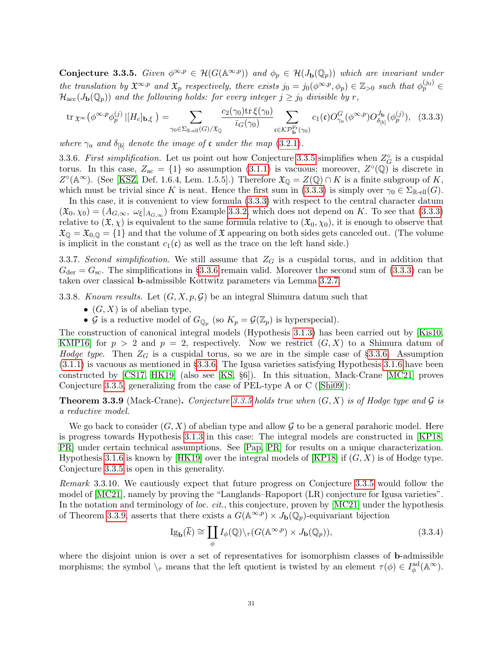<span id="page-30-1"></span>Conjecture 3.3.5. Given  $\phi^{\infty,p} \in \mathcal{H}(G(\mathbb{A}^{\infty,p}))$  and  $\phi_p \in \mathcal{H}(J_{\mathbf{b}}(\mathbb{Q}_p))$  which are invariant under the translation by  $\mathfrak{X}^{\infty,p}$  and  $\mathfrak{X}_p$  respectively, there exists  $j_0 = j_0(\phi^{\infty,p}, \phi_p) \in \mathbb{Z}_{>0}$  such that  $\phi_p^{(j_0)} \in$  $\mathcal{H}_{\text{acc}}(J_{\mathbf{b}}(\mathbb{Q}_p))$  and the following holds: for every integer  $j \geq j_0$  divisible by r,

<span id="page-30-2"></span>
$$
\operatorname{tr}\nolimits_{\mathfrak{X}\infty}(\phi^{\infty,p}\phi_p^{(j)}\vert [H_c]_{\mathbf{b},\xi}) = \sum_{\gamma_0 \in \Sigma_{\mathbb{R}-\text{ell}}(G)/\mathfrak{X}_{\mathbb{Q}}} \frac{c_2(\gamma_0) \operatorname{tr}\nolimits\xi(\gamma_0)}{\overline{\iota}_G(\gamma_0)} \sum_{\mathfrak{c} \in \mathcal{KP}_{\mathbf{b}}^{\text{Fr}}(\gamma_0)} c_1(\mathfrak{c}) O_{\gamma_a}^G(\phi^{\infty,p}) O_{\delta_{[b]}}^{J_{\mathbf{b}}}(\phi_p^{(j)}), \quad (3.3.3)
$$

where  $\gamma_a$  and  $\delta_{[b]}$  denote the image of c under the map [\(3.2.1\)](#page-27-0).

<span id="page-30-3"></span>3.3.6. First simplification. Let us point out how Conjecture [3.3.5](#page-30-1) simplifies when  $Z_G^{\circ}$  is a cuspidal torus. In this case,  $Z_{ac} = \{1\}$  so assumption  $(3.1.1)$  is vacuous; moreover,  $Z^{\circ}(\mathbb{Q})$  is discrete in  $Z^{\circ}(\mathbb{A}^{\infty})$ . (See [\[KSZ,](#page-47-4) Def. 1.6.4, Lem. 1.5.5].) Therefore  $\mathfrak{X}_{\mathbb{Q}} = Z(\mathbb{Q}) \cap K$  is a finite subgroup of K, which must be trivial since K is neat. Hence the first sum in [\(3.3.3\)](#page-30-2) is simply over  $\gamma_0 \in \Sigma_{\mathbb{R}-ell}(G)$ .

In this case, it is convenient to view formula [\(3.3.3\)](#page-30-2) with respect to the central character datum  $(\mathfrak{X}_0, \chi_0) = (A_{G,\infty}, \omega_{\xi}|_{A_{G,\infty}})$  from Example [3.3.2,](#page-28-3) which does not depend on K. To see that [\(3.3.3\)](#page-30-2) relative to  $(\mathfrak{X}, \chi)$  is equivalent to the same formula relative to  $(\mathfrak{X}_0, \chi_0)$ , it is enough to observe that  $\mathfrak{X}_{\mathbb{Q}} = \mathfrak{X}_{0,\mathbb{Q}} = \{1\}$  and that the volume of  $\mathfrak{X}$  appearing on both sides gets canceled out. (The volume is implicit in the constant  $c_1(c)$  as well as the trace on the left hand side.)

3.3.7. Second simplification. We still assume that  $Z_G$  is a cuspidal torus, and in addition that  $G_{\text{der}} = G_{\text{sc}}$ . The simplifications in §[3.3.6](#page-30-3) remain valid. Moreover the second sum of [\(3.3.3\)](#page-30-2) can be taken over classical b-admissible Kottwitz parameters via Lemma [3.2.7.](#page-27-3)

<span id="page-30-0"></span>3.3.8. Known results. Let  $(G, X, p, \mathcal{G})$  be an integral Shimura datum such that

- $(G, X)$  is of abelian type,
- $\mathcal G$  is a reductive model of  $G_{\mathbb{Q}_p}$  (so  $K_p = \mathcal G(\mathbb{Z}_p)$  is hyperspecial).

The construction of canonical integral models (Hypothesis [3.1.3\)](#page-24-2) has been carried out by [\[Kis10,](#page-46-28) [KMP16\]](#page-47-22) for  $p > 2$  and  $p = 2$ , respectively. Now we restrict  $(G, X)$  to a Shimura datum of *Hodge type.* Then  $Z_G$  is a cuspidal torus, so we are in the simple case of §[3.3.6.](#page-30-3) Assumption [\(3.1.1\)](#page-25-5) is vacuous as mentioned in §[3.3.6.](#page-30-3) The Igusa varieties satisfying Hypothesis [3.1.6](#page-25-1) have been constructed by [\[CS17,](#page-46-4) [HK19\]](#page-46-5) (also see [\[KS,](#page-47-1) §6]). In this situation, Mack-Crane [\[MC21\]](#page-47-3) proves Conjecture [3.3.5,](#page-30-1) generalizing from the case of PEL-type A or C ([\[Shi09\]](#page-47-2)):

<span id="page-30-4"></span>**Theorem 3.3.9** (Mack-Crane). Conjecture [3.3.5](#page-30-1) holds true when  $(G, X)$  is of Hodge type and G is a reductive model.

We go back to consider  $(G, X)$  of abelian type and allow G to be a general parahoric model. Here is progress towards Hypothesis [3.1.3](#page-24-2) in this case: The integral models are constructed in [\[KP18,](#page-47-23) [PR\]](#page-47-24) under certain technical assumptions. See [\[Pap,](#page-47-25) [PR\]](#page-47-24) for results on a unique characterization. Hypothesis [3.1.6](#page-25-1) is known by [\[HK19\]](#page-46-5) over the integral models of [\[KP18\]](#page-47-23) if  $(G, X)$  is of Hodge type. Conjecture [3.3.5](#page-30-1) is open in this generality.

Remark 3.3.10. We cautiously expect that future progress on Conjecture [3.3.5](#page-30-1) would follow the model of [\[MC21\]](#page-47-3), namely by proving the "Langlands–Rapoport (LR) conjecture for Igusa varieties". In the notation and terminology of loc. cit., this conjecture, proven by [\[MC21\]](#page-47-3) under the hypothesis of Theorem [3.3.9,](#page-30-4) asserts that there exists a  $G(\mathbb{A}^{\infty,p}) \times J_{\mathbf{b}}(\mathbb{Q}_p)$ -equivariant bijection

$$
Ig_{\mathbf{b}}(\overline{k}) \cong \coprod_{\phi} I_{\phi}(\mathbb{Q}) \setminus_{\tau} (G(\mathbb{A}^{\infty, p}) \times J_{\mathbf{b}}(\mathbb{Q}_p)),
$$
\n(3.3.4)

where the disjoint union is over a set of representatives for isomorphism classes of **b**-admissible morphisms; the symbol  $\setminus_{\tau}$  means that the left quotient is twisted by an element  $\tau(\phi) \in I_{\phi}^{\text{ad}}(\mathbb{A}^{\infty})$ .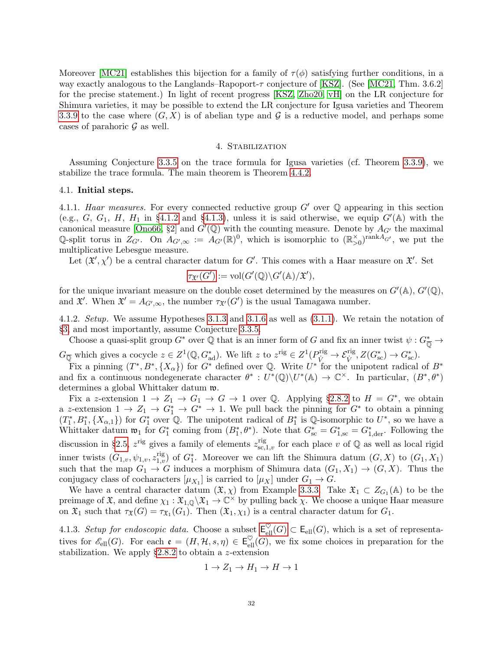<span id="page-31-4"></span>Moreover [\[MC21\]](#page-47-3) establishes this bijection for a family of  $\tau(\phi)$  satisfying further conditions, in a way exactly analogous to the Langlands–Rapoport-τ conjecture of [\[KSZ\]](#page-47-4). (See [\[MC21,](#page-47-3) Thm. 3.6.2] for the precise statement.) In light of recent progress [\[KSZ,](#page-47-4) [Zho20,](#page-48-6) [vH\]](#page-48-7) on the LR conjecture for Shimura varieties, it may be possible to extend the LR conjecture for Igusa varieties and Theorem [3.3.9](#page-30-4) to the case where  $(G, X)$  is of abelian type and G is a reductive model, and perhaps some cases of parahoric  $\mathcal G$  as well.

## 4. Stabilization

<span id="page-31-0"></span>Assuming Conjecture [3.3.5](#page-30-1) on the trace formula for Igusa varieties (cf. Theorem [3.3.9\)](#page-30-4), we stabilize the trace formula. The main theorem is Theorem [4.4.2.](#page-43-0)

## <span id="page-31-1"></span>4.1. Initial steps.

4.1.1. Haar measures. For every connected reductive group  $G'$  over  $\mathbb Q$  appearing in this section (e.g., G, G<sub>1</sub>, H, H<sub>1</sub> in §[4.1.2](#page-31-2) and §[4.1.3\)](#page-31-3), unless it is said otherwise, we equip  $G'(\mathbb{A})$  with the canonical measure [\[Ono66,](#page-47-26) §2] and  $G'(\mathbb{Q})$  with the counting measure. Denote by  $A_{G'}$  the maximal Q-split torus in  $Z_{G'}$ . On  $A_{G',\infty} := A_{G'}(\mathbb{R})^0$ , which is isomorphic to  $(\mathbb{R}_{>0}^\times)^{\text{rank}A_{G'}}$ , we put the multiplicative Lebesgue measure.

Let  $(\mathfrak{X}', \chi')$  be a central character datum for G'. This comes with a Haar measure on  $\mathfrak{X}'$ . Set

$$
\tau_{\mathfrak{X}'}(G'):=\mathrm{vol}(G'(\mathbb{Q})\backslash G'(\mathbb{A})/\mathfrak{X}'),
$$

for the unique invariant measure on the double coset determined by the measures on  $G'(\mathbb{A}), G'(\mathbb{Q}),$ and  $\mathfrak{X}'$ . When  $\mathfrak{X}' = A_{G',\infty}$ , the number  $\tau_{\mathfrak{X}'}(G')$  is the usual Tamagawa number.

<span id="page-31-2"></span>4.1.2. Setup. We assume Hypotheses [3.1.3](#page-24-2) and [3.1.6](#page-25-1) as well as [\(3.1.1\)](#page-25-5). We retain the notation of §[3,](#page-24-0) and most importantly, assume Conjecture [3.3.5.](#page-30-1)

Choose a quasi-split group  $G^*$  over  $\overline{Q}$  that is an inner form of G and fix an inner twist  $\psi: G^*_{\overline{Q}} \to$  $G_{\overline{\mathbb{Q}}}$  which gives a cocycle  $z \in Z^1(\mathbb{Q}, G^*_{ad})$ . We lift  $z$  to  $z^{\text{rig}} \in Z^1(P^{\text{rig}}_{\dot{V}} \to \mathcal{E}^{\text{rig}}_{\dot{V}}, Z(G^*_{sc}) \to G^*_{sc})$ .

Fix a pinning  $(T^*, B^*, \{X_\alpha\})$  for  $G^*$  defined over Q. Write  $U^{*}$  for the unipotent radical of  $B^*$ and fix a continuous nondegenerate character  $\theta^*: U^*(\mathbb{Q}) \backslash U^*(\mathbb{A}) \to \mathbb{C}^\times$ . In particular,  $(B^*, \theta^*)$ determines a global Whittaker datum w.

Fix a z-extension  $1 \to Z_1 \to G_1 \to G \to 1$  over Q. Applying §[2.8.2](#page-23-3) to  $H = G^*$ , we obtain a z-extension  $1 \to Z_1 \to G^* \to G^* \to 1$ . We pull back the pinning for  $G^*$  to obtain a pinning  $(T_1^*, B_1^*, \{X_{\alpha,1}\})$  for  $G_1^*$  over  $\mathbb{Q}$ . The unipotent radical of  $B_1^*$  is  $\mathbb{Q}$ -isomorphic to  $U^*$ , so we have a Whittaker datum  $\mathfrak{w}_1$  for  $G_1^*$  coming from  $(B_1^*, \theta^*)$ . Note that  $G_{\text{sc}}^* = G_{1,\text{sc}}^* = G_{1,\text{der}}^*$ . Following the discussion in §[2.5,](#page-17-0)  $z^{\text{rig}}$  gives a family of elements  $z_{\text{sc},1,v}^{\text{rig}}$  for each place v of  $\mathbb{Q}$  as well as local rigid inner twists  $(G_{1,v}, \psi_{1,v}, z_{1,v}^{rig})$  of  $G_1^*$ . Moreover we can lift the Shimura datum  $(G, X)$  to  $(G_1, X_1)$ such that the map  $G_1 \to G$  induces a morphism of Shimura data  $(G_1, X_1) \to (G, X)$ . Thus the conjugacy class of cocharacters  $[\mu_{X_1}]$  is carried to  $[\mu_X]$  under  $G_1 \to G$ .

We have a central character datum  $(\mathfrak{X}, \chi)$  from Example [3.3.3.](#page-29-0) Take  $\mathfrak{X}_1 \subset Z_{G_1}(\mathbb{A})$  to be the preimage of  $\mathfrak{X}$ , and define  $\chi_1 : \mathfrak{X}_{1,\mathbb{Q}} \backslash \mathfrak{X}_1 \to \mathbb{C}^\times$  by pulling back  $\chi$ . We choose a unique Haar measure on  $\mathfrak{X}_1$  such that  $\tau_{\mathfrak{X}}(G) = \tau_{\mathfrak{X}_1}(G_1)$ . Then  $(\mathfrak{X}_1, \chi_1)$  is a central character datum for  $G_1$ .

<span id="page-31-3"></span>4.1.3. Setup for endoscopic data. Choose a subset  $\mathsf{E}_{\text{ell}}^{\heartsuit}(G) \subset \mathsf{E}_{\text{ell}}(G)$  $\mathsf{E}_{\text{ell}}^{\heartsuit}(G) \subset \mathsf{E}_{\text{ell}}(G)$  $\mathsf{E}_{\text{ell}}^{\heartsuit}(G) \subset \mathsf{E}_{\text{ell}}(G)$ , which is a set of representatives for  $\mathscr{E}_{ell}(G)$ . For each  $\mathfrak{e} = (H, H, s, \eta) \in \mathsf{E}_{ell}^{\heartsuit}(G)$ , we fix some choices in preparation for the stabilization. We apply §[2.8.2](#page-23-3) to obtain a z-extension

$$
1 \to Z_1 \to H_1 \to H \to 1
$$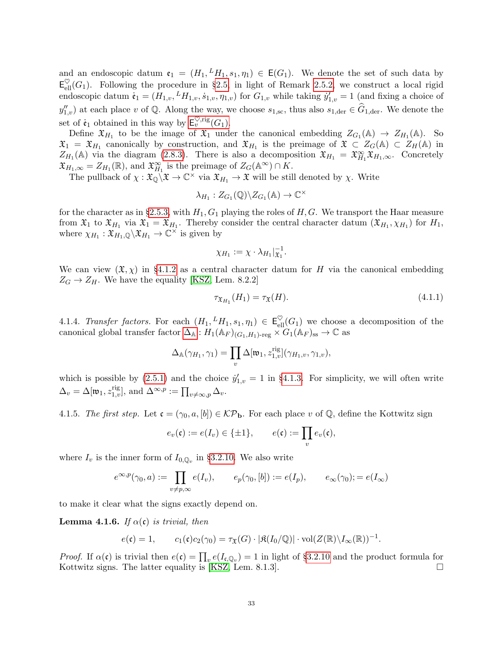<span id="page-32-1"></span>and an endoscopic datum  $\mathfrak{e}_1 = (H_1, {}^L H_1, s_1, \eta_1) \in \mathsf{E}(G_1)$ . We denote the set of such data by  $\mathsf{E}_{\text{ell}}^{\heartsuit}(G_1)$ . Following the procedure in §[2.5,](#page-17-0) in light of Remark [2.5.2,](#page-18-2) we construct a local rigid endoscopic datum  $\dot{\mathfrak{e}}_1 = (H_{1,v}, {}^L H_{1,v}, \dot{s}_{1,v}, \eta_{1,v})$  for  $G_{1,v}$  while taking  $\dot{y}'_{1,v} = 1$  (and fixing a choice of  $y_{1,v}''$  at each place v of Q. Along the way, we choose  $s_{1,\text{sc}}$ , thus also  $s_{1,\text{der}} \in \widehat{G}_{1,\text{der}}$ . We denote the set of  $\dot{\mathfrak{e}}_1$  obtained in this way by  $\mathsf{E}^{\heartsuit,\mathrm{rig}}_v(G_1)$  $\mathsf{E}^{\heartsuit,\mathrm{rig}}_v(G_1)$  $\mathsf{E}^{\heartsuit,\mathrm{rig}}_v(G_1)$ .

Define  $\mathfrak{X}_{H_1}$  to be the image of  $\mathfrak{X}_1$  under the canonical embedding  $Z_{G_1}(\mathbb{A}) \to Z_{H_1}(\mathbb{A})$ . So  $\mathfrak{X}_1 = \mathfrak{X}_{H_1}$  canonically by construction, and  $\mathfrak{X}_{H_1}$  is the preimage of  $\mathfrak{X} \subset Z_G(\mathbb{A}) \subset Z_H(\mathbb{A})$  in  $Z_{H_1}(\mathbb{A})$  via the diagram [\(2.8.3\)](#page-23-4). There is also a decomposition  $\mathfrak{X}_{H_1} = \mathfrak{X}_{H_1}^{\infty} \mathfrak{X}_{H_1,\infty}$ . Concretely  $\mathfrak{X}_{H_1,\infty} = Z_{H_1}(\mathbb{R})$ , and  $\mathfrak{X}_{H_1}^{\infty}$  is the preimage of  $Z_G(\mathbb{A}^{\infty}) \cap K$ .

The pullback of  $\chi : \mathfrak{X}_\mathbb{Q} \backslash \mathfrak{X} \to \mathbb{C}^\times$  via  $\mathfrak{X}_{H_1} \to \mathfrak{X}$  will be still denoted by  $\chi$ . Write

$$
\lambda_{H_1}:Z_{G_1}(\mathbb{Q})\backslash Z_{G_1}(\mathbb{A})\to\mathbb{C}^\times
$$

for the character as in §[2.5.3,](#page-18-3) with  $H_1, G_1$  playing the roles of  $H, G$ . We transport the Haar measure from  $\mathfrak{X}_1$  to  $\mathfrak{X}_{H_1}$  via  $\mathfrak{X}_1 = \mathfrak{X}_{H_1}$ . Thereby consider the central character datum  $(\mathfrak{X}_{H_1}, \chi_{H_1})$  for  $H_1$ , where  $\chi_{H_1} : \mathfrak{X}_{H_1,\mathbb{Q}} \backslash \mathfrak{X}_{H_1} \to \mathbb{C}^{\times}$  is given by

$$
\chi_{H_1} := \chi \cdot \lambda_{H_1}|_{\mathfrak{X}_1}^{-1}.
$$

We can view  $(\mathfrak{X}, \chi)$  in §[4.1.2](#page-31-2) as a central character datum for H via the canonical embedding  $Z_G \rightarrow Z_H$ . We have the equality [\[KSZ,](#page-47-4) Lem. 8.2.2]

<span id="page-32-0"></span>
$$
\tau_{\mathfrak{X}_{H_1}}(H_1) = \tau_{\mathfrak{X}}(H). \tag{4.1.1}
$$

4.1.4. Transfer factors. For each  $(H_1, {}^L H_1, s_1, \eta_1) \in \mathsf{E}_{ell}^{\heartsuit}(G_1)$  we choose a decomposition of the canonical global transfer factor  $\Delta_A : H_1(\mathbb{A}_F)_{(G_1,H_1)\text{-reg}} \times G_1(\mathbb{A}_F)_{ss} \to \mathbb{C}$  as

$$
\Delta_{\mathbb{A}}(\gamma_{H_1}, \gamma_1) = \prod_v \Delta[\mathfrak{w}_1, z_{1,v}^{\text{rig}}](\gamma_{H_1,v}, \gamma_{1,v}),
$$

which is possible by  $(2.5.1)$  and the choice  $\dot{y}'_{1,v} = 1$  in §[4.1.3.](#page-31-3) For simplicity, we will often write  $\Delta_v = \Delta[\mathfrak{w}_1, z_{1,v}^{\text{rig}}], \text{ and } \Delta^{\infty, p} := \prod_{v \neq \infty, p} \Delta_v.$ 

4.1.5. The first step. Let  $\mathfrak{c} = (\gamma_0, a, [b]) \in \mathcal{KP}_b$ . For each place v of Q, define the Kottwitz sign

$$
e_v(\mathfrak{c}) := e(I_v) \in \{\pm 1\}, \qquad e(\mathfrak{c}) := \prod_v e_v(\mathfrak{c}),
$$

where  $I_v$  is the inner form of  $I_{0,\mathbb{Q}_v}$  in §[3.2.10.](#page-28-2) We also write

$$
e^{\infty,p}(\gamma_0,a) := \prod_{v \neq p,\infty} e(I_v), \qquad e_p(\gamma_0,[b]) := e(I_p), \qquad e_\infty(\gamma_0) := e(I_\infty)
$$

to make it clear what the signs exactly depend on.

**Lemma 4.1.6.** If  $\alpha(\mathfrak{c})$  is trivial, then

$$
e(\mathfrak{c})=1, \qquad c_1(\mathfrak{c})c_2(\gamma_0)=\tau_{\mathfrak{X}}(G)\cdot |\mathfrak{K}(I_0/\mathbb{Q})|\cdot \text{vol}(Z(\mathbb{R})\setminus I_{\infty}(\mathbb{R}))^{-1}.
$$

*Proof.* If  $\alpha(\mathfrak{c})$  is trivial then  $e(\mathfrak{c}) = \prod_v e(I_{\mathfrak{c},\mathbb{Q}_v}) = 1$  in light of §[3.2.10](#page-28-2) and the product formula for Kottwitz signs. The latter equality is [\[KSZ,](#page-47-4) Lem. 8.1.3].  $\Box$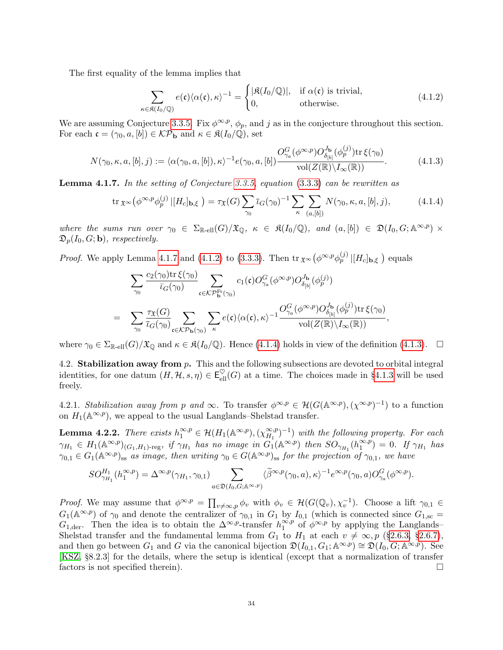The first equality of the lemma implies that

<span id="page-33-2"></span>
$$
\sum_{\kappa \in \mathfrak{K}(I_0/\mathbb{Q})} e(\mathfrak{c}) \langle \alpha(\mathfrak{c}), \kappa \rangle^{-1} = \begin{cases} |\mathfrak{K}(I_0/\mathbb{Q})|, & \text{if } \alpha(\mathfrak{c}) \text{ is trivial,} \\ 0, & \text{otherwise.} \end{cases}
$$
(4.1.2)

We are assuming Conjecture [3.3.5.](#page-30-1) Fix  $\phi^{\infty,p}$ ,  $\phi_p$ , and j as in the conjecture throughout this section. For each  $\mathfrak{c} = (\gamma_0, a, [b]) \in \mathcal{KP}_\mathbf{b}$  and  $\kappa \in \mathfrak{K}(I_0/\mathbb{Q})$ , set

<span id="page-33-4"></span>
$$
N(\gamma_0, \kappa, a, [b], j) := \langle \alpha(\gamma_0, a, [b]), \kappa \rangle^{-1} e(\gamma_0, a, [b]) \frac{O_{\gamma_a}^G(\phi^{\infty, p}) O_{\delta_{[b]}}^{J_b}(\phi_p^{(j)}) \text{tr} \xi(\gamma_0)}{\text{vol}(Z(\mathbb{R}) \setminus I_{\infty}(\mathbb{R}))}.
$$
(4.1.3)

<span id="page-33-1"></span>**Lemma 4.1.7.** In the setting of Conjecture [3.3.5,](#page-30-1) equation  $(3.3.3)$  can be rewritten as

<span id="page-33-3"></span>
$$
\operatorname{tr}_{\mathfrak{X}^{\infty}}\left(\phi^{\infty,p}\phi_{p}^{(j)}\left|\left[H_{c}\right]_{\mathbf{b},\xi}\right.\right)=\tau_{\mathfrak{X}}(G)\sum_{\gamma_{0}}\bar{\iota}_{G}(\gamma_{0})^{-1}\sum_{\kappa}\sum_{(a,[b])}N(\gamma_{0},\kappa,a,[b],j),\tag{4.1.4}
$$

where the sums run over  $\gamma_0 \in \Sigma_{\mathbb{R}-ell}(G)/\mathfrak{X}_{\mathbb{Q}}$ ,  $\kappa \in \mathfrak{K}(I_0/\mathbb{Q})$ , and  $(a, [b]) \in \mathfrak{D}(I_0, G; \mathbb{A}^{\infty, p}) \times$  $\mathfrak{D}_p(I_0,G; \mathbf{b}),$  respectively.

*Proof.* We apply Lemma [4.1.7](#page-33-1) and [\(4.1.2\)](#page-33-2) to [\(3.3.3\)](#page-30-2). Then  $\text{tr } \mathfrak{X} \propto (\phi^{\infty, p} \phi_p^{(j)} | [H_c]_{\mathbf{b}, \xi})$  equals

$$
\sum_{\gamma_0} \frac{c_2(\gamma_0) \text{tr} \xi(\gamma_0)}{\bar{\iota}_G(\gamma_0)} \sum_{\mathfrak{c} \in \mathcal{KP}_{\mathbf{b}}^{\text{Fr}}(\gamma_0)} c_1(\mathfrak{c}) O_{\gamma_a}^G(\phi^{\infty, p}) O_{\delta_{[b]}}^{J_{\mathbf{b}}}(\phi_p^{(j)})
$$
\n
$$
= \sum_{\gamma_0} \frac{\tau_{\mathfrak{X}}(G)}{\bar{\iota}_G(\gamma_0)} \sum_{\mathfrak{c} \in \mathcal{KP}_{\mathbf{b}}(\gamma_0)} \sum_{\kappa} e(\mathfrak{c}) \langle \alpha(\mathfrak{c}), \kappa \rangle^{-1} \frac{O_{\gamma_a}^G(\phi^{\infty, p}) O_{\delta_{[b]}}^{J_{\mathbf{b}}}(\phi_p^{(j)}) \text{tr} \xi(\gamma_0)}{\text{vol}(Z(\mathbb{R}) \setminus I_{\infty}(\mathbb{R}))},
$$

where  $\gamma_0 \in \Sigma_{\mathbb{R}-ell}(G)/\mathfrak{X}_{\mathbb{Q}}$  and  $\kappa \in \mathfrak{K}(I_0/\mathbb{Q})$ . Hence [\(4.1.4\)](#page-33-3) holds in view of the definition [\(4.1.3\)](#page-33-4).  $\Box$ 

<span id="page-33-0"></span>4.2. Stabilization away from  $p$ . This and the following subsections are devoted to orbital integral identities, for one datum  $(H, H, s, \eta) \in \mathsf{E}^{\heartsuit}_{ell}(G)$  at a time. The choices made in §[4.1.3](#page-31-3) will be used freely.

4.2.1. Stabilization away from p and  $\infty$ . To transfer  $\phi^{\infty,p} \in \mathcal{H}(G(\mathbb{A}^{\infty,p}), (\chi^{\infty,p})^{-1})$  to a function on  $H_1(\mathbb{A}^{\infty,p})$ , we appeal to the usual Langlands–Shelstad transfer.

<span id="page-33-5"></span>**Lemma 4.2.2.** There exists  $h_1^{\infty,p} \in \mathcal{H}(H_1(\mathbb{A}^{\infty,p}), (\chi_{H_1}^{\infty,p}))$  $\sum_{H_1}^{\infty,p}$   $-1$ ) with the following property. For each  $\gamma_{H_1} \in H_1(\mathbb{A}^{\infty,p})_{(G_1,H_1)\text{-reg}}, \text{ if } \gamma_{H_1} \text{ has no image in } G_1(\mathbb{A}^{\infty,p}) \text{ then } SO_{\gamma_{H_1}}(h_1^{\infty,p})$  $j_1^{\infty,p}) = 0.$  If  $\gamma_{H_1}$  has  $\gamma_{0,1} \in G_1(\mathbb{A}^{\infty,p})_{ss}$  as image, then writing  $\gamma_0 \in G(\mathbb{A}^{\infty,p})_{ss}$  for the projection of  $\gamma_{0,1}$ , we have

$$
SO^{H_{1}}_{\gamma_{H_{1}}}(h^{\infty, p}_{1})=\Delta^{\infty, p}(\gamma_{H_{1}}, \gamma_{0, 1})\sum_{a\in \mathfrak{D}(I_{0}, G; \mathbb{A}^{\infty, p})}\langle \widetilde{\beta}^{\infty, p}(\gamma_{0}, a), \kappa\rangle^{-1}e^{\infty, p}(\gamma_{0}, a)O^{G}_{\gamma_{a}}(\phi^{\infty, p}).
$$

Proof. We may assume that  $\phi^{\infty,p} = \prod_{v \neq \infty,p} \phi_v$  with  $\phi_v \in \mathcal{H}(G(\mathbb{Q}_v), \chi_v^{-1})$ . Choose a lift  $\gamma_{0,1} \in$  $G_1(\mathbb{A}^{\infty,p})$  of  $\gamma_0$  and denote the centralizer of  $\gamma_{0,1}$  in  $G_1$  by  $I_{0,1}$  (which is connected since  $G_{1,\text{sc}} =$  $G_{1,\text{der}}$ . Then the idea is to obtain the  $\Delta^{\infty,p}$ -transfer  $h_1^{\infty,p}$  $\int_{1}^{\infty,p}$  of  $\phi^{\infty,p}$  by applying the Langlands– Shelstad transfer and the fundamental lemma from  $G_1$  to  $H_1$  at each  $v \neq \infty$ , p (§[2.6.3,](#page-19-1) §[2.6.7\)](#page-19-3), and then go between  $G_1$  and G via the canonical bijection  $\mathfrak{D}(I_{0,1}, G_1; \mathbb{A}^{\infty, p}) \cong \mathfrak{D}(I_0, G; \mathbb{A}^{\infty, p})$ . See [\[KSZ,](#page-47-4) §8.2.3] for the details, where the setup is identical (except that a normalization of transfer factors is not specified therein).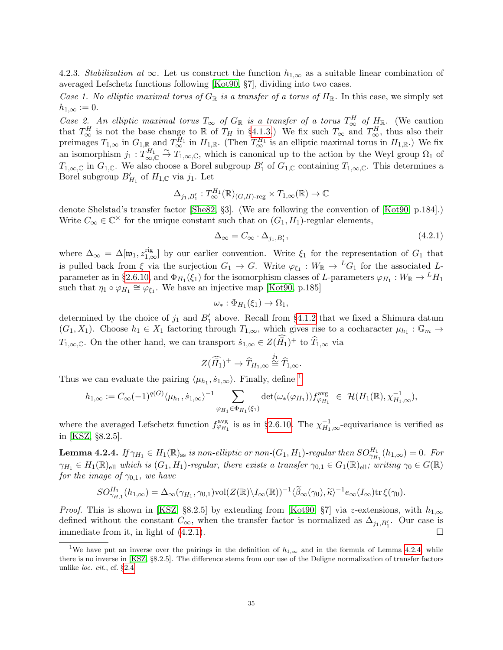4.2.3. Stabilization at  $\infty$ . Let us construct the function  $h_{1,\infty}$  as a suitable linear combination of averaged Lefschetz functions following [\[Kot90,](#page-47-27) §7], dividing into two cases.

Case 1. No elliptic maximal torus of  $G_{\mathbb{R}}$  is a transfer of a torus of  $H_{\mathbb{R}}$ . In this case, we simply set  $h_{1,\infty} := 0.$ 

Case 2. An elliptic maximal torus  $T_{\infty}$  of  $G_{\mathbb{R}}$  is a transfer of a torus  $T_{\infty}^H$  of  $H_{\mathbb{R}}$ . (We caution that  $T_{\infty}^H$  is not the base change to R of  $T_H$  in §[4.1.3.](#page-31-3)) We fix such  $T_{\infty}$  and  $T_{\infty}^H$ , thus also their preimages  $T_{1,\infty}$  in  $G_{1,\mathbb{R}}$  and  $T^{H_1}_{\infty}$  in  $H_{1,\mathbb{R}}$ . (Then  $T^{H_1}_{\infty}$  is an elliptic maximal torus in  $H_{1,\mathbb{R}}$ .) We fix an isomorphism  $j_1: T^{H_1}_{\infty,\mathbb{C}} \stackrel{\sim}{\to} T_{1,\infty,\mathbb{C}}$ , which is canonical up to the action by the Weyl group  $\Omega_1$  of  $T_{1,\infty,\mathbb{C}}$  in  $G_{1,\mathbb{C}}$ . We also choose a Borel subgroup  $B'_1$  of  $G_{1,\mathbb{C}}$  containing  $T_{1,\infty,\mathbb{C}}$ . This determines a Borel subgroup  $B'_{H_1}$  of  $H_{1,\mathbb{C}}$  via  $j_1$ . Let

$$
\Delta_{j_1,B'_1}:T^{H_1}_{\infty}(\mathbb{R})_{(G,H)\text{-reg}}\times T_{1,\infty}(\mathbb{R})\to\mathbb{C}
$$

denote Shelstad's transfer factor [\[She82,](#page-47-17) §3]. (We are following the convention of [\[Kot90,](#page-47-27) p.184].) Write  $C_{\infty} \in \mathbb{C}^{\times}$  for the unique constant such that on  $(G_1, H_1)$ -regular elements,

<span id="page-34-1"></span>
$$
\Delta_{\infty} = C_{\infty} \cdot \Delta_{j_1, B'_1},\tag{4.2.1}
$$

where  $\Delta_{\infty} = \Delta[\mathfrak{w}_1, z_{1,\infty}^{\text{rig}}]$  by our earlier convention. Write  $\xi_1$  for the representation of  $G_1$  that is pulled back from  $\xi$  via the surjection  $G_1 \to G$ . Write  $\varphi_{\xi_1} : W_{\mathbb{R}} \to {}^L G_1$  for the associated L-parameter as in §[2.6.10,](#page-20-1) and  $\Phi_{H_1}(\xi_1)$  for the isomorphism classes of L-parameters  $\varphi_{H_1}: W_{\mathbb{R}} \to {}^L H_1$ such that  $\eta_1 \circ \varphi_{H_1} \cong \varphi_{\xi_1}$ . We have an injective map [\[Kot90,](#page-47-27) p.185]

$$
\omega_* : \Phi_{H_1}(\xi_1) \to \Omega_1,
$$

determined by the choice of  $j_1$  and  $B'_1$  above. Recall from §[4.1.2](#page-31-2) that we fixed a Shimura datum  $(G_1, X_1)$ . Choose  $h_1 \in X_1$  factoring through  $T_{1,\infty}$ , which gives rise to a cocharacter  $\mu_{h_1}: \mathbb{G}_m \to$  $T_{1,\infty,\mathbb{C}}$ . On the other hand, we can transport  $\dot{s}_{1,\infty} \in Z(\overline{H}_1)^+$  to  $\widehat{T}_{1,\infty}$  via

$$
Z(\widehat{\bar{H}_1})^+ \to \widehat{T}_{H_1,\infty} \stackrel{j_1}{\cong} \widehat{T}_{1,\infty}.
$$

Thus we can evaluate the pairing  $\langle \mu_{h_1}, \dot{s}_{1,\infty} \rangle$  $\langle \mu_{h_1}, \dot{s}_{1,\infty} \rangle$  $\langle \mu_{h_1}, \dot{s}_{1,\infty} \rangle$ . Finally, define <sup>1</sup>

$$
h_{1,\infty} := C_{\infty}(-1)^{q(G)} \langle \mu_{h_1}, \dot{s}_{1,\infty} \rangle^{-1} \sum_{\varphi_{H_1} \in \Phi_{H_1}(\xi_1)} \det(\omega_*(\varphi_{H_1})) f_{\varphi_{H_1}}^{\text{avg}} \in \mathcal{H}(H_1(\mathbb{R}), \chi_{H_1,\infty}^{-1}),
$$

where the averaged Lefschetz function  $f_{\varphi_{H_1}}^{\text{avg}}$  is as in §[2.6.10.](#page-20-1) The  $\chi_{H_1,\infty}^{-1}$ -equivariance is verified as in [\[KSZ,](#page-47-4) §8.2.5].

<span id="page-34-2"></span>**Lemma 4.2.4.** If  $\gamma_{H_1} \in H_1(\mathbb{R})_{ss}$  is non-elliptic or non- $(G_1, H_1)$ -regular then  $SO_{\gamma_{H_1}}^{H_1}(h_{1,\infty}) = 0$ . For  $\gamma_{H_1} \in H_1(\mathbb{R})_{\text{ell}}$  which is  $(G_1, H_1)$ -regular, there exists a transfer  $\gamma_{0,1} \in G_1(\mathbb{R})_{\text{ell}}$ ; writing  $\gamma_0 \in G(\mathbb{R})$ for the image of  $\gamma_{0,1}$ , we have

$$
SO_{\gamma_{H,1}}^{H_1}(h_{1,\infty})=\Delta_{\infty}(\gamma_{H_1},\gamma_{0,1})\text{vol}(\mathcal{Z}(\mathbb{R})\backslash I_{\infty}(\mathbb{R}))^{-1}\langle\widetilde{\beta}_{\infty}(\gamma_0),\widetilde{\kappa}\rangle^{-1}e_{\infty}(I_{\infty})\text{tr}\,\xi(\gamma_0).
$$

*Proof.* This is shown in [\[KSZ,](#page-47-4) §8.2.5] by extending from [\[Kot90,](#page-47-27) §7] via z-extensions, with  $h_{1,\infty}$ defined without the constant  $C_{\infty}$ , when the transfer factor is normalized as  $\Delta_{j_1, B'_1}$ . Our case is immediate from it, in light of  $(4.2.1)$ .

<span id="page-34-0"></span><sup>&</sup>lt;sup>1</sup>We have put an inverse over the pairings in the definition of  $h_{1,\infty}$  and in the formula of Lemma [4.2.4,](#page-34-2) while there is no inverse in [\[KSZ,](#page-47-4) §8.2.5]. The difference stems from our use of the Deligne normalization of transfer factors unlike loc. cit., cf. §[2.4.](#page-15-0)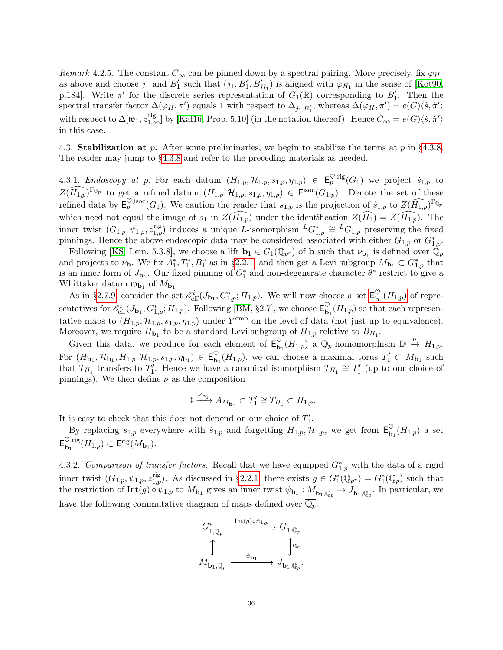<span id="page-35-3"></span>Remark 4.2.5. The constant  $C_{\infty}$  can be pinned down by a spectral pairing. More precisely, fix  $\varphi_{H_1}$ as above and choose  $j_1$  and  $B'_1$  such that  $(j_1, B'_1, B'_{H_1})$  is aligned with  $\varphi_{H_1}$  in the sense of [\[Kot90,](#page-47-27) p.184. Write  $\pi'$  for the discrete series representation of  $G_1(\mathbb{R})$  corresponding to  $B'_1$ . Then the spectral transfer factor  $\Delta(\varphi_H, \pi')$  equals 1 with respect to  $\Delta_{j_1, B'_1}$ , whereas  $\Delta(\varphi_H, \pi') = e(G)\langle \dot{s}, \dot{\pi}' \rangle$ with respect to  $\Delta[\mathfrak{w}_1, z_{1,\infty}^{\text{rig}}]$  by [\[Kal16,](#page-46-8) Prop. 5.10] (in the notation thereof). Hence  $C_{\infty} = e(G)\langle \dot{s}, \dot{\pi}' \rangle$ in this case.

<span id="page-35-0"></span>4.3. Stabilization at p. After some preliminaries, we begin to stabilize the terms at p in §[4.3.8.](#page-38-0) The reader may jump to §[4.3.8](#page-38-0) and refer to the preceding materials as needed.

<span id="page-35-1"></span>4.3.1. Endoscopy at p. For each datum  $(H_{1,p}, \mathcal{H}_{1,p}, \dot{s}_{1,p}, \eta_{1,p}) \in \mathsf{E}_{p}^{\heartsuit,\text{rig}}(G_1)$  we project  $\dot{s}_{1,p}$  to  $Z(\widehat{H_{1,p}})^{\Gamma_{\mathbb{Q}_p}}$  to get a refined datum  $(H_{1,p},\mathcal{H}_{1,p},s_{1,p},\eta_{1,p}) \in \mathsf{E}^{\rm isoc}(G_{1,p})$ . Denote the set of these refined data by  $\mathsf{E}_p^{\heartsuit,\text{isoc}}(G_1)$ . We caution the reader that  $s_{1,p}$  is the projection of  $s_{1,p}$  to  $Z(\widehat{H_{1,p}})^{\Gamma_{\mathbb{Q}_p}}$ which need not equal the image of  $s_1$  in  $Z(\widehat{H_{1,p}})$  under the identification  $Z(\widehat{H_1}) = Z(\widehat{H_{1,p}})$ . The inner twist  $(G_{1,p}, \psi_{1,p}, z_{1,p}^{rig})$  induces a unique L-isomorphism  ${}^L G_{1,p}^* \cong {}^L G_{1,p}$  preserving the fixed pinnings. Hence the above endoscopic data may be considered associated with either  $G_{1,p}$  or  $G_{1,p}^*$ .

Following [\[KS,](#page-47-1) Lem. 5.3.8], we choose a lift  $\mathbf{b}_1 \in G_1(\mathbb{Q}_{p^r})$  of **b** such that  $\nu_{\mathbf{b}_1}$  is defined over  $\mathbb{Q}_p$ and projects to  $\nu_{\mathbf{b}}$ . We fix  $A_1^*, T_1^*, B_1^*$  as in §[2.2.1,](#page-9-1) and then get a Levi subgroup  $M_{\mathbf{b}_1} \subset G_{1,p}^*$  that is an inner form of  $J_{b_1}$ . Our fixed pinning of  $G_1^*$  and non-degenerate character  $\theta^*$  restrict to give a Whittaker datum  $\mathfrak{w}_{\mathbf{b}_1}$  of  $M_{\mathbf{b}_1}$ .

As in §[2.7.9,](#page-22-0) consider the set  $\mathscr{E}_{\text{eff}}^i(J_{\mathbf{b}_1}, G_{1,p}^*; H_{1,p})$ . We will now choose a set  $\mathsf{E}_{\mathbf{b}_1}^{\heartsuit}$  $\mathcal{L}_{\mathbf{b}_1}(H_{1,p})$  $\mathcal{L}_{\mathbf{b}_1}(H_{1,p})$  $\mathcal{L}_{\mathbf{b}_1}(H_{1,p})$  of representatives for  $\mathscr{E}_{\text{eff}}^{i}(J_{\mathbf{b}_1}, G_{1,p}^*; H_{1,p})$ . Following [\[BM,](#page-46-6) §2.7], we choose  $\mathsf{E}_{\mathbf{b}_1}^{\heartsuit}$  $\mathcal{L}_{\mathbf{b}_1}(H_{1,p})$  so that each representative maps to  $(H_{1,p}, \mathcal{H}_{1,p}, s_{1,p}, \eta_{1,p})$  under  $Y^{\text{emb}}$  on the level of data (not just up to equivalence). Moreover, we require  $H_{\mathbf{b}_1}$  to be a standard Levi subgroup of  $H_{1,p}$  relative to  $B_{H_1}$ .

Given this data, we produce for each element of  $E_{\mathbf{b}}^{\heartsuit}$  $\mathcal{O}_{\mathbf{b}_1}(H_{1,p})$  a  $\mathbb{Q}_p$ -homomorphism  $\mathbb{D} \stackrel{\nu}{\to} H_{1,p}$ . For  $(H_{\mathbf{b}_1}, \mathcal{H}_{\mathbf{b}_1}, H_{1,p}, \mathcal{H}_{1,p}, s_{1,p}, \eta_{\mathbf{b}_1}) \in \mathsf{E}_{\mathbf{b}}^{\heartsuit}$  $\int_{\mathbf{b}_1}^{\heartsuit}(H_{1,p}),$  we can choose a maximal torus  $T_1' \subset M_{\mathbf{b}_1}$  such that  $T_{H_1}$  transfers to  $T_1'$ . Hence we have a canonical isomorphism  $T_{H_1} \cong T_1'$  (up to our choice of pinnings). We then define  $\nu$  as the composition

$$
\mathbb{D} \xrightarrow{\overline{\nu}_{\mathbf{b}_1}} A_{M_{\mathbf{b}_1}} \subset T'_1 \cong T_{H_1} \subset H_{1,p}.
$$

It is easy to check that this does not depend on our choice of  $T_1'$ .

By replacing  $s_{1,p}$  everywhere with  $\dot{s}_{1,p}$  and forgetting  $H_{1,p}, \mathcal{H}_{1,p}$ , we get from  $\mathsf{E}_{\mathbf{b}}^{\heartsuit}$  $\mathfrak{b}_1(H_{1,p})$  a set  $E_{\mathbf{b}_1}^{\heartsuit,\mathrm{rig}}$  $\mathfrak{b}_1^{\heartsuit,\text{rig}}(H_{1,p}) \subset \mathsf{E}^{\text{rig}}(M_{\mathbf{b}_1}).$ 

<span id="page-35-2"></span>4.3.2. Comparison of transfer factors. Recall that we have equipped  $G_{1,p}^*$  with the data of a rigid inner twist  $(G_{1,p}, \psi_{1,p}, z_{1,p}^{\text{rig}})$ . As discussed in §[2.2.1,](#page-9-1) there exists  $g \in G_1^*(\overline{\mathbb{Q}}_{p^r}) = G_1^*(\overline{\mathbb{Q}}_p)$  such that the restriction of  $\text{Int}(g) \circ \psi_{1,p}$  to  $M_{\mathbf{b}_1}$  gives an inner twist  $\psi_{\mathbf{b}_1} : M_{\mathbf{b}_1,\overline{\mathbb{Q}}_p} \to J_{\mathbf{b}_1,\overline{\mathbb{Q}}_p}$ . In particular, we have the following commutative diagram of maps defined over  $\overline{\mathbb{Q}_p}$ .

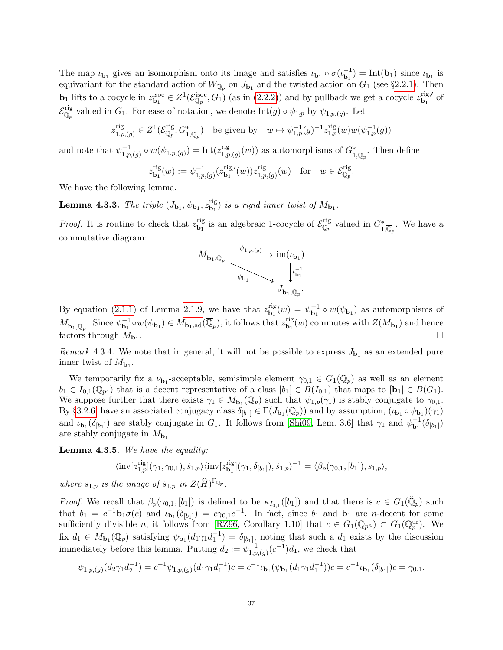The map  $\iota_{\mathbf{b}_1}$  gives an isomorphism onto its image and satisfies  $\iota_{\mathbf{b}_1} \circ \sigma(\iota_{\mathbf{b}_1}^{-1})$  $\mathbf{b}_1^{-1}$ ) = Int( $\mathbf{b}_1$ ) since  $\iota_{\mathbf{b}_1}$  is equivariant for the standard action of  $W_{\mathbb{Q}_p}$  on  $J_{\mathbf{b}_1}$  and the twisted action on  $G_1$  (see §[2.2.1\)](#page-9-1). Then **b**<sub>1</sub> lifts to a cocycle in  $z_{\mathbf{b}_1}^{\text{isoc}} \in Z^1(\mathcal{E}_{\mathbb{Q}_p}^{\text{isoc}}, G_1)$  (as in [\(2.2.2\)](#page-11-1)) and by pullback we get a cocycle  $z_{\mathbf{b}_1}^{\text{rig},\prime}$  $\frac{\text{rig},'}{\text{b}_1}$  of  $\mathcal{E}_{\mathbb{Q}_p}^{\text{rig}}$  valued in  $G_1$ . For ease of notation, we denote  $\text{Int}(g) \circ \psi_{1,p}$  by  $\psi_{1,p,(g)}$ . Let

$$
z_{1,p,(g)}^{\mathrm{rig}}\in Z^1(\mathcal E_{\mathbb Q_p}^{\mathrm{rig}},G_{1,\overline{\mathbb Q}_p}^*)\quad\text{be given by}\quad w\mapsto \psi_{1,p}^{-1}(g)^{-1}z_{1,p}^{\mathrm{rig}}(w)w(\psi_{1,p}^{-1}(g))
$$

and note that  $\psi_{1,n}^{-1}$  $\lim_{(1,p,(g)) \in \mathcal{W}} (\psi_{1,p,(g)}) = \text{Int}(z_{1,p}^{\text{rig}})$  $\lim_{(1,p,(g)}(w))$  as automorphisms of  $G_{1,\overline{\mathbb{Q}}_p}^*$ . Then define

$$
z_{\mathbf{b}_1}^{\mathrm{rig}}(w) := \psi_{1,p,(g)}^{-1}(z_{\mathbf{b}_1}^{\mathrm{rig},\prime}(w)) z_{1,p,(g)}^{\mathrm{rig}}(w) \quad \text{for} \quad w \in \mathcal{E}_{\mathbb{Q}_p}^{\mathrm{rig}}.
$$

We have the following lemma.

**Lemma 4.3.3.** The triple  $(J_{\mathbf{b}_1}, \psi_{\mathbf{b}_1}, z_{\mathbf{b}_1}^{\text{rig}})$  $\mathbf{b}_1^{\text{rig}}$  is a rigid inner twist of  $M_{\mathbf{b}_1}$ .

*Proof.* It is routine to check that  $z_{\mathbf{b}_1}^{\text{rig}}$ <sup>rig</sup> is an algebraic 1-cocycle of  $\mathcal{E}_{\mathbb{Q}_p}^{\text{rig}}$  valued in  $G_{1,\overline{\mathbb{Q}}_p}^{\ast}$ . We have a commutative diagram:



By equation [\(2.1.1\)](#page-8-1) of Lemma [2.1.9,](#page-8-2) we have that  $z_{\mathbf{b}}^{\text{rig}}$  $\frac{\text{rig}}{\mathbf{b}_1}(w) = \psi_{\mathbf{b}_1}^{-1}$  $\mathbf{b}_1^{-1} \circ w(\psi_{\mathbf{b}_1})$  as automorphisms of  $M_{\mathbf{b}_1,\overline{\mathbb{Q}}_p}$ . Since  $\psi_{\mathbf{b}_1}^{-1}$  $\mathbf{b}_1^{-1} \circ w(\psi_{\mathbf{b}_1}) \in M_{\mathbf{b}_1, \text{ad}}(\overline{\mathbb{Q}}_p)$ , it follows that  $z_{\mathbf{b}_1}^{\text{rig}}$  $\mathbf{b}_1^{\text{rig}}(w)$  commutes with  $Z(M_{\mathbf{b}_1})$  and hence factors through  $M_{\mathbf{b}_1}$ . . В последните последните се од селото на селото на селото на селото на селото на селото на селото на селото н<br>Селото на селото на селото на селото на селото на селото на селото на селото на селото на селото на селото на

Remark 4.3.4. We note that in general, it will not be possible to express  $J_{\mathbf{b}_1}$  as an extended pure inner twist of  $M_{\mathbf{b}_1}$ .

We temporarily fix a  $\nu_{\mathbf{b}_1}$ -acceptable, semisimple element  $\gamma_{0,1} \in G_1(\mathbb{Q}_p)$  as well as an element  $b_1 \in I_{0,1}(\mathbb{Q}_{p^r})$  that is a decent representative of a class  $[b_1] \in B(I_{0,1})$  that maps to  $[\mathbf{b}_1] \in B(G_1)$ . We suppose further that there exists  $\gamma_1 \in M_{\mathbf{b}_1}(\mathbb{Q}_p)$  such that  $\psi_{1,p}(\gamma_1)$  is stably conjugate to  $\gamma_{0,1}$ . By §[3.2.6,](#page-27-4) have an associated conjugacy class  $\delta_{[b_1]} \in \Gamma(J_{\mathbf{b}_1}(\mathbb{Q}_p))$  and by assumption,  $(\iota_{\mathbf{b}_1} \circ \psi_{\mathbf{b}_1})(\gamma_1)$ and  $\iota_{\mathbf{b}_1}(\delta_{[b_1]})$  are stably conjugate in  $G_1$ . It follows from [\[Shi09,](#page-47-2) Lem. 3.6] that  $\gamma_1$  and  $\psi_{\mathbf{b}_1}^{-1}$  $\mathbf{b}_1^{-1}(\delta_{[b_1]})$ are stably conjugate in  $M_{\mathbf{b}_1}$ .

<span id="page-36-0"></span>Lemma 4.3.5. We have the equality:

$$
\langle \text{inv}[z_{1,p}^{\text{rig}}](\gamma_1, \gamma_{0,1}), \dot{s}_{1,p} \rangle \langle \text{inv}[z_{\mathbf{b}_1}^{\text{rig}}](\gamma_1, \delta_{[b_1]}), \dot{s}_{1,p} \rangle^{-1} = \langle \beta_p(\gamma_{0,1}, [b_1]), s_{1,p} \rangle,
$$

where  $s_{1,p}$  is the image of  $\dot{s}_{1,p}$  in  $Z(\widehat{H})^{\Gamma_{\mathbb{Q}_p}}$ .

*Proof.* We recall that  $\beta_p(\gamma_{0,1}, [b_1])$  is defined to be  $\kappa_{I_{0,1}}([b_1])$  and that there is  $c \in G_1(\check{Q}_p)$  such that  $b_1 = c^{-1} \mathbf{b}_1 \sigma(c)$  and  $\iota_{\mathbf{b}_1}(\delta_{[b_1]}) = c \gamma_{0,1} c^{-1}$ . In fact, since  $b_1$  and  $\mathbf{b}_1$  are *n*-decent for some sufficiently divisible n, it follows from [\[RZ96,](#page-47-8) Corollary 1.10] that  $c \in G_1(\mathbb{Q}_{p^n}) \subset G_1(\mathbb{Q}_p^{\text{ur}})$ . We fix  $d_1 \in M_{\mathbf{b}_1}(\overline{\mathbb{Q}_p})$  satisfying  $\psi_{\mathbf{b}_1}(d_1 \gamma_1 d_1^{-1}) = \delta_{[b_1]}$ , noting that such a  $d_1$  exists by the discussion immediately before this lemma. Putting  $d_2 := \psi_{1,n}^{-1}$  $_{1,p,(g)}^{-1}(c^{-1})d_1$ , we check that

$$
\psi_{1,p,(g)}(d_2\gamma_1d_2^{-1})=c^{-1}\psi_{1,p,(g)}(d_1\gamma_1d_1^{-1})c=c^{-1}\iota_{\mathbf{b}_1}(\psi_{\mathbf{b}_1}(d_1\gamma_1d_1^{-1}))c=c^{-1}\iota_{\mathbf{b}_1}(\delta_{[b_1]})c=\gamma_{0,1}.
$$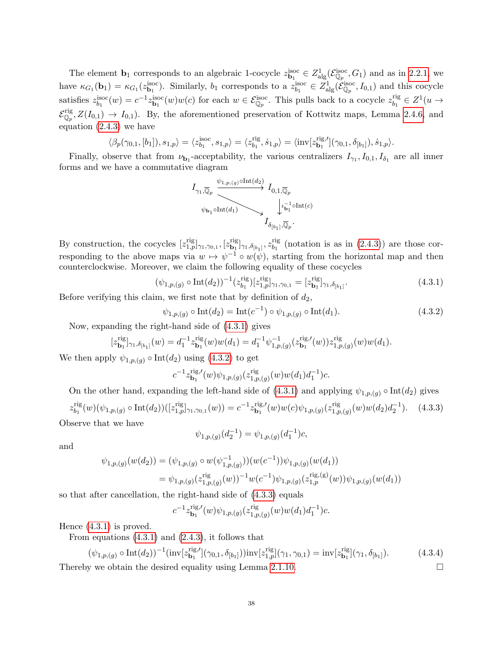The element  $\mathbf{b}_1$  corresponds to an algebraic 1-cocycle  $z_{\mathbf{b}_1}^{\text{isoc}} \in Z_{\text{alg}}^1(\mathcal{E}_{\mathbb{Q}_p}^{\text{isoc}}, G_1)$  and as in [2.2.1,](#page-9-1) we have  $\kappa_{G_1}(\mathbf{b}_1) = \kappa_{G_1}(z_{\mathbf{b}_1}^{\text{isoc}})$ . Similarly,  $b_1$  corresponds to a  $z_{b_1}^{\text{isoc}} \in Z_{\text{alg}}^1(\mathcal{E}_{\mathbb{Q}_p}^{\text{isoc}}, I_{0,1})$  and this cocycle satisfies  $z_{b_1}^{isoc}(w) = c^{-1}z_{b_1}^{isoc}(w)w(c)$  for each  $w \in \mathcal{E}_{\mathbb{Q}_p}^{isoc}$ . This pulls back to a cocycle  $z_{b_1}^{isoc}$  $b_1^{\text{rig}} \in Z^1(u \to$  $\mathcal{E}_{\mathbb{Q}_p}^{\text{rig}}, Z(I_{0,1}) \to I_{0,1}$ . By, the aforementioned preservation of Kottwitz maps, Lemma [2.4.6,](#page-16-2) and equation [\(2.4.3\)](#page-16-3) we have

$$
\langle \beta_p(\gamma_{0,1}, [b_1]), s_{1,p} \rangle = \langle z_{b_1}^{\text{isoc}}, s_{1,p} \rangle = \langle z_{b_1}^{\text{rig}}, \dot{s}_{1,p} \rangle = \langle \text{inv}[z_{\mathbf{b}_1}^{\text{rig},\prime}] (\gamma_{0,1}, \delta_{[b_1]}), \dot{s}_{1,p} \rangle.
$$

Finally, observe that from  $\nu_{\mathbf{b}_1}$ -acceptability, the various centralizers  $I_{\gamma_1}, I_{0,1}, I_{\delta_1}$  are all inner forms and we have a commutative diagram



By construction, the cocycles  $[z_{1,p}^{rig}]_{\gamma_1,\gamma_{0,1}}, [z_{\mathbf{b}_1}^{rig}]$  $\left. \begin{array}{l} \mathrm{rig} \ \mathbf{b}_1 \end{array} \right\} \gamma_1, \delta_{[b_1]}, \, z_{b_1}^{\mathrm{rig}}$  $b_1^{\text{rig}}$  (notation is as in  $(2.4.3)$ ) are those corresponding to the above maps via  $w \mapsto \psi^{-1} \circ w(\psi)$ , starting from the horizontal map and then counterclockwise. Moreover, we claim the following equality of these cocycles

<span id="page-37-0"></span>
$$
(\psi_{1,p,(g)} \circ \text{Int}(d_2))^{-1} (z_{b_1}^{\text{rig}})[z_{1,p}^{\text{rig}}]_{\gamma_1,\gamma_{0,1}} = [z_{\mathbf{b}_1}^{\text{rig}}]_{\gamma_1,\delta_{[b_1]}}.
$$
\n(4.3.1)

Before verifying this claim, we first note that by definition of  $d_2$ ,

<span id="page-37-1"></span>
$$
\psi_{1,p,(g)} \circ \text{Int}(d_2) = \text{Int}(c^{-1}) \circ \psi_{1,p,(g)} \circ \text{Int}(d_1). \tag{4.3.2}
$$

Now, expanding the right-hand side of [\(4.3.1\)](#page-37-0) gives

$$
[z_{\mathbf{b}_1}^{\text{rig}}]_{\gamma_1, \delta_{[b_1]}}(w) = d_1^{-1} z_{\mathbf{b}_1}^{\text{rig}}(w) w(d_1) = d_1^{-1} \psi_{1, p, (g)}^{-1} (z_{\mathbf{b}_1}^{\text{rig}, \prime}(w)) z_{1, p, (g)}^{\text{rig}}(w) w(d_1).
$$

We then apply  $\psi_{1,p,(q)} \circ \text{Int}(d_2)$  using  $(4.3.2)$  to get

$$
c^{-1} z_{\mathbf{b}_1}^{\mathrm{rig},\prime}(w) \psi_{1,p,(g)}(z_{1,p,(g)}^{\mathrm{rig}}(w) w(d_1) d_1^{-1}) c.
$$

On the other hand, expanding the left-hand side of  $(4.3.1)$  and applying  $\psi_{1,p,(g)} \circ \text{Int}(d_2)$  gives

<span id="page-37-2"></span>
$$
z_{b_1}^{\text{rig}}(w)(\psi_{1,p,(g)} \circ \text{Int}(d_2))([z_{1,p}^{\text{rig}}]_{\gamma_1,\gamma_{0,1}}(w)) = c^{-1} z_{b_1}^{\text{rig},\prime}(w) w(c) \psi_{1,p,(g)}(z_{1,p,(g)}^{\text{rig}}(w) w(d_2) d_2^{-1}). \tag{4.3.3}
$$
 Observe that we have

Observe that we have

$$
\psi_{1,p,(g)}(d_2^{-1}) = \psi_{1,p,(g)}(d_1^{-1})c,
$$

and

$$
\psi_{1,p,(g)}(w(d_2)) = (\psi_{1,p,(g)} \circ w(\psi_{1,p,(g)}^{-1})) (w(c^{-1})) \psi_{1,p,(g)}(w(d_1))
$$
  

$$
= \psi_{1,p,(g)}(z_{1,p,(g)}^{\text{rig}}(w))^{-1} w(c^{-1}) \psi_{1,p,(g)}(z_{1,p}^{\text{rig},(g)}(w)) \psi_{1,p,(g)}(w(d_1))
$$

so that after cancellation, the right-hand side of [\(4.3.3\)](#page-37-2) equals

 $c^{-1}z_{\mathbf{b}_1}^{\text{rig},\prime}$  $\lim_{{\mathbf{b}}_1}^{\mathop{\text{\rm rig}}\nolimits, \prime}(w) \psi_{1,p,(g)}(z_{1,p}^{\mathop{\text{\rm rig}}\nolimits}$  $\lim_{(1,p,(g)}(w)w(d_1)d_1^{-1})c.$ 

Hence [\(4.3.1\)](#page-37-0) is proved.

From equations  $(4.3.1)$  and  $(2.4.3)$ , it follows that

$$
(\psi_{1,p,(g)} \circ \text{Int}(d_2))^{-1}(\text{inv}[z_{\mathbf{b}_1}^{\text{rig}}, \mathbf{b}_1])\text{inv}[z_{1,p}^{\text{rig}}](\gamma_1, \gamma_{0,1}) = \text{inv}[z_{\mathbf{b}_1}^{\text{rig}}](\gamma_1, \delta_{[b_1]}).
$$
(4.3.4)  
Therefore we obtain the desired equality using Lemma 2.1.10.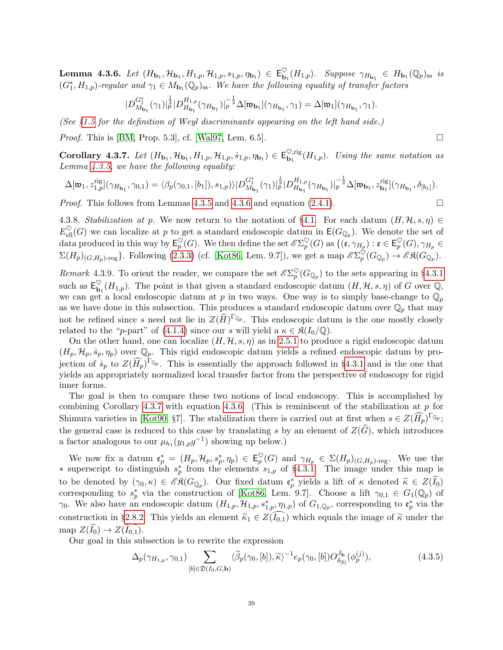<span id="page-38-2"></span>Lemma 4.3.6. Let  $(H_{\mathbf{b}_1}, \mathcal{H}_{\mathbf{b}_1}, H_{1,p}, \mathcal{H}_{1,p}, s_{1,p}, \eta_{\mathbf{b}_1}) \in \mathsf{E}_{\mathbf{b}_1}^{\heartsuit}$  $\mathcal{L}_{\mathbf{b}_1}^{\heartsuit}(H_{1,p})$ . Suppose  $\gamma_{H_{\mathbf{b}_1}} \in H_{\mathbf{b}_1}(\mathbb{Q}_p)$ ss is  $(G_1^*, H_{1,p})$ -regular and  $\gamma_1 \in M_{\mathbf{b}_1}(\mathbb{Q}_p)_{\text{ss}}$ . We have the following equality of transfer factors

$$
|D_{M_{\mathbf{b}_1}}^{G_1^*}(\gamma_1)|_p^{\frac{1}{2}}|D_{H_{\mathbf{b}_1}}^{H_{1,p}}(\gamma_{H_{\mathbf{b}_1}})|_p^{-\frac{1}{2}}\Delta[\mathfrak{w}_{\mathbf{b}_1}](\gamma_{H_{\mathbf{b}_1}},\gamma_1)=\Delta[\mathfrak{w}_1](\gamma_{H_{\mathbf{b}_1}},\gamma_1).
$$

(See §[1.5](#page-4-1) for the definition of Weyl discriminants appearing on the left hand side.)

*Proof.* This is [\[BM,](#page-46-6) Prop. 5.3], cf. [\[Wal97,](#page-48-3) Lem. 6.5].

<span id="page-38-1"></span>Corollary 4.3.7. Let  $(H_{\mathbf{b}_1}, \mathcal{H}_{\mathbf{b}_1}, H_{1,p}, \mathcal{H}_{1,p}, \dot{s}_{1,p}, \eta_{\mathbf{b}_1}) \in \mathsf{E}_{\mathbf{b}_1}^{\heartsuit,\text{rig}}$  $\mathbf{b}_1^{\vee,\mathrm{rig}}(H_{1,p})$ . Using the same notation as Lemma [4.3.5,](#page-36-0) we have the following equality:

$$
\Delta[\mathfrak{w}_1, z_{1,p}^{\text{rig}}](\gamma_{H_{\mathbf{b}_1}}, \gamma_{0,1}) = \langle \beta_p(\gamma_{0,1}, [b_1]), s_{1,p} \rangle | D_{M_{\mathbf{b}_1}}^{G_1^*}(\gamma_1)|_p^{\frac{1}{2}} | D_{H_{\mathbf{b}_1}}^{H_{1,p}}(\gamma_{H_{\mathbf{b}_1}}) |_p^{-\frac{1}{2}} \Delta[\mathfrak{w}_{\mathbf{b}_1}, z_{\mathbf{b}_1}^{\text{rig}}](\gamma_{H_{\mathbf{b}_1}}, \delta_{[b_1]}).
$$

*Proof.* This follows from Lemmas [4.3.5](#page-36-0) and [4.3.6](#page-38-2) and equation  $(2.4.1)$ .

<span id="page-38-0"></span>4.3.8. Stabilization at p. We now return to the notation of §[4.1.](#page-31-1) For each datum  $(H, H, s, \eta) \in$  $E_{\text{ell}}^{\heartsuit}(G)$  we can localize at p to get a standard endoscopic datum in  $\mathsf{E}(G_{\mathbb{Q}_p})$ . We denote the set of data produced in this way by  $\mathsf{E}_p^{\heartsuit}(G)$ . We then define the set  $\mathscr{E}\Sigma_p^{\heartsuit}(G)$  as  $\{(\mathfrak{e},\gamma_{H_p}):\mathfrak{e}\in\mathsf{E}_p^{\heartsuit}(G),\gamma_{H_p}\in\mathbb{C}\}$  $\Sigma(H_p)_{(G,H_p)\text{-reg}}\$ . Following [\(2.3.3\)](#page-14-0) (cf. [\[Kot86,](#page-47-11) Lem. 9.7]), we get a map  $\mathscr{E}\Sigma_p^{\heartsuit}(G_{\mathbb{Q}_p}) \to \mathscr{E}\mathfrak{K}(G_{\mathbb{Q}_p})$ .

Remark 4.3.9. To orient the reader, we compare the set  $\mathscr{E}\Sigma_p^{\heartsuit}(G_{\mathbb{Q}_p})$  to the sets appearing in §[4.3.1](#page-35-1) such as  $E_{\mathbf{b}}^{\heartsuit}$  $\mathcal{L}_{\mathbf{b}_1}(H_{1,p})$ . The point is that given a standard endoscopic datum  $(H, \mathcal{H}, s, \eta)$  of G over  $\mathbb{Q},$ we can get a local endoscopic datum at p in two ways. One way is to simply base-change to  $\mathbb{Q}_p$ as we have done in this subsection. This produces a standard endoscopic datum over  $\mathbb{Q}_p$  that may not be refined since s need not lie in  $Z(\widehat{H})^{\Gamma_{\mathbb{Q}_p}}$ . This endoscopic datum is the one mostly closely related to the "p-part" of [\(4.1.4\)](#page-33-3) since our s will yield a  $\kappa \in \mathfrak{K}(I_0/\mathbb{Q})$ .

On the other hand, one can localize  $(H, \mathcal{H}, s, \eta)$  as in [2.5.1](#page-17-2) to produce a rigid endoscopic datum  $(H_p, \mathcal{H}_p, \dot{s}_p, \eta_p)$  over  $\mathbb{Q}_p$ . This rigid endoscopic datum yields a refined endoscopic datum by projection of  $\dot{s}_p$  to  $Z(\widehat{H_p})^{\Gamma_{\mathbb{Q}_p}}$ . This is essentially the approach followed in §[4.3.1](#page-35-1) and is the one that yields an appropriately normalized local transfer factor from the perspective of endoscopy for rigid inner forms.

The goal is then to compare these two notions of local endoscopy. This is accomplished by combining Corollary [4.3.7](#page-38-1) with equation [4.3.6.](#page-39-1) (This is reminiscent of the stabilization at  $p$  for Shimura varieties in [\[Kot90,](#page-47-27) §7]. The stabilization there is carried out at first when  $s \in Z(\widehat{H_p})^{\Gamma_{\mathbb{Q}_p}}$ ; the general case is reduced to this case by translating s by an element of  $Z(\widehat{G})$ , which introduces a factor analogous to our  $\mu_{h_1}(y_{1,p}g^{-1})$  showing up below.)

We now fix a datum  $\mathfrak{e}_p^* = (H_p, \mathcal{H}_p, s_p^*, \eta_p) \in \mathsf{E}_p^{\heartsuit}(G)$  and  $\gamma_{H_p} \in \Sigma(H_p)_{(G,H_p)\text{-reg}}$ . We use the \* superscript to distinguish  $s_p^*$  from the elements  $s_{1,p}$  of §[4.3.1.](#page-35-1) The image under this map is to be denoted by  $(\gamma_0, \kappa) \in \mathscr{E} \mathfrak{K}(G_{\mathbb{Q}_p})$ . Our fixed datum  $\mathfrak{e}_p^*$  yields a lift of  $\kappa$  denoted  $\widetilde{\kappa} \in Z(\widehat{I}_0)$ corresponding to  $s_p^*$  via the construction of [\[Kot86,](#page-47-11) Lem. 9.7]. Choose a lift  $\gamma_{0,1} \in G_1(\mathbb{Q}_p)$  of  $\gamma_0$ . We also have an endoscopic datum  $(H_{1,p}, \mathcal{H}_{1,p}, s_{1,p}^*, \eta_{1,p})$  of  $G_{1,\mathbb{Q}_p}$ , corresponding to  $\mathfrak{e}_p^*$  via the construction in §[2.8.2.](#page-23-3) This yields an element  $\tilde{\kappa}_1 \in Z(\widehat{I_{0,1}})$  which equals the image of  $\tilde{\kappa}$  under the map  $Z(\tilde{I}_0) \rightarrow Z(\tilde{I}_{0,1}).$ 

Our goal in this subsection is to rewrite the expression

<span id="page-38-3"></span>
$$
\Delta_p(\gamma_{H_{1,p}}, \gamma_{0,1}) \sum_{[b] \in \mathfrak{D}(I_0, G, \mathbf{b})} \langle \widetilde{\beta}_p(\gamma_0, [b]), \widetilde{\kappa} \rangle^{-1} e_p(\gamma_0, [b]) O_{\delta_{[b]}}^{J_{\mathbf{b}}}(\phi_p^{(j)}), \tag{4.3.5}
$$

$$
\overline{a}
$$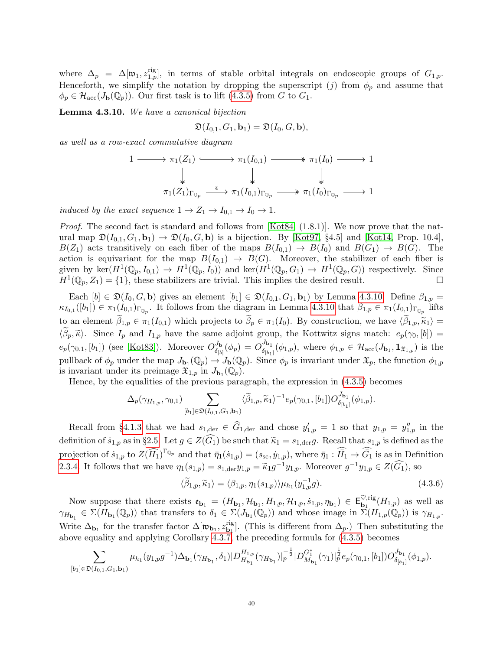where  $\Delta_p = \Delta[\mathfrak{w}_1, z_{1,p}^{\text{rig}}]$ , in terms of stable orbital integrals on endoscopic groups of  $G_{1,p}$ . Henceforth, we simplify the notation by dropping the superscript (j) from  $\phi_p$  and assume that  $\phi_p \in \mathcal{H}_{\text{acc}}(J_{\mathbf{b}}(\mathbb{Q}_p)).$  Our first task is to lift  $(4.3.5)$  from G to  $G_1$ .

<span id="page-39-0"></span>Lemma 4.3.10. We have a canonical bijection

$$
\mathfrak{D}(I_{0,1}, G_1, \mathbf{b}_1) = \mathfrak{D}(I_0, G, \mathbf{b}),
$$

as well as a row-exact commutative diagram

$$
\begin{array}{ccccccc}\n1 & \xrightarrow{\hspace{1cm}} & \pi_1(Z_1) & \xrightarrow{\hspace{1cm}} & \pi_1(I_{0,1}) & \xrightarrow{\hspace{1cm}} & \pi_1(I_0) & \xrightarrow{\hspace{1cm}} & 1 \\
& & & & & & & \\
& & & & & & & \\
\downarrow & & & & & & & \\
\pi_1(Z_1)_{\Gamma_{\mathbb{Q}_p}} & \xrightarrow{\overline{\epsilon}} & \pi_1(I_{0,1})_{\Gamma_{\mathbb{Q}_p}} & \xrightarrow{\hspace{1cm}} & \pi_1(I_0)_{\Gamma_{\mathbb{Q}_p}} & \xrightarrow{\hspace{1cm}} & 1\n\end{array}
$$

induced by the exact sequence  $1 \rightarrow Z_1 \rightarrow I_{0,1} \rightarrow I_0 \rightarrow 1$ .

*Proof.* The second fact is standard and follows from  $[Kot84, (1.8.1)]$ . We now prove that the natural map  $\mathfrak{D}(I_{0,1}, G_1, \mathbf{b}_1) \to \mathfrak{D}(I_0, G, \mathbf{b})$  is a bijection. By [\[Kot97,](#page-47-7) §4.5] and [\[Kot14,](#page-47-10) Prop. 10.4],  $B(Z_1)$  acts transitively on each fiber of the maps  $B(I_{0,1}) \rightarrow B(I_0)$  and  $B(G_1) \rightarrow B(G)$ . The action is equivariant for the map  $B(I_{0,1}) \rightarrow B(G)$ . Moreover, the stabilizer of each fiber is given by ker $(H^1(\mathbb{Q}_p, I_{0,1}) \to H^1(\mathbb{Q}_p, I_0))$  and ker $(H^1(\mathbb{Q}_p, G_1) \to H^1(\mathbb{Q}_p, G))$  respectively. Since  $H^1(\mathbb{Q}_p, Z_1) = \{1\}$ , these stabilizers are trivial. This implies the desired result.

Each  $[b] \in \mathfrak{D}(I_0, G, \mathbf{b})$  gives an element  $[b_1] \in \mathfrak{D}(I_{0,1}, G_1, \mathbf{b}_1)$  by Lemma [4.3.10.](#page-39-0) Define  $\beta_{1,p} =$  $\kappa_{I_{0,1}}([b_1]) \in \pi_1(I_{0,1})_{\Gamma_{\mathbb{Q}_p}}$ . It follows from the diagram in Lemma [4.3.10](#page-39-0) that  $\beta_{1,p} \in \pi_1(I_{0,1})_{\Gamma_{\mathbb{Q}_p}}$  lifts to an element  $\widetilde{\beta}_{1,p} \in \pi_1(I_{0,1})$  which projects to  $\widetilde{\beta}_p \in \pi_1(I_0)$ . By construction, we have  $\langle \widetilde{\beta}_{1,p}, \widetilde{\kappa}_1 \rangle =$  $\langle \widetilde{\beta}_p, \widetilde{\kappa} \rangle$ . Since  $I_p$  and  $I_{1,p}$  have the same adjoint group, the Kottwitz signs match:  $e_p(\gamma_0, [b]) =$  $e_p(\gamma_{0,1}, [b_1])$  (see [\[Kot83\]](#page-47-29)). Moreover  $O_{\delta u}^{J_{\mathbf{b}}}$  $\frac{J_\mathbf{b}}{\delta_{[b]}}(\phi_p) = O^{J_\mathbf{b_1}}_{\delta_{[b_1]}}$  $\delta_{\mathfrak{b}_{1}}^{S_{\mathbf{b}_{1}}}(\phi_{1,p}),$  where  $\phi_{1,p} \in \mathcal{H}_{\text{acc}}(J_{\mathbf{b}_{1}}, \mathbf{1}_{\mathfrak{X}_{1,p}})$  is the pullback of  $\phi_p$  under the map  $J_{\mathbf{b}_1}(\mathbb{Q}_p) \to J_{\mathbf{b}}(\mathbb{Q}_p)$ . Since  $\phi_p$  is invariant under  $\mathfrak{X}_p$ , the function  $\phi_{1,p}$ is invariant under its preimage  $\mathfrak{X}_{1,p}$  in  $J_{\mathbf{b}_1}(\mathbb{Q}_p)$ .

Hence, by the equalities of the previous paragraph, the expression in [\(4.3.5\)](#page-38-3) becomes

$$
\Delta_p(\gamma_{H_{1,p}},\gamma_{0,1})\sum_{[b_1]\in \mathfrak{D}(I_{0,1},G_1,\mathbf{b}_1)}\langle \widetilde{\beta}_{1,p},\widetilde{\kappa}_1\rangle^{-1}e_p(\gamma_{0,1},[b_1])O^{J_{\mathbf{b}_1}}_{\delta_{[b_1]}}(\phi_{1,p}).
$$

Recall from §[4.1.3](#page-31-3) that we had  $s_{1,\text{der}} \in \hat{G}_{1,\text{der}}$  and chose  $y'_{1,p} = 1$  so that  $y_{1,p} = y''_{1,p}$  in the definition of  $\dot{s}_{1,p}$  as in §[2.5.](#page-17-0) Let  $g \in Z(\widehat{G}_1)$  be such that  $\widetilde{\kappa}_1 = s_{1,\text{der}}g$ . Recall that  $s_{1,p}$  is defined as the projection of  $s_{1,p}$  to  $Z(\widehat{H_1})^{\Gamma_{\mathbb{Q}_p}}$  and that  $\bar{\eta}_1(s_{1,p}) = (s_{\rm sc}, \dot{y}_{1,p}),$  where  $\bar{\eta}_1 : \bar{H_1} \to \bar{G_1}$  is as in Definition [2.3.4.](#page-12-0) It follows that we have  $\eta_1(s_{1,p}) = s_{1,\text{der}} y_{1,p} = \tilde{\kappa}_1 g^{-1} y_{1,p}$ . Moreover  $g^{-1} y_{1,p} \in Z(\widehat{G_1})$ , so

<span id="page-39-1"></span>
$$
\langle \widetilde{\beta}_{1,p}, \widetilde{\kappa}_1 \rangle = \langle \beta_{1,p}, \eta_1(s_{1,p}) \rangle \mu_{h_1}(y_{1,p}^{-1}g). \tag{4.3.6}
$$

Now suppose that there exists  $\mathfrak{e}_{\mathbf{b}_1} = (H_{\mathbf{b}_1}, \mathcal{H}_{\mathbf{b}_1}, H_{1,p}, \mathcal{H}_{1,p}, \dot{s}_{1,p}, \eta_{\mathbf{b}_1}) \in \mathsf{E}_{\mathbf{b}_1}^{\heartsuit,\text{rig}}$  $\mathbf{b}_1^{\vee,\text{rig}}(H_{1,p})$  as well as  $\gamma_{H_{\mathbf{b}_1}} \in \Sigma(H_{\mathbf{b}_1}(\mathbb{Q}_p))$  that transfers to  $\delta_1 \in \Sigma(J_{\mathbf{b}_1}(\mathbb{Q}_p))$  and whose image in  $\Sigma(H_{1,p}(\mathbb{Q}_p))$  is  $\gamma_{H_{1,p}}$ . Write  $\Delta_{\mathbf{b}_1}$  for the transfer factor  $\Delta[\mathfrak{w}_{\mathbf{b}_1}, z_{\mathbf{b}_1}^{\text{rig}}]$ <sup>rig</sup><sub>b<sub>1</sub></sub>. (This is different from  $\Delta_p$ .) Then substituting the above equality and applying Corollary [4.3.7,](#page-38-1) the preceding formula for [\(4.3.5\)](#page-38-3) becomes

$$
\sum_{[b_1]\in \mathfrak{D}(I_{0,1},G_1,\mathbf{b}_1)}\mu_{h_1}(y_{1,p}g^{-1})\Delta_{\mathbf{b}_1}(\gamma_{H_{\mathbf{b}_1}},\delta_1)|D^{H_{1,p}}_{H_{\mathbf{b}_1}}(\gamma_{H_{\mathbf{b}_1}})|_p^{-\frac{1}{2}}|D^{G_1^*}_{M_{\mathbf{b}_1}}(\gamma_1)|_p^{\frac{1}{2}}e_p(\gamma_{0,1},[b_1])O^{J_{\mathbf{b}_1}}_{\delta_{[b_1]}}(\phi_{1,p}).
$$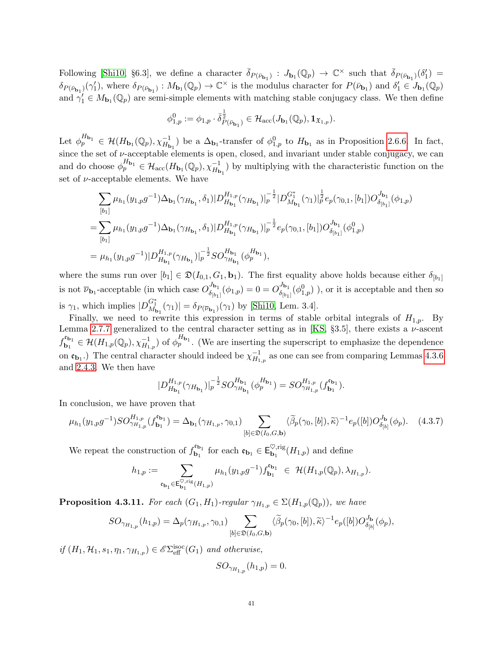Following [\[Shi10,](#page-48-2) §6.3], we define a character  $\bar{\delta}_{P(\bar{\nu}_{b_1})}: J_{b_1}(\mathbb{Q}_p) \to \mathbb{C}^\times$  such that  $\bar{\delta}_{P(\bar{\nu}_{b_1})}(\delta_1') =$  $\delta_{P(\bar{\nu}_{\mathbf{b}_1})}(\gamma'_1)$ , where  $\delta_{P(\bar{\nu}_{\mathbf{b}_1})}: M_{\mathbf{b}_1}(\mathbb{Q}_p) \to \mathbb{C}^\times$  is the modulus character for  $P(\bar{\nu}_{\mathbf{b}_1})$  and  $\delta'_1 \in J_{\mathbf{b}_1}(\mathbb{Q}_p)$ and  $\gamma_1' \in M_{\mathbf{b}_1}(\mathbb{Q}_p)$  are semi-simple elements with matching stable conjugacy class. We then define

$$
\phi_{1,p}^0:=\phi_{1,p}\cdot \bar{\delta}^{\frac{1}{2}}_{P(\bar{\nu}_{\mathbf{b}_1})}\in \mathcal{H}_{\rm acc}(J_{\mathbf{b}_1}(\mathbb{Q}_p), \mathbf{1}_{\mathfrak{X}_{1,p}}).
$$

Let  $\phi_p^{H_{\mathbf{b}_1}} \in \mathcal{H}(H_{\mathbf{b}_1}(\mathbb{Q}_p), \chi^{-1}_{H_{\mathbf{b}_1}})$  be a  $\Delta_{\mathbf{b}_1}$ -transfer of  $\phi_{1,p}^0$  to  $H_{\mathbf{b}_1}$  as in Proposition [2.6.6.](#page-19-2) In fact, since the set of  $\nu$ -acceptable elements is open, closed, and invariant under stable conjugacy, we can and do choose  $\phi_p^{H_{\mathbf{b}_1}} \in \mathcal{H}_{\text{acc}}(H_{\mathbf{b}_1}(\mathbb{Q}_p), \chi_{H_{\mathbf{b}_1}}^{-1})$  by multiplying with the characteristic function on the set of  $\nu$ -acceptable elements. We have

$$
\sum_{[b_1]}\mu_{h_1}(y_{1,p}g^{-1})\Delta_{\mathbf{b}_1}(\gamma_{H_{\mathbf{b}_1}},\delta_1)|D_{H_{\mathbf{b}_1}}^{H_{1,p}}(\gamma_{H_{\mathbf{b}_1}})|_p^{-\frac{1}{2}}|D_{M_{\mathbf{b}_1}}^{G_1^*}(\gamma_1)|_p^{\frac{1}{2}}e_p(\gamma_{0,1},[b_1])O_{\delta_{[b_1]}}^{J_{\mathbf{b}_1}}(\phi_{1,p})
$$
  
\n
$$
=\sum_{[b_1]}\mu_{h_1}(y_{1,p}g^{-1})\Delta_{\mathbf{b}_1}(\gamma_{H_{\mathbf{b}_1}},\delta_1)|D_{H_{\mathbf{b}_1}}^{H_{1,p}}(\gamma_{H_{\mathbf{b}_1}})|_p^{-\frac{1}{2}}e_p(\gamma_{0,1},[b_1])O_{\delta_{[b_1]}}^{J_{\mathbf{b}_1}}(\phi_{1,p}^0)
$$
  
\n
$$
=\mu_{h_1}(y_{1,p}g^{-1})|D_{H_{\mathbf{b}_1}}^{H_{1,p}}(\gamma_{H_{\mathbf{b}_1}})|_p^{-\frac{1}{2}}SO_{\gamma_{H_{\mathbf{b}_1}}}^{H_{\mathbf{b}_1}}(\phi_p^{H_{\mathbf{b}_1}}),
$$

where the sums run over  $[b_1] \in \mathfrak{D}(I_{0,1}, G_1, \mathbf{b}_1)$ . The first equality above holds because either  $\delta_{[b_1]}$ is not  $\overline{\nu}_{\mathbf{b}_1}$ -acceptable (in which case  $O_{\delta_{\mathrm{th}}}^{J_{\mathbf{b}_1}}$  $\frac{J_{\mathbf{b}_1}}{\delta_{[b_1]}}(\phi_{1,p})=0=O^{J_{\mathbf{b}_1}}_{\delta_{[b_1]}}$  $\begin{pmatrix} \partial \mathbf{b}_1 \\ \delta_{[b_1]} (\phi_{1,p}^0) \end{pmatrix}$ , or it is acceptable and then so is  $\gamma_1$ , which implies  $|D_{M_{\mathbf{b}_1}}^{G_1^*}(\gamma_1)| = \delta_{P(\overline{\nu}_{\mathbf{b}_1})}(\gamma_1)$  by [\[Shi10,](#page-48-2) Lem. 3.4].

Finally, we need to rewrite this expression in terms of stable orbital integrals of  $H_{1,p}$ . By Lemma [2.7.7](#page-21-5) generalized to the central character setting as in [\[KS,](#page-47-1) §3.5], there exists a  $\nu$ -ascent  $f_{\mathbf{b}_1}^{\mathfrak{e}_{\mathbf{b}_1}}$  $\mathbf{E}_{\mathbf{b}_1}^{\mathbf{c}_{\mathbf{b}_1}} \in \mathcal{H}(H_{1,p}(\mathbb{Q}_p), \chi_{H_{1,p}}^{-1})$  of  $\phi_p^{H_{\mathbf{b}_1}}$ . (We are inserting the superscript to emphasize the dependence on  $\mathfrak{e}_{\mathbf{b}_1}$ .) The central character should indeed be  $\chi_{H_1}^{-1}$  $\frac{-1}{H_{1,p}}$  as one can see from comparing Lemmas [4.3.6](#page-38-2) and [2.4.3.](#page-16-0) We then have

$$
|D_{H_{\mathbf{b}_1}}^{H_{1,p}}(\gamma_{H_{\mathbf{b}_1}})|_p^{-\frac{1}{2}}SO_{\gamma_{H_{\mathbf{b}_1}}}^{\gamma_{\mathbf{b}_1}}(\phi_p^{H_{\mathbf{b}_1}})=SO_{\gamma_{H_{1,p}}}^{H_{1,p}}(f_{\mathbf{b}_1}^{\mathfrak{e}_{\mathbf{b}_1}}).
$$

In conclusion, we have proven that

<span id="page-40-0"></span>
$$
\mu_{h_1}(y_{1,p}g^{-1})SO^{H_{1,p}}_{\gamma_{H_{1,p}}}(f_{\mathbf{b}_1}^{\mathbf{c}_{\mathbf{b}_1}}) = \Delta_{\mathbf{b}_1}(\gamma_{H_{1,p}},\gamma_{0,1})\sum_{[b]\in\mathfrak{D}(I_0,G,\mathbf{b})}\langle\widetilde{\beta}_p(\gamma_0,[b]),\widetilde{\kappa}\rangle^{-1}e_p([b])O^{J_{\mathbf{b}}}_{\delta_{[b]}}(\phi_p). \tag{4.3.7}
$$

We repeat the construction of  $f_{\mathbf{h}_1}^{\epsilon_{\mathbf{h}_1}}$  $\mathfrak{e}_{\mathbf{b}_1}^{\mathfrak{e}_{\mathbf{b}_1}}$  for each  $\mathfrak{e}_{\mathbf{b}_1} \in \mathsf{E}^{\heartsuit,\mathrm{rig}}_{\mathbf{b}_1}$  $\mathbf{b}_1^{\vee,\text{rig}}(H_{1,p})$  and define

$$
h_{1,p}:=\sum_{\mathfrak{e}_{\mathbf{b}_1} \in \mathsf{E}^{\bigcirc,\mathrm{rig}}_{\mathbf{b}_1}(H_{1,p})} \mu_{h_1}(y_{1,p}g^{-1})f^{\mathfrak{e}_{\mathbf{b}_1}}_{\mathbf{b}_1} \ \in \ \mathcal{H}(H_{1,p}(\mathbb{Q}_p),\lambda_{H_{1,p}}).
$$

<span id="page-40-1"></span>**Proposition 4.3.11.** For each  $(G_1, H_1)$ -regular  $\gamma_{H_{1,p}} \in \Sigma(H_{1,p}(\mathbb{Q}_p))$ , we have

$$
SO_{\gamma_{H_{1,p}}}(h_{1,p})=\Delta_p(\gamma_{H_{1,p}},\gamma_{0,1})\sum_{[b]\in\mathfrak{D}(I_0,G,\mathbf{b})}\langle\widetilde{\beta}_p(\gamma_0,[b]),\widetilde{\kappa}\rangle^{-1}e_p([b])O_{\delta_{[b]}}^{J_{\mathbf{b}}}(\phi_p),
$$

if  $(H_1, \mathcal{H}_1, s_1, \eta_1, \gamma_{H_{1,p}}) \in \mathscr{E}\Sigma_{\text{eff}}^{\text{isoc}}(G_1)$  and otherwise,

$$
SO_{\gamma_{H_{1,p}}}(h_{1,p})=0.
$$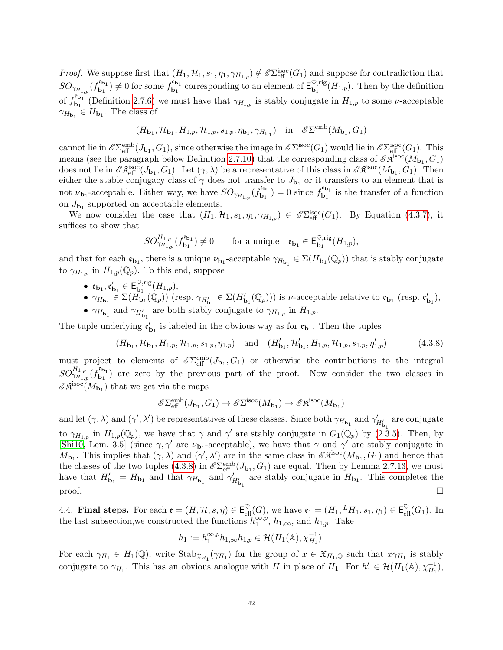*Proof.* We suppose first that  $(H_1, H_1, s_1, \eta_1, \gamma_{H_{1,p}}) \notin \mathscr{E}^{\text{2}}_{\text{eff}}(G_1)$  and suppose for contradiction that  $SO_{\gamma_{H_{1,p}}} (f^{\mathfrak{e}_{\mathbf{b}_{1}}}_{\mathbf{b}_{1}}$  $\binom{\mathfrak{e}_{\mathbf{b}_1}}{\mathbf{b}_1}$   $\neq 0$  for some  $f_{\mathbf{b}_1}^{\mathfrak{e}_{\mathbf{b}_1}}$  $\mathbf{b}_1^{\mathfrak{e}_{\mathbf{b}_1}}$  corresponding to an element of  $\mathsf{E}_{\mathbf{b}_1}^{\heartsuit,\mathrm{rig}}$  $\mathbf{b}_1^{\vee,\text{rig}}(H_{1,p})$ . Then by the definition of  $f_{\mathbf{b}_1}^{\mathfrak{e}_{\mathbf{b}_1}}$  $\mathbf{b}_1$  (Definition [2.7.6\)](#page-21-1) we must have that  $\gamma_{H_{1,p}}$  is stably conjugate in  $H_{1,p}$  to some *v*-acceptable  $\gamma_{H_{\mathbf{b}_1}} \in H_{\mathbf{b}_1}$ . The class of

$$
(H_{\mathbf{b}_1},\mathcal{H}_{\mathbf{b}_1},H_{1,p},\mathcal{H}_{1,p},s_{1,p},\eta_{\mathbf{b}_1},\gamma_{H_{\mathbf{b}_1}}) \quad \text{in} \quad \mathscr{E}\Sigma^{\text{emb}}(M_{\mathbf{b}_1},G_1)
$$

cannot lie in  $\mathscr{E}^{\text{emb}}_{\text{eff}}(J_{\mathbf{b}_1}, G_1)$ , since otherwise the image in  $\mathscr{E}^{\text{isoc}}(G_1)$  would lie in  $\mathscr{E}^{\text{isoc}}_{\text{eff}}(G_1)$ . This means (see the paragraph below Definition [2.7.10\)](#page-22-1) that the corresponding class of  $\mathscr{E}\mathfrak{K}^{\rm isoc}(M_{\mathbf{b}_1}, G_1)$ does not lie in  $\mathscr{E} \mathfrak{K}_{\text{eff}}^{\text{isoc}}(J_{\mathbf{b}_1}, G_1)$ . Let  $(\gamma, \lambda)$  be a representative of this class in  $\mathscr{E} \mathfrak{K}^{\text{isoc}}(M_{\mathbf{b}_1}, G_1)$ . Then either the stable conjugacy class of  $\gamma$  does not transfer to  $J_{\mathbf{b}_1}$  or it transfers to an element that is not  $\overline{\nu}_{b_1}$ -acceptable. Either way, we have  $SO_{\gamma_{H_{1,p}}}(\overline{f}_{b_1}^{\epsilon_{b_1}})$  $b_1^{\mathfrak{e}_{\mathbf{b}_1}}$  = 0 since  $f_{\mathbf{b}_1}^{\mathfrak{e}_{\mathbf{b}_1}}$  $\mathbf{b}_1^{\mathbf{b}_1}$  is the transfer of a function on  $J_{\mathbf{b}_1}$  supported on acceptable elements.

We now consider the case that  $(H_1, H_1, s_1, \eta_1, \gamma_{H_{1,p}}) \in \mathscr{E}\Sigma_{\text{eff}}^{\text{isoc}}(G_1)$ . By Equation [\(4.3.7\)](#page-40-0), it suffices to show that

$$
SO_{\gamma_{H_{1,p}}}^{H_{1,p}}(f_{\mathbf{b}_1}^{\mathfrak{e}_{\mathbf{b}_1}})\neq 0 \quad \text{for a unique } \mathfrak{e}_{\mathbf{b}_1}\in \mathsf{E}_{\mathbf{b}_1}^{\heartsuit,\mathrm{rig}}(H_{1,p}),
$$

and that for each  $\mathfrak{e}_{\mathbf{b}_1}$ , there is a unique  $\nu_{\mathbf{b}_1}$ -acceptable  $\gamma_{H_{\mathbf{b}_1}} \in \Sigma(H_{\mathbf{b}_1}(\mathbb{Q}_p))$  that is stably conjugate to  $\gamma_{H_{1,p}}$  in  $H_{1,p}(\mathbb{Q}_p)$ . To this end, suppose

- $\bullet\;\epsilon_{{\mathbf{b}}_1},\epsilon'_{{\mathbf{b}}_1}\in\mathsf{E}_{\mathbf{b}_1}^{\heartsuit,\mathrm{rig}}$  $\mathbf{b}_1^{\vee,\mathrm{rig}}(H_{1,p}),$
- $\bullet \ \gamma_{H_{\mathbf{b}_1}} \in \Sigma(\tilde{H}_{\mathbf{b}_1}(\mathbb{Q}_p))$  (resp.  $\gamma_{H'_{\mathbf{b}_1}} \in \Sigma(H'_{\mathbf{b}_1}(\mathbb{Q}_p)))$  is *v*-acceptable relative to  $\mathfrak{e}_{\mathbf{b}_1}$  (resp.  $\mathfrak{e}'_{\mathbf{b}_1}$ ),
- $\gamma_{H_{\mathbf{b}_1}}$  and  $\gamma_{H'_{\mathbf{b}_1}}$  are both stably conjugate to  $\gamma_{H_{1,p}}$  in  $H_{1,p}$ .

The tuple underlying  $\mathfrak{e}'_{\mathbf{b}_1}$  is labeled in the obvious way as for  $\mathfrak{e}_{\mathbf{b}_1}$ . Then the tuples

<span id="page-41-1"></span>
$$
(H_{\mathbf{b}_1}, \mathcal{H}_{\mathbf{b}_1}, H_{1,p}, \mathcal{H}_{1,p}, s_{1,p}, \eta_{1,p}) \text{ and } (H'_{\mathbf{b}_1}, \mathcal{H}'_{\mathbf{b}_1}, H_{1,p}, \mathcal{H}_{1,p}, s_{1,p}, \eta'_{1,p})
$$
(4.3.8)

must project to elements of  $\mathscr{E}\Sigma_{\text{eff}}^{\text{emb}}(J_{\mathbf{b}_1}, G_1)$  or otherwise the contributions to the integral  $SO^{H_{1,p}}_{\gamma_{H_{1,p}}} (f^{\mathfrak{e}_{\mathbf{b}_1}}_{\mathbf{b}_1}$  $\mathbf{b}_1$  are zero by the previous part of the proof. Now consider the two classes in  $\mathscr{E}\mathfrak{K}^{\mathrm{isoc}}(M_{\mathbf{b}_1})$  that we get via the maps

$$
\mathscr{E}\Sigma_{\mathrm{eff}}^{\mathrm{emb}}(J_{\mathbf{b}_{1}},G_{1})\rightarrow \mathscr{E}\Sigma^{\mathrm{isoc}}(M_{\mathbf{b}_{1}})\rightarrow \mathscr{E}\mathfrak{K}^{\mathrm{isoc}}(M_{\mathbf{b}_{1}})
$$

and let  $(\gamma, \lambda)$  and  $(\gamma', \lambda')$  be representatives of these classes. Since both  $\gamma_{H_{\mathbf{b}_1}}$  and  $\gamma'_{H'_{\mathbf{b}_1}}$  are conjugate to  $\gamma_{H_{1,p}}$  in  $H_{1,p}(\mathbb{Q}_p)$ , we have that  $\gamma$  and  $\gamma'$  are stably conjugate in  $G_1(\mathbb{Q}_p)$  by  $(2.\overline{3}.5)$ . Then, by [\[Shi10,](#page-48-2) Lem. 3.5] (since  $\gamma$ ,  $\gamma'$  are  $\bar{\nu}_{\mathbf{b}_1}$ -acceptable), we have that  $\gamma$  and  $\gamma'$  are stably conjugate in  $M_{\mathbf{b}_1}$ . This implies that  $(\gamma, \lambda)$  and  $(\gamma', \lambda')$  are in the same class in  $\mathscr{E} \mathfrak{K}^{\text{isoc}}(M_{\mathbf{b}_1}, G_1)$  and hence that the classes of the two tuples [\(4.3.8\)](#page-41-1) in  $\mathscr{E}\Sigma_{\text{eff}}^{\text{emb}}(J_{\mathbf{b}_1}, G_1)$  are equal. Then by Lemma [2.7.13,](#page-23-5) we must have that  $H'_{\mathbf{b}_1} = H_{\mathbf{b}_1}$  and that  $\gamma_{H'_{\mathbf{b}_1}}$  and  $\gamma'_{H'_{\mathbf{b}_1}}$  are stably conjugate in  $H_{\mathbf{b}_1}$ . This completes the proof.  $\square$ 

<span id="page-41-0"></span>4.4. Final steps. For each  $\mathfrak{e} = (H, \mathcal{H}, s, \eta) \in \mathsf{E}^{\heartsuit}_{\text{ell}}(G)$ , we have  $\mathfrak{e}_1 = (H_1, {}^L H_1, s_1, \eta_1) \in \mathsf{E}^{\heartsuit}_{\text{ell}}(G_1)$ . In the last subsection, we constructed the functions  $h_1^{\infty, p}$  $_1^{\infty,p}, h_{1,\infty}$ , and  $h_{1,p}$ . Take

$$
h_1 := h_1^{\infty, p} h_{1, \infty} h_{1, p} \in \mathcal{H}(H_1(\mathbb{A}), \chi_{H_1}^{-1}).
$$

For each  $\gamma_{H_1} \in H_1(\mathbb{Q})$ , write  $\text{Stab}_{\mathfrak{X}_{H_1}}(\gamma_{H_1})$  for the group of  $x \in \mathfrak{X}_{H_1,\mathbb{Q}}$  such that  $x\gamma_{H_1}$  is stably conjugate to  $\gamma_{H_1}$ . This has an obvious analogue with H in place of  $H_1$ . For  $h'_1 \in \mathcal{H}(H_1(\mathbb{A}), \chi_{H_1}^{-1})$ ,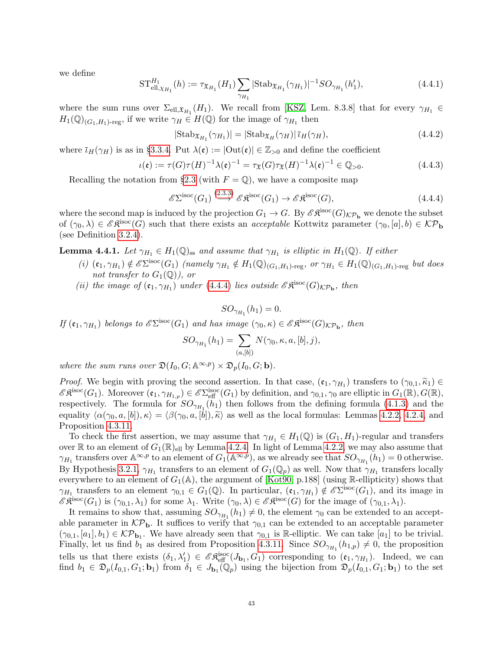we define

<span id="page-42-2"></span>
$$
ST_{ell,\chi_{H_1}}^{H_1}(h) := \tau_{\mathfrak{X}_{H_1}}(H_1) \sum_{\gamma_{H_1}} |\text{Stab}_{\mathfrak{X}_{H_1}}(\gamma_{H_1})|^{-1} SO_{\gamma_{H_1}}(h_1'),\tag{4.4.1}
$$

where the sum runs over  $\Sigma_{ell, \mathfrak{X}_{H_1}}(H_1)$ . We recall from [\[KSZ,](#page-47-4) Lem. 8.3.8] that for every  $\gamma_{H_1} \in$  $H_1(\mathbb{Q})_{(G_1,H_1)\text{-reg}}$ , if we write  $\gamma_H \in H(\mathbb{Q})$  for the image of  $\gamma_{H_1}$  then

<span id="page-42-4"></span>
$$
|\text{Stab}_{\mathfrak{X}_{H_1}}(\gamma_{H_1})| = |\text{Stab}_{\mathfrak{X}_H}(\gamma_H)| \overline{\iota}_H(\gamma_H), \tag{4.4.2}
$$

where  $\overline{\iota}_{H}(\gamma_{H})$  is as in §[3.3.4.](#page-29-1) Put  $\lambda(\mathfrak{e}) := |\text{Out}(\mathfrak{e})| \in \mathbb{Z}_{>0}$  and define the coefficient

<span id="page-42-3"></span>
$$
\iota(\mathfrak{e}) := \tau(G)\tau(H)^{-1}\lambda(\mathfrak{e})^{-1} = \tau_{\mathfrak{X}}(G)\tau_{\mathfrak{X}}(H)^{-1}\lambda(\mathfrak{e})^{-1} \in \mathbb{Q}_{>0}.
$$
 (4.4.3)

Recalling the notation from §[2.3](#page-11-0) (with  $F = \mathbb{Q}$ ), we have a composite map

<span id="page-42-1"></span>
$$
\mathcal{E}^{\text{2}}(G_1) \stackrel{(2.3.3)}{\longrightarrow} \mathcal{E}^{\text{2}}(G_1) \to \mathcal{E}^{\text{2}}(G), \tag{4.4.4}
$$

where the second map is induced by the projection  $G_1 \to G$ . By  $\mathscr{E} \mathfrak{K}^{\text{isoc}}(G)_{\mathcal{KP}_{\bf b}}$  we denote the subset of  $(\gamma_0, \lambda) \in \mathscr{E}$   $\mathfrak{K}^{\text{isoc}}(G)$  such that there exists an *acceptable* Kottwitz parameter  $(\gamma_0, [a], b) \in \mathcal{KP}_b$ (see Definition [3.2.4\)](#page-26-0).

<span id="page-42-0"></span>**Lemma 4.4.1.** Let  $\gamma_{H_1} \in H_1(\mathbb{Q})_{ss}$  and assume that  $\gamma_{H_1}$  is elliptic in  $H_1(\mathbb{Q})$ . If either

- (i)  $(\mathfrak{e}_1, \gamma_{H_1}) \notin \mathscr{E}^{\text{isoc}}(G_1)$  (namely  $\gamma_{H_1} \notin H_1(\mathbb{Q})_{(G_1, H_1) \text{-reg}}, \text{ or } \gamma_{H_1} \in H_1(\mathbb{Q})_{(G_1, H_1) \text{-reg}}$  but does not transfer to  $G_1(\mathbb{Q})$ , or
- (ii) the image of  $(\mathfrak{e}_1, \gamma_{H_1})$  under [\(4.4.4\)](#page-42-1) lies outside  $\mathscr{E} \mathfrak{K}^{\text{isoc}}(G)_{\mathcal{KP}_{\mathbf{b}}},$  then

$$
SO_{\gamma_{H_1}}(h_1)=0.
$$

If  $(\mathfrak{e}_1, \gamma_{H_1})$  belongs to  $\mathscr{E}^{\text{isoc}}(G_1)$  and has image  $(\gamma_0, \kappa) \in \mathscr{E}^{\text{asoc}}(G)_{\mathcal{KP}_{\mathbf{b}}},$  then

$$
SO_{\gamma_{H_1}}(h_1) = \sum_{(a,[b])} N(\gamma_0, \kappa, a, [b], j),
$$

where the sum runs over  $\mathfrak{D}(I_0, G; \mathbb{A}^{\infty, p}) \times \mathfrak{D}_p(I_0, G; \mathbf{b}).$ 

Proof. We begin with proving the second assertion. In that case,  $(\mathfrak{e}_1, \gamma_{H_1})$  transfers to  $(\gamma_{0,1}, \tilde{\kappa}_1) \in$ <br>  $\mathcal{L}^{g}$  gisoc( $C$ ). Moreover  $(\mathfrak{e}_1, \gamma_{H_1}) \subset \mathcal{L}^{g}$  visc( $C$ ) by definition and  $\gamma_{L}$  are  $\mathscr{E}\mathfrak{K}^{\rm isoc}(G_1)$ . Moreover  $(\mathfrak{e}_1, \gamma_{H_{1,p}}) \in \mathscr{E}\mathfrak{L}^{\rm isoc}_{\rm eff}(G_1)$  by definition, and  $\gamma_{0,1}, \gamma_0$  are elliptic in  $G_1(\mathbb{R}), G(\mathbb{R}),$ respectively. The formula for  $SO_{\gamma_{H_1}}(h_1)$  then follows from the defining formula [\(4.1.3\)](#page-33-4) and the equality  $\langle \alpha(\gamma_0, a, [b]), \kappa \rangle = \langle \beta(\gamma_0, a, [b]), \tilde{\kappa} \rangle$  as well as the local formulas: Lemmas [4.2.2,](#page-33-5) [4.2.4,](#page-34-2) and Proposition [4.3.11.](#page-40-1)

To check the first assertion, we may assume that  $\gamma_{H_1} \in H_1(\mathbb{Q})$  is  $(G_1, H_1)$ -regular and transfers over  $\mathbb R$  to an element of  $G_1(\mathbb R)_{\text{ell}}$  by Lemma [4.2.4.](#page-34-2) In light of Lemma [4.2.2,](#page-33-5) we may also assume that  $\gamma_{H_1}$  transfers over  $\mathbb{A}^{\infty,p}$  to an element of  $G_1(\mathbb{A}^{\infty,p})$ , as we already see that  $SO_{\gamma_{H_1}}(h_1) = 0$  otherwise. By Hypothesis [3.2.1,](#page-25-4)  $\gamma_{H_1}$  transfers to an element of  $G_1(\mathbb{Q}_p)$  as well. Now that  $\gamma_{H_1}$  transfers locally everywhere to an element of  $G_1(\mathbb{A})$ , the argument of [\[Kot90,](#page-47-27) p.188] (using R-ellipticity) shows that  $\gamma_{H_1}$  transfers to an element  $\gamma_{0,1} \in G_1(\mathbb{Q})$ . In particular,  $(\mathfrak{e}_1, \gamma_{H_1}) \notin \mathscr{E}^{\text{Isoc}}(G_1)$ , and its image in  $\mathscr{E} \mathfrak{K}^{\text{isoc}}(G_1)$  is  $(\gamma_{0,1}, \lambda_1)$  for some  $\lambda_1$ . Write  $(\gamma_0, \lambda) \in \mathscr{E} \mathfrak{K}^{\text{isoc}}(G)$  for the image of  $(\gamma_{0,1}, \lambda_1)$ .

It remains to show that, assuming  $SO_{\gamma_{H_1}}(h_1) \neq 0$ , the element  $\gamma_0$  can be extended to an acceptable parameter in  $\mathcal{KP}_{\mathbf{b}}$ . It suffices to verify that  $\gamma_{0,1}$  can be extended to an acceptable parameter  $(\gamma_{0,1}, [a_1], b_1) \in \mathcal{KP}_{\mathbf{b}_1}$ . We have already seen that  $\gamma_{0,1}$  is R-elliptic. We can take  $[a_1]$  to be trivial. Finally, let us find  $b_1$  as desired from Proposition [4.3.11.](#page-40-1) Since  $SO_{\gamma_{H_1}}(h_{1,p}) \neq 0$ , the proposition tells us that there exists  $(\delta_1, \lambda'_1) \in \mathscr{E}$   $\mathscr{R}_{\text{eff}}^{\text{isoc}}(J_{\mathbf{b}_1}, G_1)$  corresponding to  $(\mathfrak{e}_1, \gamma_{H_1})$ . Indeed, we can find  $b_1 \in \mathfrak{D}_p(I_{0,1}, G_1; \mathbf{b}_1)$  from  $\delta_1 \in J_{\mathbf{b}_1}(\mathbb{Q}_p)$  using the bijection from  $\mathfrak{D}_p(I_{0,1}, G_1; \mathbf{b}_1)$  to the set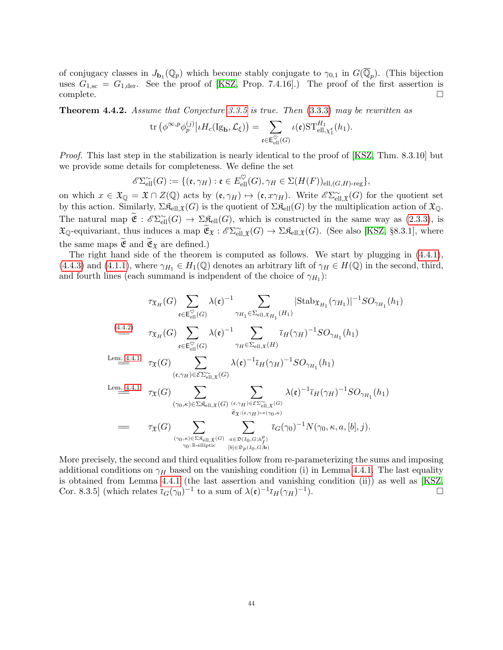of conjugacy classes in  $J_{\mathbf{b}_1}(\mathbb{Q}_p)$  which become stably conjugate to  $\gamma_{0,1}$  in  $G(\overline{\mathbb{Q}}_p)$ . (This bijection uses  $G_{1,\text{sc}} = G_{1,\text{der}}$ . See the proof of [\[KSZ,](#page-47-4) Prop. 7.4.16].) The proof of the first assertion is complete.

<span id="page-43-0"></span>**Theorem 4.4.2.** Assume that Conjecture [3.3.5](#page-30-1) is true. Then  $(3.3.3)$  may be rewritten as

$$
\operatorname{tr}\left(\phi^{\infty,p}\phi_p^{(j)}\middle|\iota H_c(\operatorname{Ig}_{\mathbf{b}},\mathcal{L}_{\xi})\right)=\sum_{\mathfrak{e}\in \mathsf{E}_{\operatorname{ell}}^{\heartsuit}(G)}\iota(\mathfrak{e})\mathrm{ST}_{\operatorname{ell},\chi_1^{\epsilon}}^{H_1}(h_1).
$$

Proof. This last step in the stabilization is nearly identical to the proof of [\[KSZ,](#page-47-4) Thm. 8.3.10] but we provide some details for completeness. We define the set

$$
\mathscr{E}\Sigma_{\text{ell}}^{\sim}(G) := \{(\mathfrak{e}, \gamma_H) : \mathfrak{e} \in E_{\text{ell}}^{\heartsuit}(G), \gamma_H \in \Sigma(H(F))_{\text{ell}, (G, H) \text{-reg}}\},
$$

on which  $x \in \mathfrak{X}_{\mathbb{Q}} = \mathfrak{X} \cap Z(\mathbb{Q})$  acts by  $(\mathfrak{e}, \gamma_H) \mapsto (\mathfrak{e}, x\gamma_H)$ . Write  $\mathscr{E}\Sigma_{\text{ell},\mathfrak{X}}^{\sim}(G)$  for the quotient set by this action. Similarly,  $\Sigma \mathfrak{K}_{ell,\mathfrak{X}}(G)$  is the quotient of  $\Sigma \mathfrak{K}_{ell}(G)$  by the multiplication action of  $\mathfrak{X}_{\mathbb{Q}}$ . The natural map  $\widetilde{\mathfrak{E}}$  :  $\mathscr{E}\Sigma_{\text{ell}}^{\sim}(G) \to \Sigma \mathfrak{K}_{\text{ell}}(G)$ , which is constructed in the same way as [\(2.3.3\)](#page-14-0), is  $\mathfrak{X}_{\mathbb{Q}}$ -equivariant, thus induces a map  $\widetilde{\mathfrak{E}}_{\mathfrak{X}} : \mathscr{E}\Sigma_{\text{ell},\mathfrak{X}}^{\sim}(G) \to \Sigma \mathfrak{K}_{\text{ell},\mathfrak{X}}(G)$ . (See also [\[KSZ,](#page-47-4) §8.3.1], where the same maps  $\mathfrak{E}$  and  $\mathfrak{E}_{\mathfrak{X}}$  are defined.)

The right hand side of the theorem is computed as follows. We start by plugging in [\(4.4.1\)](#page-42-2), [\(4.4.3\)](#page-42-3) and [\(4.1.1\)](#page-32-0), where  $\gamma_{H_1} \in H_1(\mathbb{Q})$  denotes an arbitrary lift of  $\gamma_H \in H(\mathbb{Q})$  in the second, third, and fourth lines (each summand is indpendent of the choice of  $\gamma_{H_1}$ ):

$$
\tau_{\mathfrak{X}_{H}}(G) \sum_{\mathfrak{e} \in \mathbb{E}_{\text{ell}}^{\heartsuit}(G)} \lambda(\mathfrak{e})^{-1} \sum_{\gamma_{H_{1}} \in \Sigma_{\text{ell}, \mathfrak{X}_{H_{1}}}(H_{1})} |\text{Stab}_{\mathfrak{X}_{H_{1}}}(\gamma_{H_{1}})|^{-1} SO_{\gamma_{H_{1}}}(h_{1})
$$
\n
$$
\stackrel{(4.4.2)}{=} \tau_{\mathfrak{X}_{H}}(G) \sum_{\mathfrak{e} \in \mathbb{E}_{\text{ell}}^{\heartsuit}(G)} \lambda(\mathfrak{e})^{-1} \sum_{\gamma_{H} \in \Sigma_{\text{ell}, \mathfrak{X}}(H)} \bar{\iota}_{H}(\gamma_{H})^{-1} SO_{\gamma_{H_{1}}}(h_{1})
$$
\n
$$
\text{Lem. } \stackrel{4.4.1}{=} \tau_{\mathfrak{X}}(G) \sum_{(\mathfrak{e}, \gamma_{H}) \in \mathcal{E} \Sigma_{\text{ell}, \mathfrak{X}}^{\heartsuit}(G)} \lambda(\mathfrak{e})^{-1} \bar{\iota}_{H}(\gamma_{H})^{-1} SO_{\gamma_{H_{1}}}(h_{1})
$$
\n
$$
\text{Lem. } \stackrel{4.4.1}{=} \tau_{\mathfrak{X}}(G) \sum_{(\gamma_{0}, \kappa) \in \Sigma \mathfrak{K}_{\text{ell}, \mathfrak{X}}(G)} \sum_{\substack{(\tilde{\iota}, \gamma_{H}) \in \mathcal{E} \Sigma_{\text{ell}, \mathfrak{X}}^{\heartsuit}(G)} \lambda(\mathfrak{e})^{-1} \bar{\iota}_{H}(\gamma_{H})^{-1} SO_{\gamma_{H_{1}}}(h_{1})}
$$
\n
$$
= \tau_{\mathfrak{X}}(G) \sum_{(\gamma_{0}, \kappa) \in \Sigma \mathfrak{K}_{\text{ell}, \mathfrak{X}}(G)} \sum_{\substack{\tilde{\iota}_{\mathfrak{X}} : (\mathfrak{e}, \gamma_{H}) \mapsto (\gamma_{0}, \kappa)}} \bar{\iota}_{G}(\gamma_{0})^{-1} N(\gamma_{0}, \kappa, a, [b], j).
$$

More precisely, the second and third equalities follow from re-parameterizing the sums and imposing additional conditions on  $\gamma_H$  based on the vanishing condition (i) in Lemma [4.4.1.](#page-42-0) The last equality is obtained from Lemma [4.4.1](#page-42-0) (the last assertion and vanishing condition (ii)) as well as [\[KSZ,](#page-47-4) Cor. 8.3.5] (which relates  $\bar{\iota}_G(\gamma_0)^{-1}$  to a sum of  $\lambda(\mathfrak{e})^{-1}\bar{\iota}_H(\gamma_H)^{-1}$ ).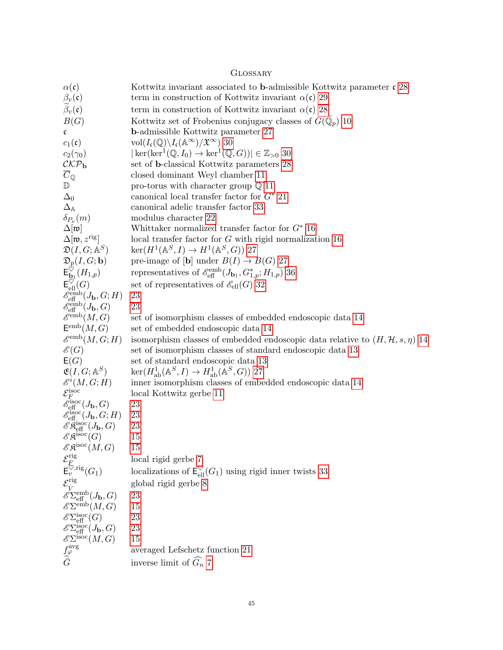# <span id="page-44-0"></span>**GLOSSARY**

<span id="page-44-44"></span><span id="page-44-43"></span><span id="page-44-42"></span><span id="page-44-41"></span><span id="page-44-40"></span><span id="page-44-39"></span><span id="page-44-38"></span><span id="page-44-37"></span><span id="page-44-36"></span><span id="page-44-35"></span><span id="page-44-34"></span><span id="page-44-33"></span><span id="page-44-32"></span><span id="page-44-31"></span><span id="page-44-30"></span><span id="page-44-29"></span><span id="page-44-28"></span><span id="page-44-27"></span><span id="page-44-26"></span><span id="page-44-25"></span><span id="page-44-24"></span><span id="page-44-23"></span><span id="page-44-22"></span><span id="page-44-21"></span><span id="page-44-20"></span><span id="page-44-19"></span><span id="page-44-18"></span><span id="page-44-17"></span><span id="page-44-16"></span><span id="page-44-15"></span><span id="page-44-14"></span><span id="page-44-13"></span><span id="page-44-12"></span><span id="page-44-11"></span><span id="page-44-10"></span><span id="page-44-9"></span><span id="page-44-8"></span><span id="page-44-7"></span><span id="page-44-6"></span><span id="page-44-5"></span><span id="page-44-4"></span><span id="page-44-3"></span><span id="page-44-2"></span><span id="page-44-1"></span>

| $\alpha(\mathfrak{c})$                                                                                                                                                                                                                                                                                                                                                                                            | Kottwitz invariant associated to <b>b</b> -admissible Kottwitz parameter $\mathfrak{c}$ 28                                     |
|-------------------------------------------------------------------------------------------------------------------------------------------------------------------------------------------------------------------------------------------------------------------------------------------------------------------------------------------------------------------------------------------------------------------|--------------------------------------------------------------------------------------------------------------------------------|
| $\beta_v(\mathfrak{c})$                                                                                                                                                                                                                                                                                                                                                                                           | term in construction of Kottwitz invariant $\alpha(\mathfrak{c})$ 29                                                           |
| $\beta_v(\mathfrak{c})$                                                                                                                                                                                                                                                                                                                                                                                           | term in construction of Kottwitz invariant $\alpha(\mathfrak{c})$ 28                                                           |
| B(G)                                                                                                                                                                                                                                                                                                                                                                                                              | Kottwitz set of Frobenius conjugacy classes of $G(\bar{\mathbb{Q}}_p)$ 10                                                      |
| $\mathfrak{c}$                                                                                                                                                                                                                                                                                                                                                                                                    | <b>b</b> -admissible Kottwitz parameter 27                                                                                     |
| $c_1(\mathfrak{c})$                                                                                                                                                                                                                                                                                                                                                                                               | $\text{vol}(I_{\mathfrak{c}}(\mathbb{Q})\backslash I_{\mathfrak{c}}(\mathbb{A}^{\infty})/\mathfrak{X}^{\infty})$ 30            |
| $c_2(\gamma_0)$                                                                                                                                                                                                                                                                                                                                                                                                   | $ \ker(\ker^1(\mathbb{Q},I_0)\to \ker^1(\mathbb{Q},G)) \in \mathbb{Z}_{>0}$ 30                                                 |
| $\mathcal{CKP}_{\mathbf{b}}$                                                                                                                                                                                                                                                                                                                                                                                      | set of <b>b</b> -classical Kottwitz parameters 28                                                                              |
| $\overline{C}_\mathbb{Q}$                                                                                                                                                                                                                                                                                                                                                                                         | closed dominant Weyl chamber 11                                                                                                |
| $\mathbb{D}%$                                                                                                                                                                                                                                                                                                                                                                                                     | pro-torus with character group $\mathbb Q$ 11                                                                                  |
| $\Delta_0$                                                                                                                                                                                                                                                                                                                                                                                                        | canonical local transfer factor for $G^*$ 21                                                                                   |
| $\Delta_{\mathbb{A}}$                                                                                                                                                                                                                                                                                                                                                                                             | canonical adelic transfer factor 33                                                                                            |
| $\delta_{P_{\nu}}(m)$                                                                                                                                                                                                                                                                                                                                                                                             | modulus character 22                                                                                                           |
| $\Delta[\mathfrak{w}]$                                                                                                                                                                                                                                                                                                                                                                                            | Whittaker normalized transfer factor for $G^*$ 16                                                                              |
| $\Delta[\mathfrak{w},z^{\text{rig}}]$                                                                                                                                                                                                                                                                                                                                                                             | local transfer factor for $G$ with rigid normalization 16                                                                      |
| $\mathfrak{D}(I,G;\mathbb{A}^S)$                                                                                                                                                                                                                                                                                                                                                                                  | $\ker(H^1(\mathbb{A}^S, I) \to H^1(\mathbb{A}^S, G))$ 27                                                                       |
| $\mathfrak{D}_p(I,G;\mathbf{h})\ \mathfrak{S}_p(I,G;\mathbf{b})\ \mathfrak{E}^{\heartsuit}_{\mathbf{b}^1}(H_{1,p})\ \mathfrak{E}^{\heartsuit}_{\mathrm{ell}}(G)\ \mathscr{E}^{\mathrm{emb}}_{\mathrm{eff}}(J_\mathbf{b},G;H)\ \mathscr{E}^{\mathrm{emb}}_{\mathrm{eff}}(M,G)\ \mathfrak{E}^{\mathrm{emb}}(M,G)\ \mathfrak{E}^{\mathrm{emb}}(M,G)\ \mathscr{E}^{\mathrm{emb}}(M,G;H)\ \mathscr{E}^{\mathrm{c}}(G)$ | pre-image of [b] under $B(I) \to B(G)$ 27                                                                                      |
|                                                                                                                                                                                                                                                                                                                                                                                                                   | representatives of $\mathcal{E}_{\text{eff}}^{\text{emb}}(J_{\mathbf{b}_1}, G_{1,p}^*; H_{1,p})$ 36                            |
|                                                                                                                                                                                                                                                                                                                                                                                                                   | set of representatives of $\mathcal{E}_{ell}(G)$ 32                                                                            |
|                                                                                                                                                                                                                                                                                                                                                                                                                   | 23                                                                                                                             |
|                                                                                                                                                                                                                                                                                                                                                                                                                   | 23                                                                                                                             |
|                                                                                                                                                                                                                                                                                                                                                                                                                   | set of isomorphism classes of embedded endoscopic data 14                                                                      |
|                                                                                                                                                                                                                                                                                                                                                                                                                   | set of embedded endoscopic data 14                                                                                             |
|                                                                                                                                                                                                                                                                                                                                                                                                                   | isomorphism classes of embedded endoscopic data relative to $(H, \mathcal{H}, s, \eta)$ 14                                     |
| $\mathscr{E}(G)$                                                                                                                                                                                                                                                                                                                                                                                                  | set of isomorphism classes of standard endoscopic data 13                                                                      |
| E(G)<br>$\mathfrak{E}(I,G;\mathbb{A}^S)$                                                                                                                                                                                                                                                                                                                                                                          | set of standard endoscopic data 13                                                                                             |
|                                                                                                                                                                                                                                                                                                                                                                                                                   | $\ker(H^1_{ab}(\mathbb{A}^S, I) \to H^1_{ab}(\mathbb{A}^S, G))$ 27<br>inner isomorphism classes of embedded endoscopic data 14 |
|                                                                                                                                                                                                                                                                                                                                                                                                                   | local Kottwitz gerbe 11                                                                                                        |
| $\begin{array}{c} \mathscr{E}i(M,G;H) \ \mathcal{E}^{\rm isoc}_{F} \ \mathscr{E}^{\rm isoc}_{\rm eff}(J_{\mathbf{b}},G) \end{array}$                                                                                                                                                                                                                                                                              | 23                                                                                                                             |
|                                                                                                                                                                                                                                                                                                                                                                                                                   | 23                                                                                                                             |
| $\overset{\circ}{\mathscr{E}^{\rm isoc}_{\rm eff}}(J_{\mathbf{b}},G;H)\\ \overset{\circ}{\mathscr{E}}\overset{\circ}{\mathfrak{K}^{\rm isoc}_{\rm eff}}(J_{\mathbf{b}},G)\\ \overset{\circ}{\mathscr{E}}\overset{\circ}{\mathfrak{K}^{\rm isoc}}(G)$                                                                                                                                                              | 23                                                                                                                             |
|                                                                                                                                                                                                                                                                                                                                                                                                                   | 15                                                                                                                             |
| $\mathscr{E}\mathfrak{K}^{\rm isoc}(M,G)$                                                                                                                                                                                                                                                                                                                                                                         | 15                                                                                                                             |
|                                                                                                                                                                                                                                                                                                                                                                                                                   | local rigid gerbe 7                                                                                                            |
|                                                                                                                                                                                                                                                                                                                                                                                                                   | localizations of $\mathsf{E}_{\text{ell}}^{\heartsuit}(G_1)$ using rigid inner twists 33                                       |
| $\mathcal{E}_{F}^{\text{rig}}$<br>$\mathcal{E}_{v}^{\text{rig}}$<br>$\mathcal{E}_{v}^{\text{rig}}$<br>$\mathcal{E}_{\text{eff}}^{\text{rig}}$<br>$\mathcal{E}_{\text{Eff}}^{\text{reg}}(J_{\mathbf{b}}, G)$<br>$\mathcal{E}_{\text{S}}^{\text{remb}}(M, G)$                                                                                                                                                       | global rigid gerbe 8                                                                                                           |
|                                                                                                                                                                                                                                                                                                                                                                                                                   | 23                                                                                                                             |
|                                                                                                                                                                                                                                                                                                                                                                                                                   | 15                                                                                                                             |
|                                                                                                                                                                                                                                                                                                                                                                                                                   | 23                                                                                                                             |
|                                                                                                                                                                                                                                                                                                                                                                                                                   | 23                                                                                                                             |
|                                                                                                                                                                                                                                                                                                                                                                                                                   | 15                                                                                                                             |
| $\begin{array}{l} \mathscr{E}\Sigma \in \mathcal{N}(M,\mathrm{G})\ \mathscr{E}\Sigma_{\mathrm{eff}}^{\mathrm{isoc}}(G) \ \mathscr{E}\Sigma_{\mathrm{eff}}^{\mathrm{isoc}}(J_{\mathbf{b}},G) \ \mathscr{E}\Sigma^{\mathrm{isoc}}(M,G) \ \mathring{\mathcal{G}} \ \bar{\tilde{G}} \end{array}$                                                                                                                      | averaged Lefschetz function 21                                                                                                 |
|                                                                                                                                                                                                                                                                                                                                                                                                                   | inverse limit of $\widehat{G_n}$ 7                                                                                             |
|                                                                                                                                                                                                                                                                                                                                                                                                                   |                                                                                                                                |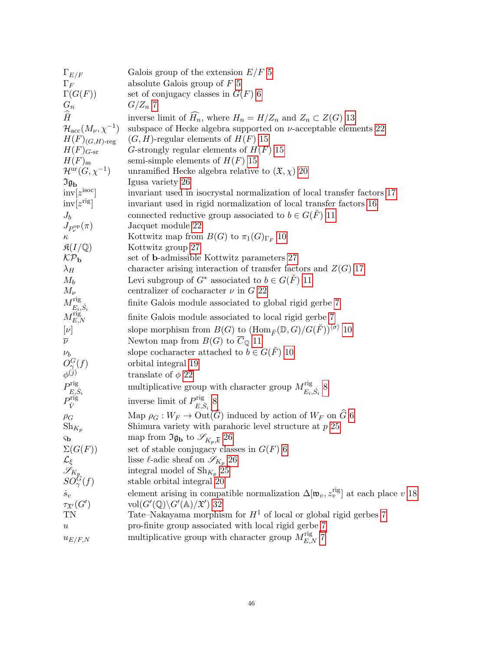<span id="page-45-41"></span><span id="page-45-40"></span><span id="page-45-39"></span><span id="page-45-38"></span><span id="page-45-37"></span><span id="page-45-36"></span><span id="page-45-35"></span><span id="page-45-34"></span><span id="page-45-33"></span><span id="page-45-32"></span><span id="page-45-31"></span><span id="page-45-30"></span><span id="page-45-29"></span><span id="page-45-28"></span><span id="page-45-27"></span><span id="page-45-26"></span><span id="page-45-25"></span><span id="page-45-24"></span><span id="page-45-23"></span><span id="page-45-22"></span><span id="page-45-21"></span><span id="page-45-20"></span><span id="page-45-19"></span><span id="page-45-18"></span><span id="page-45-17"></span><span id="page-45-16"></span><span id="page-45-15"></span><span id="page-45-14"></span><span id="page-45-13"></span><span id="page-45-12"></span><span id="page-45-11"></span><span id="page-45-10"></span><span id="page-45-9"></span><span id="page-45-8"></span><span id="page-45-7"></span><span id="page-45-6"></span><span id="page-45-5"></span><span id="page-45-4"></span><span id="page-45-3"></span><span id="page-45-2"></span><span id="page-45-1"></span><span id="page-45-0"></span>

| $\Gamma_{E/F}$                                                                                                                                                                                                                                                                                                                                                                                     | Galois group of the extension $E/F$ 5                                                                            |
|----------------------------------------------------------------------------------------------------------------------------------------------------------------------------------------------------------------------------------------------------------------------------------------------------------------------------------------------------------------------------------------------------|------------------------------------------------------------------------------------------------------------------|
| $\Gamma_F$                                                                                                                                                                                                                                                                                                                                                                                         | absolute Galois group of $F_5$                                                                                   |
| $\Gamma(G(F))$<br>$G_n$<br>$\hat{\overline{H}}$                                                                                                                                                                                                                                                                                                                                                    | set of conjugacy classes in $G(F)$ 6                                                                             |
|                                                                                                                                                                                                                                                                                                                                                                                                    | $G/Z_n$ 7                                                                                                        |
|                                                                                                                                                                                                                                                                                                                                                                                                    | inverse limit of $\widehat{H}_n$ , where $H_n = H/Z_n$ and $Z_n \subset Z(G)$ 13                                 |
| $\mathcal{H}_{\rm acc}(M_{\nu},\chi^{-1})$                                                                                                                                                                                                                                                                                                                                                         | subspace of Hecke algebra supported on $\nu$ -acceptable elements 22                                             |
| $H(F)_{(G,H)\text{-reg}}$                                                                                                                                                                                                                                                                                                                                                                          | $(G, H)$ -regular elements of $H(F)$ 15                                                                          |
| $H(F)_{G\text{-sr}}$                                                                                                                                                                                                                                                                                                                                                                               | G-strongly regular elements of $H(F)$ 15                                                                         |
| $H(F)_{\text{ss}}$                                                                                                                                                                                                                                                                                                                                                                                 | semi-simple elements of $H(F)$ 15                                                                                |
| $\mathcal{H}^{\mathrm{ur}}(G,\chi^{-1})$                                                                                                                                                                                                                                                                                                                                                           | unramified Hecke algebra relative to $(\mathfrak{X}, \chi)$ 20                                                   |
| $\mathfrak{I} \mathfrak{g}_{\bf b}$                                                                                                                                                                                                                                                                                                                                                                | Igusa variety 26                                                                                                 |
| $\mathrm{inv}[z^{\mathrm{isoc}}]$                                                                                                                                                                                                                                                                                                                                                                  | invariant used in isocrystal normalization of local transfer factors 17                                          |
| $inv[z^{rig}]$                                                                                                                                                                                                                                                                                                                                                                                     | invariant used in rigid normalization of local transfer factors 16                                               |
| $J_b$                                                                                                                                                                                                                                                                                                                                                                                              | connected reductive group associated to $b \in G(\overline{F})$ 11                                               |
| $J_{P_{\nu}^{\rm op}}(\pi)$                                                                                                                                                                                                                                                                                                                                                                        | Jacquet module 22                                                                                                |
| $\kappa$                                                                                                                                                                                                                                                                                                                                                                                           | Kottwitz map from $B(G)$ to $\pi_1(G)_{\Gamma_F}$ 10                                                             |
| $\begin{array}{l} \mathfrak{K}(I/\mathbb{Q}) \\ \mathcal{KP}_{\mathbf{b}} \end{array}$                                                                                                                                                                                                                                                                                                             | Kottwitz group 27                                                                                                |
|                                                                                                                                                                                                                                                                                                                                                                                                    | set of <b>b</b> -admissible Kottwitz parameters 27                                                               |
| $\lambda_H$                                                                                                                                                                                                                                                                                                                                                                                        | character arising interaction of transfer factors and $Z(G)$ 17                                                  |
| $M_b$                                                                                                                                                                                                                                                                                                                                                                                              | Levi subgroup of $G^*$ associated to $b \in G(\check{F})$ 11                                                     |
| $M_{\nu}$                                                                                                                                                                                                                                                                                                                                                                                          | centralizer of cocharacter $\nu$ in $G$ 22                                                                       |
|                                                                                                                                                                                                                                                                                                                                                                                                    | finite Galois module associated to global rigid gerbe 7                                                          |
| $M_{E_i, S_i}^{\text{rig}}$<br>$M_{E, N}^{\text{rig}}$                                                                                                                                                                                                                                                                                                                                             | finite Galois module associated to local rigid gerbe 7                                                           |
| $[\nu] % \centering \includegraphics[width=0.9\columnwidth]{figures/fig_10.pdf} \caption{The graph $\Sigma_{t}$ for $t=0.1$ and $t=0.1$ and $t=0.1$ and $t=0.1$ and $t=0.1$ and $t=0.1$ and $t=0.1$ and $t=0.1$ and $t=0.1$ and $t=0.1$ and $t=0.1$ and $t=0.1$ and $t=0.1$ and $t=0.1$ and $t=0.1$ and $t=0.1$ and $t=0.1$ and $t=0.1$ and $t=0.1$ and $t=0.1$ and $t=0.1$ and $t=0.1$ and $t=0.$ | slope morphism from $B(G)$ to $(\text{Hom}_{\breve{F}}(\mathbb{D}, G)/G(\breve{F}))^{\langle \sigma \rangle}$ 10 |
| $\overline{\nu}$                                                                                                                                                                                                                                                                                                                                                                                   | Newton map from $B(G)$ to $C_{\mathbb{Q}}$ 11                                                                    |
| $\nu_b$                                                                                                                                                                                                                                                                                                                                                                                            | slope cocharacter attached to $b \in G(\check{F})$ 10                                                            |
|                                                                                                                                                                                                                                                                                                                                                                                                    | orbital integral 19                                                                                              |
|                                                                                                                                                                                                                                                                                                                                                                                                    | translate of $\phi$ 22                                                                                           |
|                                                                                                                                                                                                                                                                                                                                                                                                    | multiplicative group with character group $M_{F_a, \dot{S}_a}^{\text{rig}}$ 8                                    |
| $\begin{matrix} O_Q^G(f)\ \phi^{(j)} \end{matrix} \ \begin{matrix} P^{\text{rig}}_{E, \dot{S}_i} \ P^{\text{rig}}_{E, \dot{V}} \end{matrix}$                                                                                                                                                                                                                                                       | inverse limit of $P_{E, \dot{S}_i}^{\text{rig}}$ 8                                                               |
|                                                                                                                                                                                                                                                                                                                                                                                                    |                                                                                                                  |
| $\rho_G$                                                                                                                                                                                                                                                                                                                                                                                           | Map $\rho_G: W_F \to \mathrm{Out}(\widehat{G})$ induced by action of $W_F$ on $\widehat{G}$ 6                    |
| $\mathrm{Sh}_{K_p}$                                                                                                                                                                                                                                                                                                                                                                                | Shimura variety with parahoric level structure at $p$ 25                                                         |
|                                                                                                                                                                                                                                                                                                                                                                                                    | map from $\mathfrak{I}_{\mathfrak{g}_b}$ to $\mathscr{S}_{K_p,\overline{k}}$ 26                                  |
|                                                                                                                                                                                                                                                                                                                                                                                                    | set of stable conjugacy classes in $G(F)$ 6                                                                      |
|                                                                                                                                                                                                                                                                                                                                                                                                    | lisse $\ell$ -adic sheaf on $\mathscr{S}_{K_p}$ 26                                                               |
| $\Sigma(G(F))$<br>$\mathcal{L}_{\xi}$<br>$\mathscr{S}_{K_p}$<br>$SO_{\gamma}^G(f)$                                                                                                                                                                                                                                                                                                                 | integral model of $\text{Sh}_{K_p}$ 25<br>stable orbital integral 20                                             |
|                                                                                                                                                                                                                                                                                                                                                                                                    | element arising in compatible normalization $\Delta[\mathfrak{w}_v, z_v^{\text{rig}}]$ at each place v 18        |
| $\frac{\dot{s}_v}{\tau_{\mathfrak{X}'}(G')}$                                                                                                                                                                                                                                                                                                                                                       | $vol(G'(\mathbb{Q})\backslash G'(\mathbb{A})/\mathfrak{X}')$ 32                                                  |
| TN                                                                                                                                                                                                                                                                                                                                                                                                 | Tate–Nakayama morphism for $H^1$ of local or global rigid gerbes 7                                               |
| $\boldsymbol{\mathit{u}}$                                                                                                                                                                                                                                                                                                                                                                          | pro-finite group associated with local rigid gerbe 7                                                             |
| $u_{E/F,N}$                                                                                                                                                                                                                                                                                                                                                                                        | multiplicative group with character group $M_{E,N}^{rig}$ 7                                                      |
|                                                                                                                                                                                                                                                                                                                                                                                                    |                                                                                                                  |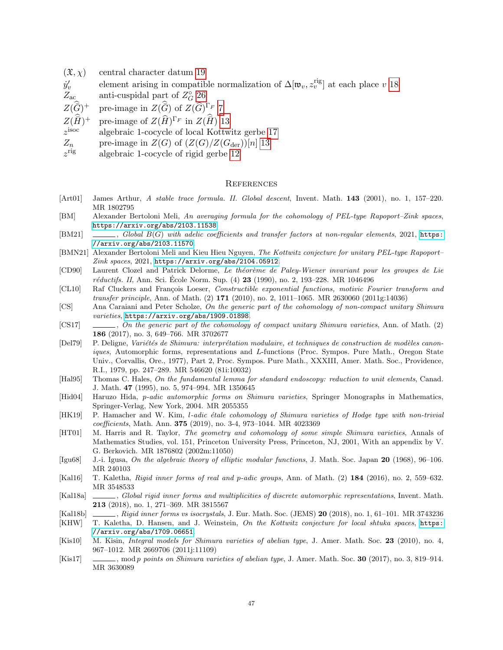<span id="page-46-20"></span> $(\mathfrak{X}, \chi)$  central character datum [19](#page-18-4)

<span id="page-46-18"></span> $\dot{y}'_v$ element arising in compatible normalization of  $\Delta[\mathfrak{w}_v, z_v^{\text{rig}}]$  at each place v [18](#page-17-3)  $Z_{\text{ac}}$  anti-cuspidal part of  $Z_G^{\circ}$  [26](#page-25-6)

<span id="page-46-26"></span><span id="page-46-10"></span> $Z(\widehat{\bar{G}})^+$ + pre-image in  $Z(\widehat{\tilde{G}})$  of  $Z(\widehat{G})^{\Gamma_F}$  [7](#page-6-1)

<span id="page-46-15"></span> $Z(\tilde{H})^+$ + pre-image of  $Z(\widehat{H})^{\Gamma_F}$  in  $Z(\widehat{H})$  [13](#page-12-1)

<span id="page-46-17"></span> $\chi$ isoc algebraic 1-cocycle of local Kottwitz gerbe [17](#page-16-4)

- <span id="page-46-14"></span> $Z_n$  pre-image in  $Z(G)$  of  $(Z(G)/Z(G_{\text{der}}))[n]$  [13](#page-12-1)
- <span id="page-46-13"></span> $\chi$ <sup>rig</sup> algebraic 1-cocycle of rigid gerbe [12](#page-11-3)

### <span id="page-46-0"></span>**REFERENCES**

- <span id="page-46-19"></span>[Art01] James Arthur, A stable trace formula. II. Global descent, Invent. Math. 143 (2001), no. 1, 157–220. MR 1802795
- <span id="page-46-6"></span>[BM] Alexander Bertoloni Meli, An averaging formula for the cohomology of PEL-type Rapoport–Zink spaces, <https://arxiv.org/abs/2103.11538>.
- <span id="page-46-16"></span>[BM21]  $\qquad \qquad$ , Global B(G) with adelic coefficients and transfer factors at non-regular elements, 2021, [https:](https://arxiv.org/abs/2103.11570) [//arxiv.org/abs/2103.11570](https://arxiv.org/abs/2103.11570).
- <span id="page-46-23"></span>[BMN21] Alexander Bertoloni Meli and Kieu Hieu Nguyen, The Kottwitz conjecture for unitary PEL-type Rapoport– Zink spaces, 2021, <https://arxiv.org/abs/2104.05912>.
- <span id="page-46-24"></span>[CD90] Laurent Clozel and Patrick Delorme, Le théorème de Paley-Wiener invariant pour les groupes de Lie réductifs. II, Ann. Sci. École Norm. Sup. (4)  $23$  (1990), no. 2, 193–228. MR 1046496
- <span id="page-46-21"></span>[CL10] Raf Cluckers and François Loeser, Constructible exponential functions, motivic Fourier transform and transfer principle, Ann. of Math. (2) 171 (2010), no. 2, 1011–1065. MR 2630060 (2011g:14036)
- <span id="page-46-27"></span>[CS] Ana Caraiani and Peter Scholze, On the generic part of the cohomology of non-compact unitary Shimura varieties, <https://arxiv.org/abs/1909.01898>.
- <span id="page-46-4"></span>[CS17] , On the generic part of the cohomology of compact unitary Shimura varieties, Ann. of Math. (2) 186 (2017), no. 3, 649–766. MR 3702677
- <span id="page-46-25"></span>[Del79] P. Deligne, Variétés de Shimura: interprétation modulaire, et techniques de construction de modèles canoniques, Automorphic forms, representations and L-functions (Proc. Sympos. Pure Math., Oregon State Univ., Corvallis, Ore., 1977), Part 2, Proc. Sympos. Pure Math., XXXIII, Amer. Math. Soc., Providence, R.I., 1979, pp. 247–289. MR 546620 (81i:10032)
- <span id="page-46-22"></span>[Hal95] Thomas C. Hales, On the fundamental lemma for standard endoscopy: reduction to unit elements, Canad. J. Math. 47 (1995), no. 5, 974–994. MR 1350645
- <span id="page-46-3"></span>[Hid04] Haruzo Hida, p-adic automorphic forms on Shimura varieties, Springer Monographs in Mathematics, Springer-Verlag, New York, 2004. MR 2055355
- <span id="page-46-5"></span>[HK19] P. Hamacher and W. Kim, *l*-adic étale cohomology of Shimura varieties of Hodge type with non-trivial coefficients, Math. Ann. 375 (2019), no. 3-4, 973–1044. MR 4023369
- <span id="page-46-2"></span>[HT01] M. Harris and R. Taylor, The geometry and cohomology of some simple Shimura varieties, Annals of Mathematics Studies, vol. 151, Princeton University Press, Princeton, NJ, 2001, With an appendix by V. G. Berkovich. MR 1876802 (2002m:11050)
- <span id="page-46-1"></span>[Igu68] J.-i. Igusa, On the algebraic theory of elliptic modular functions, J. Math. Soc. Japan 20 (1968), 96–106. MR 240103
- <span id="page-46-8"></span>[Kal16] T. Kaletha, Rigid inner forms of real and p-adic groups, Ann. of Math. (2) 184 (2016), no. 2, 559–632. MR 3548533
- <span id="page-46-9"></span>[Kal18a] , Global rigid inner forms and multiplicities of discrete automorphic representations, Invent. Math. 213 (2018), no. 1, 271–369. MR 3815567
- <span id="page-46-11"></span>[Kal18b] , Rigid inner forms vs isocrystals, J. Eur. Math. Soc. (JEMS) 20 (2018), no. 1, 61–101. MR 3743236
- <span id="page-46-12"></span>[KHW] T. Kaletha, D. Hansen, and J. Weinstein, On the Kottwitz conjecture for local shtuka spaces, [https:](https://arxiv.org/abs/1709.06651) [//arxiv.org/abs/1709.06651](https://arxiv.org/abs/1709.06651).
- <span id="page-46-28"></span>[Kis10] M. Kisin, Integral models for Shimura varieties of abelian type, J. Amer. Math. Soc. 23 (2010), no. 4, 967–1012. MR 2669706 (2011j:11109)
- <span id="page-46-7"></span>[Kis17] , mod p points on Shimura varieties of abelian type, J. Amer. Math. Soc. 30 (2017), no. 3, 819–914. MR 3630089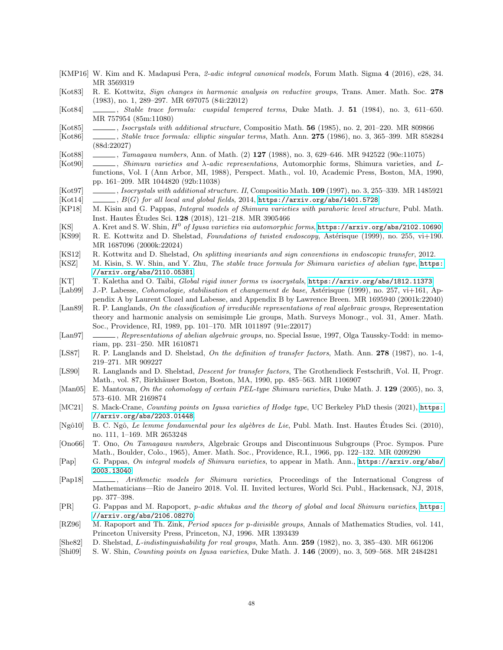- <span id="page-47-22"></span>[KMP16] W. Kim and K. Madapusi Pera, 2-adic integral canonical models, Forum Math. Sigma 4 (2016), e28, 34. MR 3569319
- <span id="page-47-29"></span>[Kot83] R. E. Kottwitz, Sign changes in harmonic analysis on reductive groups, Trans. Amer. Math. Soc. 278 (1983), no. 1, 289–297. MR 697075 (84i:22012)
- <span id="page-47-28"></span>[Kot84] , Stable trace formula: cuspidal tempered terms, Duke Math. J. 51 (1984), no. 3, 611–650. MR 757954 (85m:11080)
- <span id="page-47-9"></span>[Kot85] , Isocrystals with additional structure, Compositio Math. 56 (1985), no. 2, 201–220. MR 809866
- <span id="page-47-11"></span>[Kot86] , Stable trace formula: elliptic singular terms, Math. Ann. 275 (1986), no. 3, 365–399. MR 858284 (88d:22027)
- <span id="page-47-16"></span>[Kot88] , Tamagawa numbers, Ann. of Math. (2) 127 (1988), no. 3, 629–646. MR 942522 (90e:11075)
- <span id="page-47-27"></span>[Kot90] , Shimura varieties and λ-adic representations, Automorphic forms, Shimura varieties, and Lfunctions, Vol. I (Ann Arbor, MI, 1988), Perspect. Math., vol. 10, Academic Press, Boston, MA, 1990, pp. 161–209. MR 1044820 (92b:11038)
- <span id="page-47-10"></span><span id="page-47-7"></span>[Kot97] , Isocrystals with additional structure. II, Compositio Math. 109 (1997), no. 3, 255–339. MR 1485921  $[Kot14] \quad \qquad \ldots, B(G)$  for all local and global fields, 2014, <https://arxiv.org/abs/1401.5728>.
- <span id="page-47-23"></span>[KP18] M. Kisin and G. Pappas, Integral models of Shimura varieties with parahoric level structure, Publ. Math. Inst. Hautes Études Sci. 128 (2018), 121–218. MR 3905466
- <span id="page-47-1"></span>[KS] A. Kret and S. W. Shin,  $H^0$  of Igusa varieties via automorphic forms, <https://arxiv.org/abs/2102.10690>.
- <span id="page-47-5"></span>[KS99] R. E. Kottwitz and D. Shelstad, *Foundations of twisted endoscopy*, Astérisque (1999), no. 255, vi+190. MR 1687096 (2000k:22024)
- <span id="page-47-12"></span>[KS12] R. Kottwitz and D. Shelstad, On splitting invariants and sign conventions in endoscopic transfer, 2012.
- <span id="page-47-4"></span>[KSZ] M. Kisin, S. W. Shin, and Y. Zhu, The stable trace formula for Shimura varieties of abelian type, [https:](https://arxiv.org/abs/2110.05381) [//arxiv.org/abs/2110.05381](https://arxiv.org/abs/2110.05381).
- <span id="page-47-6"></span>[KT] T. Kaletha and O. Taïbi, *Global rigid inner forms vs isocrystals*, <https://arxiv.org/abs/1812.11373>.
- <span id="page-47-21"></span>[Lab99] J.-P. Labesse, *Cohomologie, stabilisation et changement de base*, Astérisque (1999), no. 257, vi+161, Appendix A by Laurent Clozel and Labesse, and Appendix B by Lawrence Breen. MR 1695940 (2001k:22040)
- <span id="page-47-19"></span>[Lan89] R. P. Langlands, On the classification of irreducible representations of real algebraic groups, Representation theory and harmonic analysis on semisimple Lie groups, Math. Surveys Monogr., vol. 31, Amer. Math. Soc., Providence, RI, 1989, pp. 101–170. MR 1011897 (91e:22017)
- <span id="page-47-15"></span>[Lan97] , Representations of abelian algebraic groups, no. Special Issue, 1997, Olga Taussky-Todd: in memoriam, pp. 231–250. MR 1610871
- <span id="page-47-14"></span>[LS87] R. P. Langlands and D. Shelstad, On the definition of transfer factors, Math. Ann. 278 (1987), no. 1-4, 219–271. MR 909227
- <span id="page-47-13"></span>[LS90] R. Langlands and D. Shelstad, Descent for transfer factors, The Grothendieck Festschrift, Vol. II, Progr. Math., vol. 87, Birkhäuser Boston, Boston, MA, 1990, pp. 485–563. MR 1106907
- <span id="page-47-0"></span>[Man05] E. Mantovan, On the cohomology of certain PEL-type Shimura varieties, Duke Math. J. 129 (2005), no. 3, 573–610. MR 2169874
- <span id="page-47-3"></span>[MC21] S. Mack-Crane, *Counting points on Igusa varieties of Hodge type*, UC Berkeley PhD thesis (2021), [https:](https://arxiv.org/abs/2203.01448) [//arxiv.org/abs/2203.01448](https://arxiv.org/abs/2203.01448).
- <span id="page-47-18"></span>[Ngô10] B. C. Ngô, Le lemme fondamental pour les algèbres de Lie, Publ. Math. Inst. Hautes Études Sci. (2010), no. 111, 1–169. MR 2653248
- <span id="page-47-26"></span>[Ono66] T. Ono, On Tamagawa numbers, Algebraic Groups and Discontinuous Subgroups (Proc. Sympos. Pure Math., Boulder, Colo., 1965), Amer. Math. Soc., Providence, R.I., 1966, pp. 122–132. MR 0209290
- <span id="page-47-25"></span>[Pap] G. Pappas, On integral models of Shimura varieties, to appear in Math. Ann., [https://arxiv.org/abs/](https://arxiv.org/abs/2003.13040) [2003.13040](https://arxiv.org/abs/2003.13040).
- <span id="page-47-20"></span>[Pap18] , Arithmetic models for Shimura varieties, Proceedings of the International Congress of Mathematicians—Rio de Janeiro 2018. Vol. II. Invited lectures, World Sci. Publ., Hackensack, NJ, 2018, pp. 377–398.
- <span id="page-47-24"></span>[PR] G. Pappas and M. Rapoport, p-adic shtukas and the theory of global and local Shimura varieties, [https:](https://arxiv.org/abs/2106.08270) [//arxiv.org/abs/2106.08270](https://arxiv.org/abs/2106.08270).
- <span id="page-47-8"></span>[RZ96] M. Rapoport and Th. Zink, Period spaces for p-divisible groups, Annals of Mathematics Studies, vol. 141, Princeton University Press, Princeton, NJ, 1996. MR 1393439
- <span id="page-47-17"></span>[She82] D. Shelstad, L-indistinguishability for real groups, Math. Ann. 259 (1982), no. 3, 385–430. MR 661206
- <span id="page-47-2"></span>[Shi09] S. W. Shin, Counting points on Igusa varieties, Duke Math. J. 146 (2009), no. 3, 509–568. MR 2484281